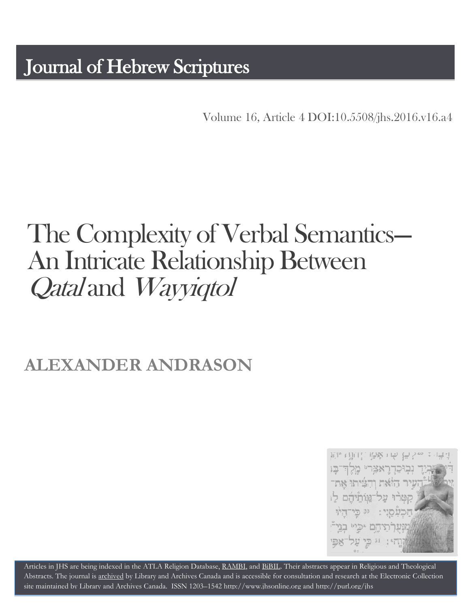# Journal of Hebrew Scriptures

Volume 16, Article 4 [DOI:10.5508/jhs.2016.v16.a4](http://dx.doi.org/10.5508/jhs.2016.v16.a4)

# The Complexity of Verbal Semantics---<br>An Intricate Relationship Between Qatal and Wayyiqtol

# **ALEXANDER ANDRASON**



Articles in JHS are being indexed in the ATLA Religion Database, [RAMBI,](http://jnul.huji.ac.il/rambi/) and [BiBIL.](http://bibil.net/) Their abstracts appear in Religious and Theological Abstracts. The journal is [archived](http://epe.lac-bac.gc.ca/100/201/300/journal_hebrew/index.html) by Library and Archives Canada and is accessible for consultation and research at the Electronic Collection site maintained by [Library and Archives Canada.](http://collectionscanada.ca/electroniccollection/003008-200-e.html) ISSN 1203–154[2 http://www.jhsonline.org](http://www.jhsonline.org/) and<http://purl.org/jhs>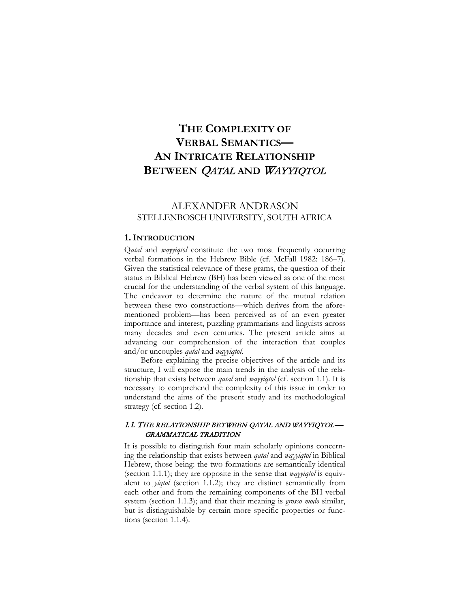# **THE COMPLEXITY OF VERBAL SEMANTICS— AN INTRICATE RELATIONSHIP BETWEEN** QATAL **AND** WAYYIQTOL

# ALEXANDER ANDRASON STELLENBOSCH UNIVERSITY, SOUTH AFRICA

#### **1. INTRODUCTION**

Q*atal* and *wayyiqtol* constitute the two most frequently occurring verbal formations in the Hebrew Bible (cf. McFall 1982: 186–7). Given the statistical relevance of these grams, the question of their status in Biblical Hebrew (BH) has been viewed as one of the most crucial for the understanding of the verbal system of this language. The endeavor to determine the nature of the mutual relation between these two constructions—which derives from the aforementioned problem—has been perceived as of an even greater importance and interest, puzzling grammarians and linguists across many decades and even centuries. The present article aims at advancing our comprehension of the interaction that couples and/or uncouples *qatal* and *wayyiqtol*.

Before explaining the precise objectives of the article and its structure, I will expose the main trends in the analysis of the relationship that exists between *qatal* and *wayyiqtol* (cf. section 1.1). It is necessary to comprehend the complexity of this issue in order to understand the aims of the present study and its methodological strategy (cf. section 1.2).

# 1.1. THE RELATIONSHIP BETWEEN QATAL AND WAYYIQTOL— GRAMMATICAL TRADITION

It is possible to distinguish four main scholarly opinions concerning the relationship that exists between *qatal* and *wayyiqtol* in Biblical Hebrew, those being: the two formations are semantically identical (section 1.1.1); they are opposite in the sense that *wayyiqtol* is equivalent to *yiqtol* (section 1.1.2); they are distinct semantically from each other and from the remaining components of the BH verbal system (section 1.1.3); and that their meaning is *grosso modo* similar, but is distinguishable by certain more specific properties or functions (section 1.1.4).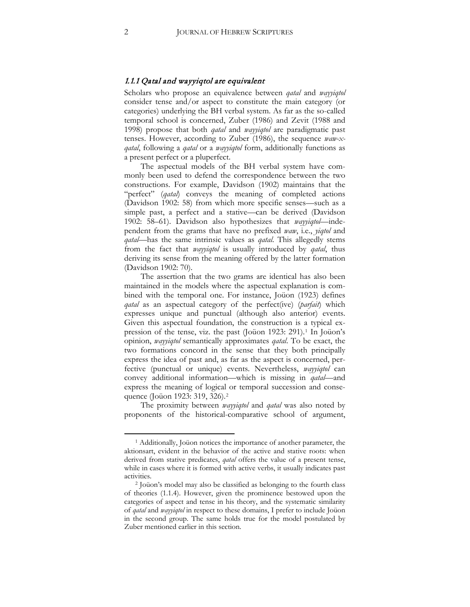#### 1.1.1 Qatal and wayyiqtol are equivalent

Scholars who propose an equivalence between *qatal* and *wayyiqtol* consider tense and/or aspect to constitute the main category (or categories) underlying the BH verbal system. As far as the so-called temporal school is concerned, Zuber (1986) and Zevit (1988 and 1998) propose that both *qatal* and *wayyiqtol* are paradigmatic past tenses. However, according to Zuber (1986), the sequence *waw-xqatal*, following a *qatal* or a *wayyiqtol* form, additionally functions as a present perfect or a pluperfect.

The aspectual models of the BH verbal system have commonly been used to defend the correspondence between the two constructions. For example, Davidson (1902) maintains that the "perfect" (*qatal*) conveys the meaning of completed actions (Davidson 1902: 58) from which more specific senses—such as a simple past, a perfect and a stative—can be derived (Davidson 1902: 58–61). Davidson also hypothesizes that *wayyiqtol—*independent from the grams that have no prefixed *waw*, i.e., *yiqtol* and *qatal*—has the same intrinsic values as *qatal*. This allegedly stems from the fact that *wayyiqtol* is usually introduced by *qatal*, thus deriving its sense from the meaning offered by the latter formation (Davidson 1902: 70).

The assertion that the two grams are identical has also been maintained in the models where the aspectual explanation is combined with the temporal one. For instance, Joüon (1923) defines *qatal* as an aspectual category of the perfect(ive) (*parfait*) which expresses unique and punctual (although also anterior) events. Given this aspectual foundation, the construction is a typical ex-pression of the tense, viz. the past (Joüon [1](#page-2-0)923: 291).<sup>1</sup> In Joüon's opinion, *wayyiqtol* semantically approximates *qatal*. To be exact, the two formations concord in the sense that they both principally express the idea of past and, as far as the aspect is concerned, perfective (punctual or unique) events. Nevertheless, *wayyiqtol* can convey additional information—which is missing in *qatal—*and express the meaning of logical or temporal succession and conse-quence (Joüon 19[2](#page-2-1)3: 319, 326).<sup>2</sup>

The proximity between *wayyiqtol* and *qatal* was also noted by proponents of the historical-comparative school of argument,

<span id="page-2-0"></span><sup>1</sup> Additionally, Joüon notices the importance of another parameter, the aktionsart, evident in the behavior of the active and stative roots: when derived from stative predicates, *qatal* offers the value of a present tense, while in cases where it is formed with active verbs, it usually indicates past activities. 2 Joüon's model may also be classified as belonging to the fourth class

<span id="page-2-1"></span>of theories (1.1.4). However, given the prominence bestowed upon the categories of aspect and tense in his theory, and the systematic similarity of *qatal* and *wayyiqtol* in respect to these domains, I prefer to include Joüon in the second group. The same holds true for the model postulated by Zuber mentioned earlier in this section.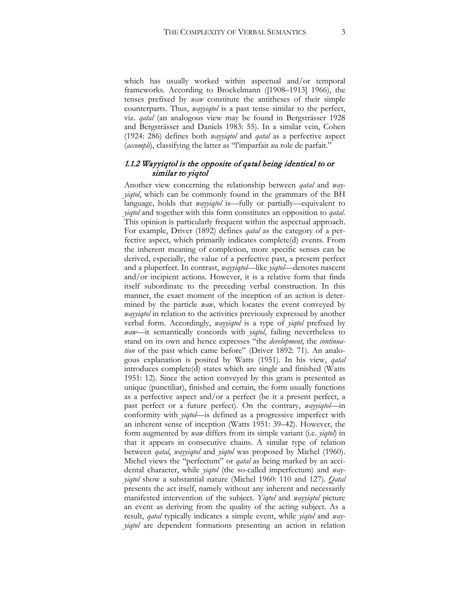which has usually worked within aspectual and/or temporal frameworks. According to Brockelmann ([1908–1913] 1966), the tenses prefixed by *waw* constitute the antitheses of their simple counterparts. Thus, *wayyiqtol* is a past tense similar to the perfect, viz. *qatal* (an analogous view may be found in Bergsträsser 1928 and Bergsträsser and Daniels 1983: 55). In a similar vein, Cohen (1924: 286) defines both *wayyiqtol* and *qatal* as a perfective aspect (*accompli*), classifying the latter as "l'imparfait au role de parfait."

# 1.1.2 Wayyiqtol is the opposite of qatal being identical to or similar to yiqtol

Another view concerning the relationship between *qatal* and *wayyiqtol*, which can be commonly found in the grammars of the BH language, holds that *wayyiqtol* is—fully or partially—equivalent to *yiqtol* and together with this form constitutes an opposition to *qatal*. This opinion is particularly frequent within the aspectual approach. For example, Driver (1892) defines *qatal* as the category of a perfective aspect, which primarily indicates complete(d) events. From the inherent meaning of completion, more specific senses can be derived, especially, the value of a perfective past, a present perfect and a pluperfect. In contrast, *wayyiqtol*—like *yiqtol*—denotes nascent and/or incipient actions. However, it is a relative form that finds itself subordinate to the preceding verbal construction. In this manner, the exact moment of the inception of an action is determined by the particle *waw*, which locates the event conveyed by *wayyiqtol* in relation to the activities previously expressed by another verbal form. Accordingly, *wayyiqtol* is a type of *yiqtol* prefixed by *waw—*it semantically concords with *yiqtol*, failing nevertheless to stand on its own and hence expresses "the *development*, the *continuation* of the past which came before" (Driver 1892: 71). An analogous explanation is posited by Watts (1951). In his view, *qatal* introduces complete(d) states which are single and finished (Watts 1951: 12). Since the action conveyed by this gram is presented as unique (punctiliar), finished and certain, the form usually functions as a perfective aspect and/or a perfect (be it a present perfect, a past perfect or a future perfect). On the contrary, *wayyiqtol*—in conformity with *yiqtol—*is defined as a progressive imperfect with an inherent sense of inception (Watts 1951: 39–42). However, the form augmented by *waw* differs from its simple variant (i.e. *yiqtol*) in that it appears in consecutive chains. A similar type of relation between *qatal*, *wayyiqtol* and *yiqtol* was proposed by Michel (1960). Michel views the "perfectum" or *qatal* as being marked by an accidental character, while *yiqtol* (the so-called imperfectum) and *wayyiqtol* show a substantial nature (Michel 1960: 110 and 127). *Qatal*  presents the act itself, namely without any inherent and necessarily manifested intervention of the subject. *Yiqtol* and *wayyiqtol* picture an event as deriving from the quality of the acting subject. As a result, *qatal* typically indicates a simple event, while *yiqtol* and *wayyiqtol* are dependent formations presenting an action in relation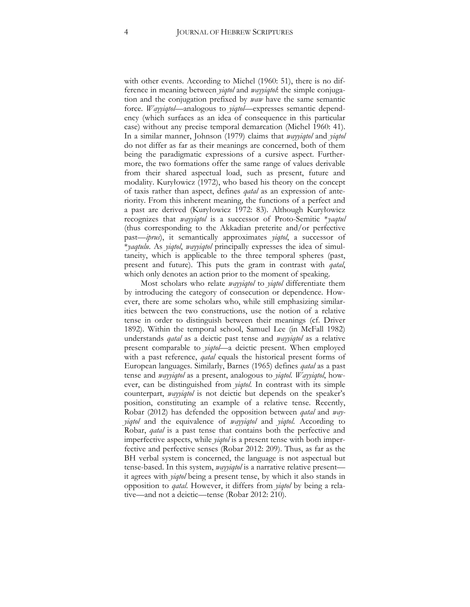with other events. According to Michel (1960: 51), there is no difference in meaning between *yiqtol* and *wayyiqtol*: the simple conjugation and the conjugation prefixed by *waw* have the same semantic force. *Wayyiqtol*—analogous to *yiqtol*—expresses semantic dependency (which surfaces as an idea of consequence in this particular case) without any precise temporal demarcation (Michel 1960: 41). In a similar manner, Johnson (1979) claims that *wayyiqtol* and *yiqtol*  do not differ as far as their meanings are concerned, both of them being the paradigmatic expressions of a cursive aspect. Furthermore, the two formations offer the same range of values derivable from their shared aspectual load, such as present, future and modality. Kuryłowicz (1972), who based his theory on the concept of taxis rather than aspect, defines *qatal* as an expression of anteriority. From this inherent meaning, the functions of a perfect and a past are derived (Kuryłowicz 1972: 83). Although Kuryłowicz recognizes that *wayyiqtol* is a successor of Proto-Semitic \**yaqtul* (thus corresponding to the Akkadian preterite and/or perfective past—*iprus*), it semantically approximates *yiqtol*, a successor of \**yaqtulu*. As *yiqtol*, *wayyiqtol* principally expresses the idea of simultaneity, which is applicable to the three temporal spheres (past, present and future). This puts the gram in contrast with *qatal*, which only denotes an action prior to the moment of speaking.

Most scholars who relate *wayyiqtol* to *yiqtol* differentiate them by introducing the category of consecution or dependence. However, there are some scholars who, while still emphasizing similarities between the two constructions, use the notion of a relative tense in order to distinguish between their meanings (cf. Driver 1892). Within the temporal school, Samuel Lee (in McFall 1982) understands *qatal* as a deictic past tense and *wayyiqtol* as a relative present comparable to *yiqtol*—a deictic present. When employed with a past reference, *qatal* equals the historical present forms of European languages. Similarly, Barnes (1965) defines *qatal* as a past tense and *wayyiqtol* as a present, analogous to *yiqtol*. *Wayyiqtol*, however, can be distinguished from *yiqtol*. In contrast with its simple counterpart, *wayyiqtol* is not deictic but depends on the speaker's position, constituting an example of a relative tense. Recently, Robar (2012) has defended the opposition between *qatal* and *wayyiqtol* and the equivalence of *wayyiqtol* and *yiqtol*. According to Robar, *qatal* is a past tense that contains both the perfective and imperfective aspects, while *yiqtol* is a present tense with both imperfective and perfective senses (Robar 2012: 209). Thus, as far as the BH verbal system is concerned, the language is not aspectual but tense-based. In this system, *wayyiqtol* is a narrative relative present it agrees with *yiqtol* being a present tense, by which it also stands in opposition to *qatal*. However, it differs from *yiqtol* by being a relative—and not a deictic—tense (Robar 2012: 210).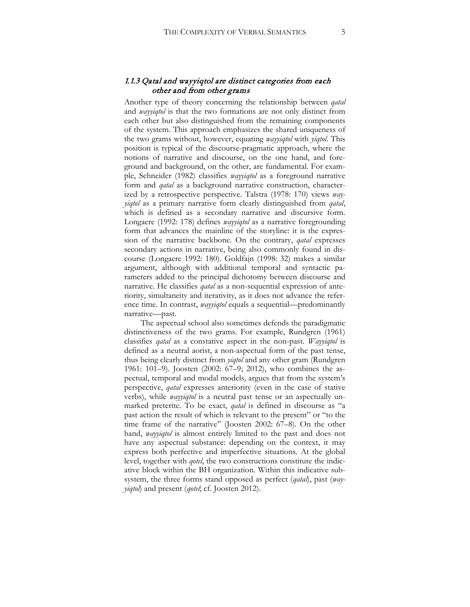# 1.1.3 Qatal and wayyiqtol are distinct categories from each other and from other grams

Another type of theory concerning the relationship between *qatal*  and *wayyiqtol* is that the two formations are not only distinct from each other but also distinguished from the remaining components of the system. This approach emphasizes the shared uniqueness of the two grams without, however, equating *wayyiqtol* with *yiqtol*. This position is typical of the discourse-pragmatic approach, where the notions of narrative and discourse, on the one hand, and foreground and background, on the other, are fundamental. For example, Schneider (1982) classifies *wayyiqtol* as a foreground narrative form and *qatal* as a background narrative construction, characterized by a retrospective perspective. Talstra (1978: 170) views *wayyiqtol* as a primary narrative form clearly distinguished from *qatal*, which is defined as a secondary narrative and discursive form. Longacre (1992: 178) defines *wayyiqtol* as a narrative foregrounding form that advances the mainline of the storyline: it is the expression of the narrative backbone. On the contrary, *qatal* expresses secondary actions in narrative, being also commonly found in discourse (Longacre 1992: 180). Goldfajn (1998: 32) makes a similar argument, although with additional temporal and syntactic parameters added to the principal dichotomy between discourse and narrative. He classifies *qatal* as a non-sequential expression of anteriority, simultaneity and iterativity, as it does not advance the reference time. In contrast, *wayyiqtol* equals a sequential—predominantly narrative—past.

The aspectual school also sometimes defends the paradigmatic distinctiveness of the two grams. For example, Rundgren (1961) classifies *qatal* as a constative aspect in the non-past. *Wayyiqtol* is defined as a neutral aorist, a non-aspectual form of the past tense, thus being clearly distinct from *yiqtol* and any other gram (Rundgren 1961: 101–9). Joosten (2002: 67–9; 2012), who combines the aspectual, temporal and modal models, argues that from the system's perspective, *qatal* expresses anteriority (even in the case of stative verbs), while *wayyiqtol* is a neutral past tense or an aspectually unmarked preterite. To be exact, *qatal* is defined in discourse as "a past action the result of which is relevant to the present" or "to the time frame of the narrative" (Joosten 2002: 67–8). On the other hand, *wayyiqtol* is almost entirely limited to the past and does not have any aspectual substance: depending on the context, it may express both perfective and imperfective situations. At the global level, together with *qotel*, the two constructions constitute the indicative block within the BH organization. Within this indicative subsystem, the three forms stand opposed as perfect (*qatal*), past (*wayyiqtol*) and present (*qotel*; cf. Joosten 2012).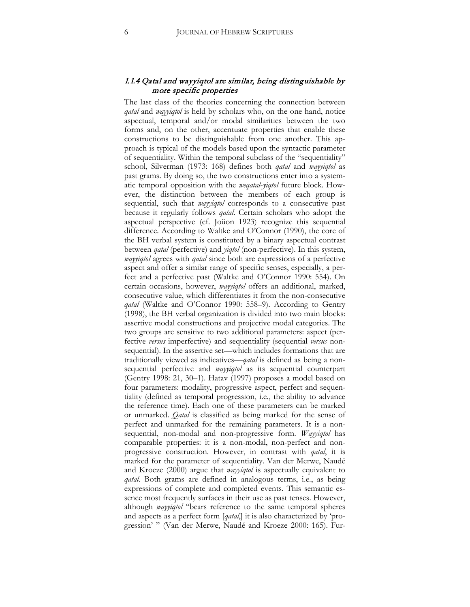# 1.1.4 Qatal and wayyiqtol are similar, being distinguishable by more specific properties

The last class of the theories concerning the connection between *qatal* and *wayyiqtol* is held by scholars who, on the one hand, notice aspectual, temporal and/or modal similarities between the two forms and, on the other, accentuate properties that enable these constructions to be distinguishable from one another. This approach is typical of the models based upon the syntactic parameter of sequentiality. Within the temporal subclass of the "sequentiality" school, Silverman (1973: 168) defines both *qatal* and *wayyiqtol* as past grams. By doing so, the two constructions enter into a systematic temporal opposition with the *weqatal*-*yiqtol* future block. However, the distinction between the members of each group is sequential, such that *wayyiqtol* corresponds to a consecutive past because it regularly follows *qatal*. Certain scholars who adopt the aspectual perspective (cf. Joüon 1923) recognize this sequential difference. According to Waltke and O'Connor (1990), the core of the BH verbal system is constituted by a binary aspectual contrast between *qatal* (perfective) and *yiqtol* (non-perfective). In this system, *wayyiqtol* agrees with *qatal* since both are expressions of a perfective aspect and offer a similar range of specific senses, especially, a perfect and a perfective past (Waltke and O'Connor 1990: 554). On certain occasions, however, *wayyiqtol* offers an additional, marked, consecutive value, which differentiates it from the non-consecutive *qatal* (Waltke and O'Connor 1990: 558–9). According to Gentry (1998), the BH verbal organization is divided into two main blocks: assertive modal constructions and projective modal categories. The two groups are sensitive to two additional parameters: aspect (perfective *versus* imperfective) and sequentiality (sequential *versus* nonsequential). In the assertive set—which includes formations that are traditionally viewed as indicatives—*qatal* is defined as being a nonsequential perfective and *wayyiqtol* as its sequential counterpart (Gentry 1998: 21, 30–1). Hatav (1997) proposes a model based on four parameters: modality, progressive aspect, perfect and sequentiality (defined as temporal progression, i.e., the ability to advance the reference time). Each one of these parameters can be marked or unmarked. *Qatal* is classified as being marked for the sense of perfect and unmarked for the remaining parameters. It is a nonsequential, non-modal and non-progressive form. *Wayyiqtol* has comparable properties: it is a non-modal, non-perfect and nonprogressive construction. However, in contrast with *qatal*, it is marked for the parameter of sequentiality. Van der Merwe, Naudé and Kroeze (2000) argue that *wayyiqtol* is aspectually equivalent to *qatal*. Both grams are defined in analogous terms, i.e., as being expressions of complete and completed events. This semantic essence most frequently surfaces in their use as past tenses. However, although *wayyiqtol* "bears reference to the same temporal spheres and aspects as a perfect form [*qatal*,] it is also characterized by 'progression' " (Van der Merwe, Naudé and Kroeze 2000: 165). Fur-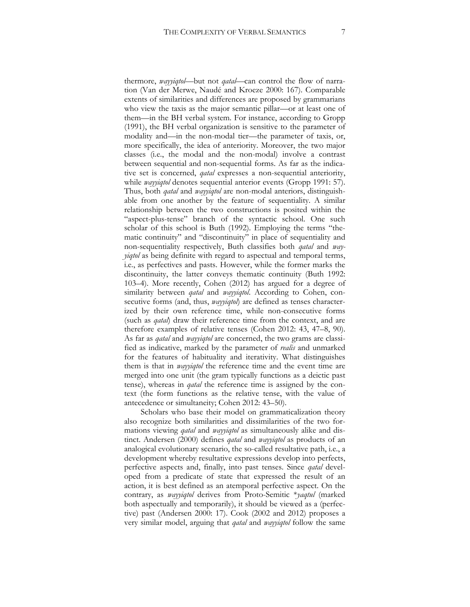thermore, *wayyiqtol*—but not *qatal—*can control the flow of narration (Van der Merwe, Naudé and Kroeze 2000: 167). Comparable extents of similarities and differences are proposed by grammarians who view the taxis as the major semantic pillar—or at least one of them—in the BH verbal system. For instance, according to Gropp (1991), the BH verbal organization is sensitive to the parameter of modality and—in the non-modal tier—the parameter of taxis, or, more specifically, the idea of anteriority. Moreover, the two major classes (i.e., the modal and the non-modal) involve a contrast between sequential and non-sequential forms. As far as the indicative set is concerned, *qatal* expresses a non-sequential anteriority, while *wayyiqtol* denotes sequential anterior events (Gropp 1991: 57). Thus, both *qatal* and *wayyiqtol* are non-modal anteriors, distinguishable from one another by the feature of sequentiality. A similar relationship between the two constructions is posited within the "aspect-plus-tense" branch of the syntactic school. One such scholar of this school is Buth (1992). Employing the terms "thematic continuity" and "discontinuity" in place of sequentiality and non-sequentiality respectively, Buth classifies both *qatal* and *wayyiqtol* as being definite with regard to aspectual and temporal terms, i.e., as perfectives and pasts. However, while the former marks the discontinuity, the latter conveys thematic continuity (Buth 1992: 103–4). More recently, Cohen (2012) has argued for a degree of similarity between *qatal* and *wayyiqtol*. According to Cohen, consecutive forms (and, thus, *wayyiqtol*) are defined as tenses characterized by their own reference time, while non-consecutive forms (such as *qatal*) draw their reference time from the context, and are therefore examples of relative tenses (Cohen 2012: 43, 47–8, 90). As far as *qatal* and *wayyiqtol* are concerned, the two grams are classified as indicative, marked by the parameter of *realis* and unmarked for the features of habituality and iterativity. What distinguishes them is that in *wayyiqtol* the reference time and the event time are merged into one unit (the gram typically functions as a deictic past tense), whereas in *qatal* the reference time is assigned by the context (the form functions as the relative tense, with the value of antecedence or simultaneity; Cohen 2012: 43–50).

Scholars who base their model on grammaticalization theory also recognize both similarities and dissimilarities of the two formations viewing *qatal* and *wayyiqtol* as simultaneously alike and distinct. Andersen (2000) defines *qatal* and *wayyiqtol* as products of an analogical evolutionary scenario, the so-called resultative path, i.e., a development whereby resultative expressions develop into perfects, perfective aspects and, finally, into past tenses. Since *qatal* developed from a predicate of state that expressed the result of an action, it is best defined as an atemporal perfective aspect. On the contrary, as *wayyiqtol* derives from Proto-Semitic \**yaqtul* (marked both aspectually and temporarily), it should be viewed as a (perfective) past (Andersen 2000: 17). Cook (2002 and 2012) proposes a very similar model, arguing that *qatal* and *wayyiqtol* follow the same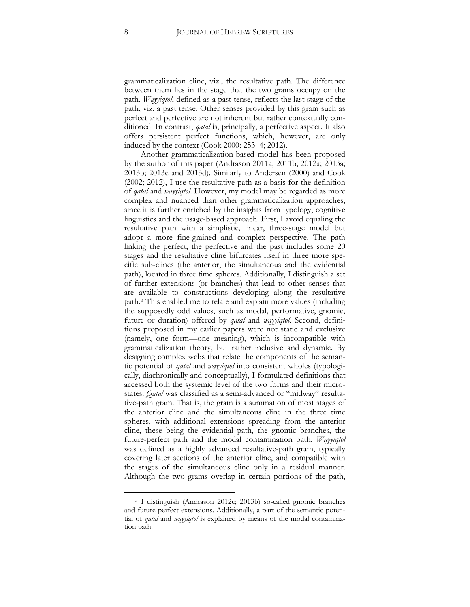grammaticalization cline, viz., the resultative path. The difference between them lies in the stage that the two grams occupy on the path. *Wayyiqtol*, defined as a past tense, reflects the last stage of the path, viz. a past tense. Other senses provided by this gram such as perfect and perfective are not inherent but rather contextually conditioned. In contrast, *qatal* is, principally, a perfective aspect. It also offers persistent perfect functions, which, however, are only induced by the context (Cook 2000: 253–4; 2012).

Another grammaticalization-based model has been proposed by the author of this paper (Andrason 2011a; 2011b; 2012a; 2013a; 2013b; 2013c and 2013d). Similarly to Andersen (2000) and Cook (2002; 2012), I use the resultative path as a basis for the definition of *qatal* and *wayyiqtol*. However, my model may be regarded as more complex and nuanced than other grammaticalization approaches, since it is further enriched by the insights from typology, cognitive linguistics and the usage-based approach. First, I avoid equaling the resultative path with a simplistic, linear, three-stage model but adopt a more fine-grained and complex perspective. The path linking the perfect, the perfective and the past includes some 20 stages and the resultative cline bifurcates itself in three more specific sub-clines (the anterior, the simultaneous and the evidential path), located in three time spheres. Additionally, I distinguish a set of further extensions (or branches) that lead to other senses that are available to constructions developing along the resultative path.[3](#page-8-0) This enabled me to relate and explain more values (including the supposedly odd values, such as modal, performative, gnomic, future or duration) offered by *qatal* and *wayyiqtol*. Second, definitions proposed in my earlier papers were not static and exclusive (namely, one form—one meaning), which is incompatible with grammaticalization theory, but rather inclusive and dynamic. By designing complex webs that relate the components of the semantic potential of *qatal* and *wayyiqtol* into consistent wholes (typologically, diachronically and conceptually), I formulated definitions that accessed both the systemic level of the two forms and their microstates. *Qatal* was classified as a semi-advanced or "midway" resultative-path gram. That is, the gram is a summation of most stages of the anterior cline and the simultaneous cline in the three time spheres, with additional extensions spreading from the anterior cline, these being the evidential path, the gnomic branches, the future-perfect path and the modal contamination path. *Wayyiqtol* was defined as a highly advanced resultative-path gram, typically covering later sections of the anterior cline, and compatible with the stages of the simultaneous cline only in a residual manner. Although the two grams overlap in certain portions of the path,

<span id="page-8-0"></span><sup>3</sup> I distinguish (Andrason 2012c; 2013b) so-called gnomic branches and future perfect extensions. Additionally, a part of the semantic potential of *qatal* and *wayyiqtol* is explained by means of the modal contamination path.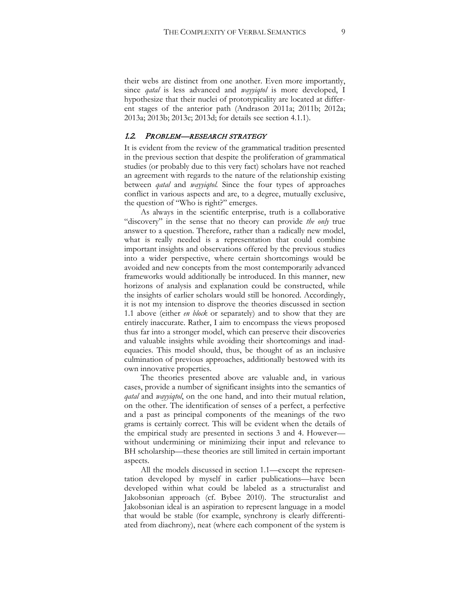their webs are distinct from one another. Even more importantly, since *qatal* is less advanced and *wayyiqtol* is more developed, I hypothesize that their nuclei of prototypicality are located at different stages of the anterior path (Andrason 2011a; 2011b; 2012a; 2013a; 2013b; 2013c; 2013d; for details see section 4.1.1).

#### 1.2. PROBLEM—RESEARCH STRATEGY

It is evident from the review of the grammatical tradition presented in the previous section that despite the proliferation of grammatical studies (or probably due to this very fact) scholars have not reached an agreement with regards to the nature of the relationship existing between *qatal* and *wayyiqtol.* Since the four types of approaches conflict in various aspects and are, to a degree, mutually exclusive, the question of "Who is right?" emerges.

As always in the scientific enterprise, truth is a collaborative "discovery" in the sense that no theory can provide *the only* true answer to a question. Therefore, rather than a radically new model, what is really needed is a representation that could combine important insights and observations offered by the previous studies into a wider perspective, where certain shortcomings would be avoided and new concepts from the most contemporarily advanced frameworks would additionally be introduced. In this manner, new horizons of analysis and explanation could be constructed, while the insights of earlier scholars would still be honored. Accordingly, it is not my intension to disprove the theories discussed in section 1.1 above (either *en block* or separately) and to show that they are entirely inaccurate. Rather, I aim to encompass the views proposed thus far into a stronger model, which can preserve their discoveries and valuable insights while avoiding their shortcomings and inadequacies. This model should, thus, be thought of as an inclusive culmination of previous approaches, additionally bestowed with its own innovative properties.

The theories presented above are valuable and, in various cases, provide a number of significant insights into the semantics of *qatal* and *wayyiqtol*, on the one hand, and into their mutual relation, on the other. The identification of senses of a perfect, a perfective and a past as principal components of the meanings of the two grams is certainly correct. This will be evident when the details of the empirical study are presented in sections 3 and 4. However without undermining or minimizing their input and relevance to BH scholarship—these theories are still limited in certain important aspects.

All the models discussed in section 1.1—except the representation developed by myself in earlier publications—have been developed within what could be labeled as a structuralist and Jakobsonian approach (cf. Bybee 2010). The structuralist and Jakobsonian ideal is an aspiration to represent language in a model that would be stable (for example, synchrony is clearly differentiated from diachrony), neat (where each component of the system is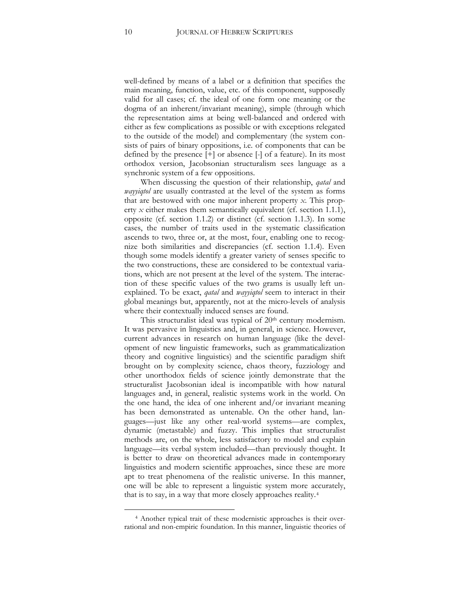well-defined by means of a label or a definition that specifies the main meaning, function, value, etc. of this component, supposedly valid for all cases; cf. the ideal of one form one meaning or the dogma of an inherent/invariant meaning), simple (through which the representation aims at being well-balanced and ordered with either as few complications as possible or with exceptions relegated to the outside of the model) and complementary (the system consists of pairs of binary oppositions, i.e. of components that can be defined by the presence [+] or absence [-] of a feature). In its most orthodox version, Jacobsonian structuralism sees language as a synchronic system of a few oppositions.

When discussing the question of their relationship, *qatal* and *wayyiqtol* are usually contrasted at the level of the system as forms that are bestowed with one major inherent property *x*. This property *x* either makes them semantically equivalent (cf. section 1.1.1), opposite (cf. section 1.1.2) or distinct (cf. section 1.1.3). In some cases, the number of traits used in the systematic classification ascends to two, three or, at the most, four, enabling one to recognize both similarities and discrepancies (cf. section 1.1.4). Even though some models identify a greater variety of senses specific to the two constructions, these are considered to be contextual variations, which are not present at the level of the system. The interaction of these specific values of the two grams is usually left unexplained. To be exact, *qatal* and *wayyiqtol* seem to interact in their global meanings but, apparently, not at the micro-levels of analysis where their contextually induced senses are found.

This structuralist ideal was typical of 20<sup>th</sup> century modernism. It was pervasive in linguistics and, in general, in science. However, current advances in research on human language (like the development of new linguistic frameworks, such as grammaticalization theory and cognitive linguistics) and the scientific paradigm shift brought on by complexity science, chaos theory, fuzziology and other unorthodox fields of science jointly demonstrate that the structuralist Jacobsonian ideal is incompatible with how natural languages and, in general, realistic systems work in the world. On the one hand, the idea of one inherent and/or invariant meaning has been demonstrated as untenable. On the other hand, languages—just like any other real-world systems—are complex, dynamic (metastable) and fuzzy. This implies that structuralist methods are, on the whole, less satisfactory to model and explain language—its verbal system included—than previously thought. It is better to draw on theoretical advances made in contemporary linguistics and modern scientific approaches, since these are more apt to treat phenomena of the realistic universe. In this manner, one will be able to represent a linguistic system more accurately, that is to say, in a way that more closely approaches reality.[4](#page-10-0)

<span id="page-10-0"></span><sup>4</sup> Another typical trait of these modernistic approaches is their overrational and non-empiric foundation. In this manner, linguistic theories of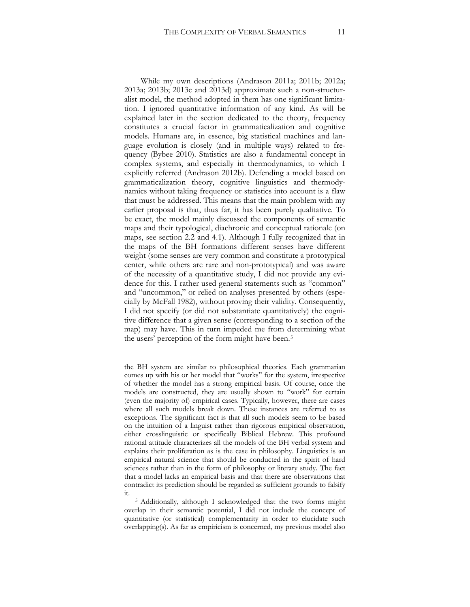While my own descriptions (Andrason 2011a; 2011b; 2012a; 2013a; 2013b; 2013c and 2013d) approximate such a non-structuralist model, the method adopted in them has one significant limitation. I ignored quantitative information of any kind. As will be explained later in the section dedicated to the theory, frequency constitutes a crucial factor in grammaticalization and cognitive models. Humans are, in essence, big statistical machines and language evolution is closely (and in multiple ways) related to frequency (Bybee 2010). Statistics are also a fundamental concept in complex systems, and especially in thermodynamics, to which I explicitly referred (Andrason 2012b). Defending a model based on grammaticalization theory, cognitive linguistics and thermodynamics without taking frequency or statistics into account is a flaw that must be addressed. This means that the main problem with my earlier proposal is that, thus far, it has been purely qualitative. To be exact, the model mainly discussed the components of semantic maps and their typological, diachronic and conceptual rationale (on maps, see section 2.2 and 4.1). Although I fully recognized that in the maps of the BH formations different senses have different weight (some senses are very common and constitute a prototypical center, while others are rare and non-prototypical) and was aware of the necessity of a quantitative study, I did not provide any evidence for this. I rather used general statements such as "common" and "uncommon," or relied on analyses presented by others (especially by McFall 1982), without proving their validity. Consequently, I did not specify (or did not substantiate quantitatively) the cognitive difference that a given sense (corresponding to a section of the map) may have. This in turn impeded me from determining what the users' perception of the form might have been.<sup>[5](#page-11-0)</sup>

the BH system are similar to philosophical theories. Each grammarian comes up with his or her model that "works" for the system, irrespective of whether the model has a strong empirical basis. Of course, once the models are constructed, they are usually shown to "work" for certain (even the majority of) empirical cases. Typically, however, there are cases where all such models break down. These instances are referred to as exceptions. The significant fact is that all such models seem to be based on the intuition of a linguist rather than rigorous empirical observation, either crosslinguistic or specifically Biblical Hebrew. This profound rational attitude characterizes all the models of the BH verbal system and explains their proliferation as is the case in philosophy. Linguistics is an empirical natural science that should be conducted in the spirit of hard sciences rather than in the form of philosophy or literary study. The fact that a model lacks an empirical basis and that there are observations that contradict its prediction should be regarded as sufficient grounds to falsify it.

<span id="page-11-0"></span><sup>5</sup> Additionally, although I acknowledged that the two forms might overlap in their semantic potential, I did not include the concept of quantitative (or statistical) complementarity in order to elucidate such overlapping(s). As far as empiricism is concerned, my previous model also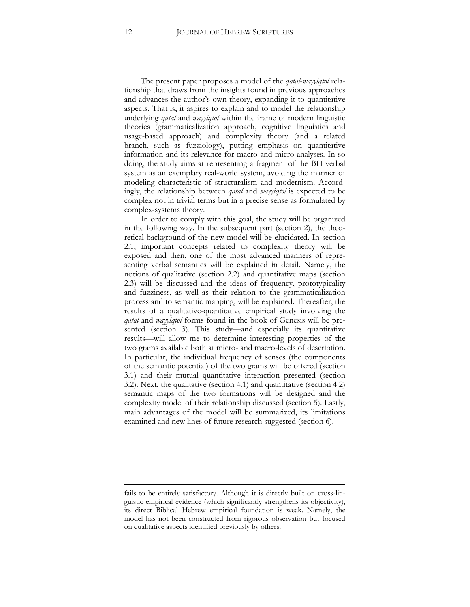The present paper proposes a model of the *qatal*-*wayyiqtol* relationship that draws from the insights found in previous approaches and advances the author's own theory, expanding it to quantitative aspects. That is, it aspires to explain and to model the relationship underlying *qatal* and *wayyiqtol* within the frame of modern linguistic theories (grammaticalization approach, cognitive linguistics and usage-based approach) and complexity theory (and a related branch, such as fuzziology), putting emphasis on quantitative information and its relevance for macro and micro-analyses. In so doing, the study aims at representing a fragment of the BH verbal system as an exemplary real-world system, avoiding the manner of modeling characteristic of structuralism and modernism. Accordingly, the relationship between *qatal* and *wayyiqtol* is expected to be complex not in trivial terms but in a precise sense as formulated by complex-systems theory.

In order to comply with this goal, the study will be organized in the following way. In the subsequent part (section 2), the theoretical background of the new model will be elucidated. In section 2.1, important concepts related to complexity theory will be exposed and then, one of the most advanced manners of representing verbal semantics will be explained in detail. Namely, the notions of qualitative (section 2.2) and quantitative maps (section 2.3) will be discussed and the ideas of frequency, prototypicality and fuzziness, as well as their relation to the grammaticalization process and to semantic mapping, will be explained. Thereafter, the results of a qualitative-quantitative empirical study involving the *qatal* and *wayyiqtol* forms found in the book of Genesis will be presented (section 3). This study—and especially its quantitative results—will allow me to determine interesting properties of the two grams available both at micro- and macro-levels of description. In particular, the individual frequency of senses (the components of the semantic potential) of the two grams will be offered (section 3.1) and their mutual quantitative interaction presented (section 3.2). Next, the qualitative (section 4.1) and quantitative (section 4.2) semantic maps of the two formations will be designed and the complexity model of their relationship discussed (section 5). Lastly, main advantages of the model will be summarized, its limitations examined and new lines of future research suggested (section 6).

fails to be entirely satisfactory. Although it is directly built on cross-linguistic empirical evidence (which significantly strengthens its objectivity), its direct Biblical Hebrew empirical foundation is weak. Namely, the model has not been constructed from rigorous observation but focused on qualitative aspects identified previously by others.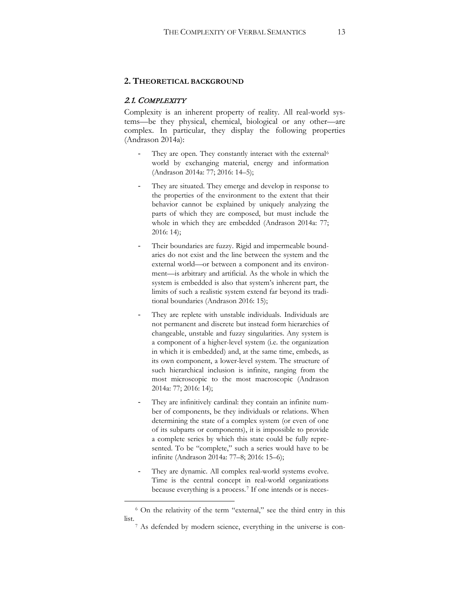#### **2. THEORETICAL BACKGROUND**

## 2.1. COMPLEXITY

 $\overline{a}$ 

Complexity is an inherent property of reality. All real-world systems—be they physical, chemical, biological or any other—are complex. In particular, they display the following properties (Andrason 2014a):

- They are open. They constantly interact with the external<sup>[6](#page-13-0)</sup> world by exchanging material, energy and information (Andrason 2014a: 77; 2016: 14–5);
- They are situated. They emerge and develop in response to the properties of the environment to the extent that their behavior cannot be explained by uniquely analyzing the parts of which they are composed, but must include the whole in which they are embedded (Andrason 2014a: 77; 2016: 14);
- Their boundaries are fuzzy. Rigid and impermeable boundaries do not exist and the line between the system and the external world—or between a component and its environment—is arbitrary and artificial. As the whole in which the system is embedded is also that system's inherent part, the limits of such a realistic system extend far beyond its traditional boundaries (Andrason 2016: 15);
- They are replete with unstable individuals. Individuals are not permanent and discrete but instead form hierarchies of changeable, unstable and fuzzy singularities. Any system is a component of a higher-level system (i.e. the organization in which it is embedded) and, at the same time, embeds, as its own component, a lower-level system. The structure of such hierarchical inclusion is infinite, ranging from the most microscopic to the most macroscopic (Andrason 2014a: 77; 2016: 14);
- They are infinitively cardinal: they contain an infinite number of components, be they individuals or relations. When determining the state of a complex system (or even of one of its subparts or components), it is impossible to provide a complete series by which this state could be fully represented. To be "complete," such a series would have to be infinite (Andrason 2014a: 77–8; 2016: 15–6);
- They are dynamic. All complex real-world systems evolve. Time is the central concept in real-world organizations because everything is a process.<sup>[7](#page-13-1)</sup> If one intends or is neces-

<span id="page-13-1"></span><span id="page-13-0"></span><sup>6</sup> On the relativity of the term "external," see the third entry in this list.

<sup>7</sup> As defended by modern science, everything in the universe is con-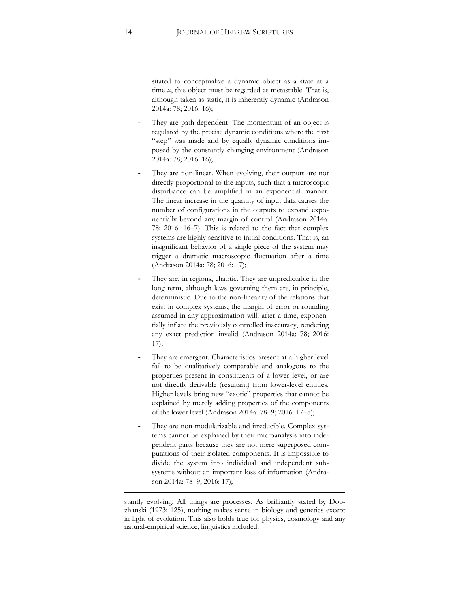sitated to conceptualize a dynamic object as a state at a time *x*, this object must be regarded as metastable. That is, although taken as static, it is inherently dynamic (Andrason 2014a: 78; 2016: 16);

- They are path-dependent. The momentum of an object is regulated by the precise dynamic conditions where the first "step" was made and by equally dynamic conditions imposed by the constantly changing environment (Andrason 2014a: 78; 2016: 16);
- They are non-linear. When evolving, their outputs are not directly proportional to the inputs, such that a microscopic disturbance can be amplified in an exponential manner. The linear increase in the quantity of input data causes the number of configurations in the outputs to expand exponentially beyond any margin of control (Andrason 2014a: 78; 2016: 16–7). This is related to the fact that complex systems are highly sensitive to initial conditions. That is, an insignificant behavior of a single piece of the system may trigger a dramatic macroscopic fluctuation after a time (Andrason 2014a: 78; 2016: 17);
- They are, in regions, chaotic. They are unpredictable in the long term, although laws governing them are, in principle, deterministic. Due to the non-linearity of the relations that exist in complex systems, the margin of error or rounding assumed in any approximation will, after a time, exponentially inflate the previously controlled inaccuracy, rendering any exact prediction invalid (Andrason 2014a: 78; 2016: 17);
- They are emergent. Characteristics present at a higher level fail to be qualitatively comparable and analogous to the properties present in constituents of a lower level, or are not directly derivable (resultant) from lower-level entities. Higher levels bring new "exotic" properties that cannot be explained by merely adding properties of the components of the lower level (Andrason 2014a: 78–9; 2016: 17–8);
- They are non-modularizable and irreducible. Complex systems cannot be explained by their microanalysis into independent parts because they are not mere superposed computations of their isolated components. It is impossible to divide the system into individual and independent subsystems without an important loss of information (Andrason 2014a: 78–9; 2016: 17);

stantly evolving. All things are processes. As brilliantly stated by Dobzhanski (1973: 125), nothing makes sense in biology and genetics except in light of evolution. This also holds true for physics, cosmology and any natural-empirical science, linguistics included.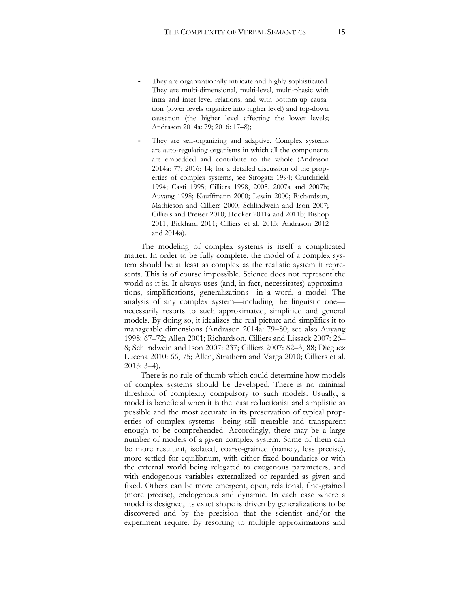- They are organizationally intricate and highly sophisticated. They are multi-dimensional, multi-level, multi-phasic with intra and inter-level relations, and with bottom-up causation (lower levels organize into higher level) and top-down causation (the higher level affecting the lower levels; Andrason 2014a: 79; 2016: 17–8);
- They are self-organizing and adaptive. Complex systems are auto-regulating organisms in which all the components are embedded and contribute to the whole (Andrason 2014a: 77; 2016: 14; for a detailed discussion of the properties of complex systems, see Strogatz 1994; Crutchfield 1994; Casti 1995; Cilliers 1998, 2005, 2007a and 2007b; Auyang 1998; Kauffmann 2000; Lewin 2000; Richardson, Mathieson and Cilliers 2000, Schlindwein and Ison 2007; Cilliers and Preiser 2010; Hooker 2011a and 2011b; Bishop 2011; Bickhard 2011; Cilliers et al. 2013; Andrason 2012 and 2014a).

The modeling of complex systems is itself a complicated matter. In order to be fully complete, the model of a complex system should be at least as complex as the realistic system it represents. This is of course impossible. Science does not represent the world as it is. It always uses (and, in fact, necessitates) approximations, simplifications, generalizations—in a word, a model. The analysis of any complex system—including the linguistic one necessarily resorts to such approximated, simplified and general models. By doing so, it idealizes the real picture and simplifies it to manageable dimensions (Andrason 2014a: 79–80; see also Auyang 1998: 67–72; Allen 2001; Richardson, Cilliers and Lissack 2007: 26– 8; Schlindwein and Ison 2007: 237; Cilliers 2007: 82–3, 88; Diéguez Lucena 2010: 66, 75; Allen, Strathern and Varga 2010; Cilliers et al. 2013: 3–4).

There is no rule of thumb which could determine how models of complex systems should be developed. There is no minimal threshold of complexity compulsory to such models. Usually, a model is beneficial when it is the least reductionist and simplistic as possible and the most accurate in its preservation of typical properties of complex systems—being still treatable and transparent enough to be comprehended. Accordingly, there may be a large number of models of a given complex system. Some of them can be more resultant, isolated, coarse-grained (namely, less precise), more settled for equilibrium, with either fixed boundaries or with the external world being relegated to exogenous parameters, and with endogenous variables externalized or regarded as given and fixed. Others can be more emergent, open, relational, fine-grained (more precise), endogenous and dynamic. In each case where a model is designed, its exact shape is driven by generalizations to be discovered and by the precision that the scientist and/or the experiment require. By resorting to multiple approximations and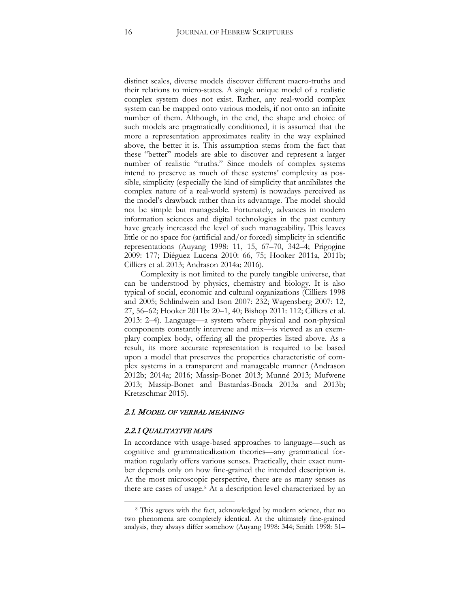distinct scales, diverse models discover different macro-truths and their relations to micro-states. A single unique model of a realistic complex system does not exist. Rather, any real-world complex system can be mapped onto various models, if not onto an infinite number of them. Although, in the end, the shape and choice of such models are pragmatically conditioned, it is assumed that the more a representation approximates reality in the way explained above, the better it is. This assumption stems from the fact that these "better" models are able to discover and represent a larger number of realistic "truths." Since models of complex systems intend to preserve as much of these systems' complexity as possible, simplicity (especially the kind of simplicity that annihilates the complex nature of a real-world system) is nowadays perceived as the model's drawback rather than its advantage. The model should not be simple but manageable. Fortunately, advances in modern information sciences and digital technologies in the past century have greatly increased the level of such manageability. This leaves little or no space for (artificial and/or forced) simplicity in scientific representations (Auyang 1998: 11, 15, 67–70, 342–4; Prigogine 2009: 177; Diéguez Lucena 2010: 66, 75; Hooker 2011a, 2011b; Cilliers et al. 2013; Andrason 2014a; 2016).

Complexity is not limited to the purely tangible universe, that can be understood by physics, chemistry and biology. It is also typical of social, economic and cultural organizations (Cilliers 1998 and 2005; Schlindwein and Ison 2007: 232; Wagensberg 2007: 12, 27, 56–62; Hooker 2011b: 20–1, 40; Bishop 2011: 112; Cilliers et al. 2013: 2–4). Language—a system where physical and non-physical components constantly intervene and mix—is viewed as an exemplary complex body, offering all the properties listed above. As a result, its more accurate representation is required to be based upon a model that preserves the properties characteristic of complex systems in a transparent and manageable manner (Andrason 2012b; 2014a; 2016; Massip-Bonet 2013; Munné 2013; Mufwene 2013; Massip-Bonet and Bastardas-Boada 2013a and 2013b; Kretzschmar 2015).

#### 2.1. MODEL OF VERBAL MEANING

#### 2.2.1 QUALITATIVE MAPS

 $\overline{a}$ 

In accordance with usage-based approaches to language—such as cognitive and grammaticalization theories—any grammatical formation regularly offers various senses. Practically, their exact number depends only on how fine-grained the intended description is. At the most microscopic perspective, there are as many senses as there are cases of usage.<sup>[8](#page-16-0)</sup> At a description level characterized by an

<span id="page-16-0"></span><sup>&</sup>lt;sup>8</sup> This agrees with the fact, acknowledged by modern science, that no two phenomena are completely identical. At the ultimately fine-grained analysis, they always differ somehow (Auyang 1998: 344; Smith 1998: 51–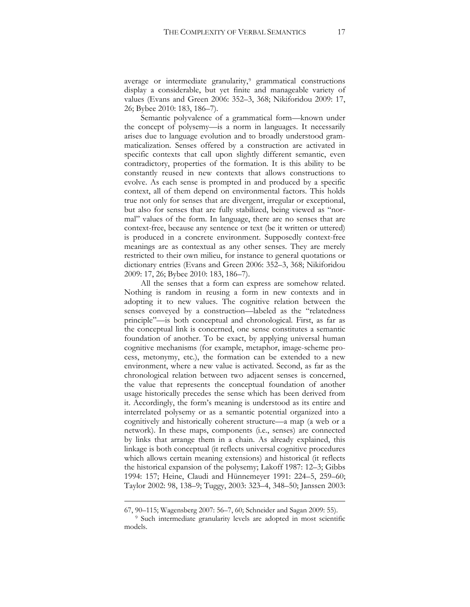average or intermediate granularity,<sup>[9](#page-17-0)</sup> grammatical constructions display a considerable, but yet finite and manageable variety of values (Evans and Green 2006: 352–3, 368; Nikiforidou 2009: 17, 26; Bybee 2010: 183, 186–7).

Semantic polyvalence of a grammatical form—known under the concept of polysemy—is a norm in languages. It necessarily arises due to language evolution and to broadly understood grammaticalization. Senses offered by a construction are activated in specific contexts that call upon slightly different semantic, even contradictory, properties of the formation. It is this ability to be constantly reused in new contexts that allows constructions to evolve. As each sense is prompted in and produced by a specific context, all of them depend on environmental factors. This holds true not only for senses that are divergent, irregular or exceptional, but also for senses that are fully stabilized, being viewed as "normal" values of the form. In language, there are no senses that are context-free, because any sentence or text (be it written or uttered) is produced in a concrete environment. Supposedly context-free meanings are as contextual as any other senses. They are merely restricted to their own milieu, for instance to general quotations or dictionary entries (Evans and Green 2006: 352–3, 368; Nikiforidou 2009: 17, 26; Bybee 2010: 183, 186–7).

All the senses that a form can express are somehow related. Nothing is random in reusing a form in new contexts and in adopting it to new values. The cognitive relation between the senses conveyed by a construction—labeled as the "relatedness principle"—is both conceptual and chronological. First, as far as the conceptual link is concerned, one sense constitutes a semantic foundation of another. To be exact, by applying universal human cognitive mechanisms (for example, metaphor, image-scheme process, metonymy, etc.), the formation can be extended to a new environment, where a new value is activated. Second, as far as the chronological relation between two adjacent senses is concerned, the value that represents the conceptual foundation of another usage historically precedes the sense which has been derived from it. Accordingly, the form's meaning is understood as its entire and interrelated polysemy or as a semantic potential organized into a cognitively and historically coherent structure—a map (a web or a network). In these maps, components (i.e., senses) are connected by links that arrange them in a chain. As already explained, this linkage is both conceptual (it reflects universal cognitive procedures which allows certain meaning extensions) and historical (it reflects the historical expansion of the polysemy; Lakoff 1987: 12–3; Gibbs 1994: 157; Heine, Claudi and Hünnemeyer 1991: 224–5, 259–60; Taylor 2002: 98, 138–9; Tuggy, 2003: 323–4, 348–50; Janssen 2003:

<sup>67, 90–115;</sup> Wagensberg 2007: 56–7, 60; Schneider and Sagan 2009: 55).

<span id="page-17-0"></span><sup>&</sup>lt;sup>9</sup> Such intermediate granularity levels are adopted in most scientific models.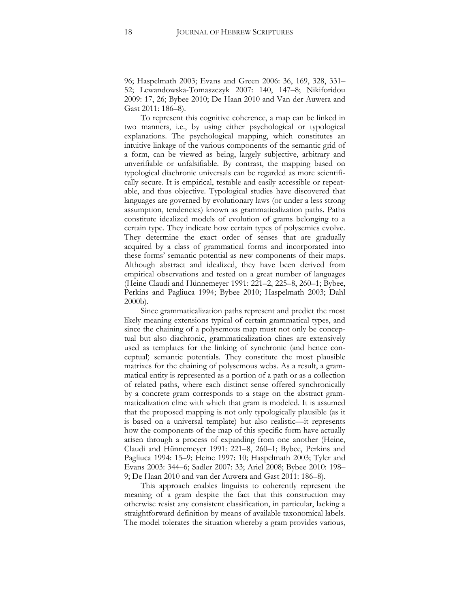96; Haspelmath 2003; Evans and Green 2006: 36, 169, 328, 331– 52; Lewandowska-Tomaszczyk 2007: 140, 147–8; Nikiforidou 2009: 17, 26; Bybee 2010; De Haan 2010 and Van der Auwera and Gast 2011: 186–8).

To represent this cognitive coherence, a map can be linked in two manners, i.e., by using either psychological or typological explanations. The psychological mapping, which constitutes an intuitive linkage of the various components of the semantic grid of a form, can be viewed as being, largely subjective, arbitrary and unverifiable or unfalsifiable. By contrast, the mapping based on typological diachronic universals can be regarded as more scientifically secure. It is empirical, testable and easily accessible or repeatable, and thus objective. Typological studies have discovered that languages are governed by evolutionary laws (or under a less strong assumption, tendencies) known as grammaticalization paths. Paths constitute idealized models of evolution of grams belonging to a certain type. They indicate how certain types of polysemies evolve. They determine the exact order of senses that are gradually acquired by a class of grammatical forms and incorporated into these forms' semantic potential as new components of their maps. Although abstract and idealized, they have been derived from empirical observations and tested on a great number of languages (Heine Claudi and Hünnemeyer 1991: 221–2, 225–8, 260–1; Bybee, Perkins and Pagliuca 1994; Bybee 2010; Haspelmath 2003; Dahl 2000b).

Since grammaticalization paths represent and predict the most likely meaning extensions typical of certain grammatical types, and since the chaining of a polysemous map must not only be conceptual but also diachronic, grammaticalization clines are extensively used as templates for the linking of synchronic (and hence conceptual) semantic potentials. They constitute the most plausible matrixes for the chaining of polysemous webs. As a result, a grammatical entity is represented as a portion of a path or as a collection of related paths, where each distinct sense offered synchronically by a concrete gram corresponds to a stage on the abstract grammaticalization cline with which that gram is modeled. It is assumed that the proposed mapping is not only typologically plausible (as it is based on a universal template) but also realistic—it represents how the components of the map of this specific form have actually arisen through a process of expanding from one another (Heine, Claudi and Hünnemeyer 1991: 221–8, 260–1; Bybee, Perkins and Pagliuca 1994: 15–9; Heine 1997: 10; Haspelmath 2003; Tyler and Evans 2003: 344–6; Sadler 2007: 33; Ariel 2008; Bybee 2010: 198– 9; De Haan 2010 and van der Auwera and Gast 2011: 186–8).

This approach enables linguists to coherently represent the meaning of a gram despite the fact that this construction may otherwise resist any consistent classification, in particular, lacking a straightforward definition by means of available taxonomical labels. The model tolerates the situation whereby a gram provides various,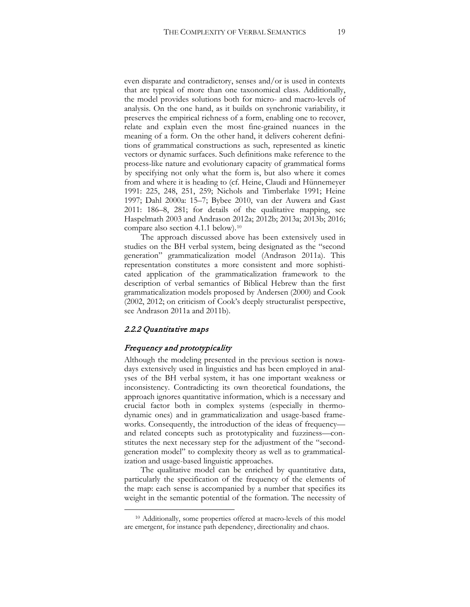even disparate and contradictory, senses and/or is used in contexts that are typical of more than one taxonomical class. Additionally, the model provides solutions both for micro- and macro-levels of analysis. On the one hand, as it builds on synchronic variability, it preserves the empirical richness of a form, enabling one to recover, relate and explain even the most fine-grained nuances in the meaning of a form. On the other hand, it delivers coherent definitions of grammatical constructions as such, represented as kinetic vectors or dynamic surfaces. Such definitions make reference to the process-like nature and evolutionary capacity of grammatical forms by specifying not only what the form is, but also where it comes from and where it is heading to (cf. Heine, Claudi and Hünnemeyer 1991: 225, 248, 251, 259; Nichols and Timberlake 1991; Heine 1997; Dahl 2000a: 15–7; Bybee 2010, van der Auwera and Gast 2011: 186–8, 281; for details of the qualitative mapping, see Haspelmath 2003 and Andrason 2012a; 2012b; 2013a; 2013b; 2016; compare also section 4.1.1 below).[10](#page-19-0)

The approach discussed above has been extensively used in studies on the BH verbal system, being designated as the "second generation" grammaticalization model (Andrason 2011a). This representation constitutes a more consistent and more sophisticated application of the grammaticalization framework to the description of verbal semantics of Biblical Hebrew than the first grammaticalization models proposed by Andersen (2000) and Cook (2002, 2012; on criticism of Cook's deeply structuralist perspective, see Andrason 2011a and 2011b).

#### 2.2.2 Quantitative maps

 $\overline{a}$ 

#### Frequency and prototypicality

Although the modeling presented in the previous section is nowadays extensively used in linguistics and has been employed in analyses of the BH verbal system, it has one important weakness or inconsistency. Contradicting its own theoretical foundations, the approach ignores quantitative information, which is a necessary and crucial factor both in complex systems (especially in thermodynamic ones) and in grammaticalization and usage-based frameworks. Consequently, the introduction of the ideas of frequency and related concepts such as prototypicality and fuzziness—constitutes the next necessary step for the adjustment of the "secondgeneration model" to complexity theory as well as to grammaticalization and usage-based linguistic approaches.

The qualitative model can be enriched by quantitative data, particularly the specification of the frequency of the elements of the map: each sense is accompanied by a number that specifies its weight in the semantic potential of the formation. The necessity of

<span id="page-19-0"></span><sup>10</sup> Additionally, some properties offered at macro-levels of this model are emergent, for instance path dependency, directionality and chaos.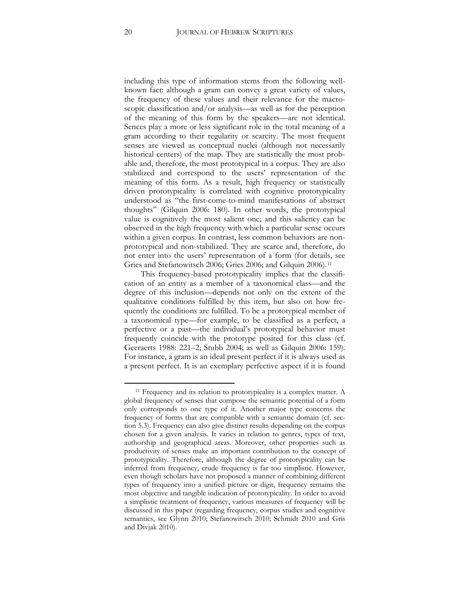including this type of information stems from the following wellknown fact: although a gram can convey a great variety of values, the frequency of these values and their relevance for the macroscopic classification and/or analysis—as well as for the perception of the meaning of this form by the speakers—are not identical. Sences play a more or less significant role in the total meaning of a gram according to their regularity or scarcity. The most frequent senses are viewed as conceptual nuclei (although not necessarily historical centers) of the map. They are statistically the most probable and, therefore, the most prototypical in a corpus. They are also stabilized and correspond to the users' representation of the meaning of this form. As a result, high frequency or statistically driven prototypicality is correlated with cognitive prototypicality understood as "the first-come-to-mind manifestations of abstract thoughts" (Gilquin 2006: 180). In other words, the prototypical value is cognitively the most salient one; and this saliency can be observed in the high frequency with which a particular sense occurs within a given corpus. In contrast, less common behaviors are nonprototypical and non-stabilized. They are scarce and, therefore, do not enter into the users' representation of a form (for details, see Gries and Stefanowitsch 2006; Gries 2006; and Gilquin 2006).[11](#page-20-0)

This frequency-based prototypicality implies that the classification of an entity as a member of a taxonomical class—and the degree of this inclusion—depends not only on the extent of the qualitative conditions fulfilled by this item, but also on how frequently the conditions are fulfilled. To be a prototypical member of a taxonomical type—for example, to be classified as a perfect, a perfective or a past—the individual's prototypical behavior must frequently coincide with the prototype posited for this class (cf. Geeraerts 1988: 221–2; Stubb 2004; as well as Gilquin 2006: 159). For instance, a gram is an ideal present perfect if it is always used as a present perfect. It is an exemplary perfective aspect if it is found

<span id="page-20-0"></span><sup>&</sup>lt;sup>11</sup> Frequency and its relation to prototypicality is a complex matter. A global frequency of senses that compose the semantic potential of a form only corresponds to one type of it. Another major type concerns the frequency of forms that are compatible with a semantic domain (cf. section 5.3). Frequency can also give distinct results depending on the corpus chosen for a given analysis. It varies in relation to genres, types of text, authorship and geographical areas. Moreover, other properties such as productivity of senses make an important contribution to the concept of prototypicality. Therefore, although the degree of prototypicality can be inferred from frequency, crude frequency is far too simplistic. However, even though scholars have not proposed a manner of combining different types of frequency into a unified picture or digit, frequency remains the most objective and tangible indication of prototypicality. In order to avoid a simplistic treatment of frequency, various measures of frequency will be discussed in this paper (regarding frequency, corpus studies and cognitive semantics, see Glynn 2010; Stefanowitsch 2010; Schmidt 2010 and Gris and Divjak 2010).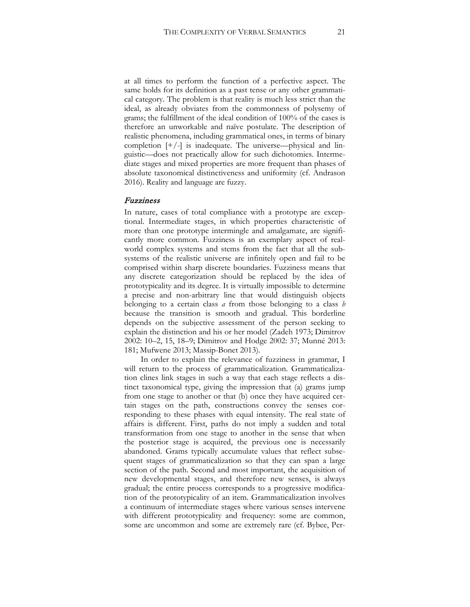at all times to perform the function of a perfective aspect. The same holds for its definition as a past tense or any other grammatical category. The problem is that reality is much less strict than the ideal, as already obviates from the commonness of polysemy of grams; the fulfillment of the ideal condition of 100% of the cases is therefore an unworkable and naïve postulate. The description of realistic phenomena, including grammatical ones, in terms of binary completion  $[+/$ ] is inadequate. The universe—physical and linguistic—does not practically allow for such dichotomies. Intermediate stages and mixed properties are more frequent than phases of absolute taxonomical distinctiveness and uniformity (cf. Andrason 2016). Reality and language are fuzzy.

#### Fuzziness

In nature, cases of total compliance with a prototype are exceptional. Intermediate stages, in which properties characteristic of more than one prototype intermingle and amalgamate, are significantly more common. Fuzziness is an exemplary aspect of realworld complex systems and stems from the fact that all the subsystems of the realistic universe are infinitely open and fail to be comprised within sharp discrete boundaries. Fuzziness means that any discrete categorization should be replaced by the idea of prototypicality and its degree. It is virtually impossible to determine a precise and non-arbitrary line that would distinguish objects belonging to a certain class *a* from those belonging to a class *b* because the transition is smooth and gradual. This borderline depends on the subjective assessment of the person seeking to explain the distinction and his or her model (Zadeh 1973; Dimitrov 2002: 10–2, 15, 18–9; Dimitrov and Hodge 2002: 37; Munné 2013: 181; Mufwene 2013; Massip-Bonet 2013).

In order to explain the relevance of fuzziness in grammar, I will return to the process of grammaticalization. Grammaticalization clines link stages in such a way that each stage reflects a distinct taxonomical type, giving the impression that (a) grams jump from one stage to another or that (b) once they have acquired certain stages on the path, constructions convey the senses corresponding to these phases with equal intensity. The real state of affairs is different. First, paths do not imply a sudden and total transformation from one stage to another in the sense that when the posterior stage is acquired, the previous one is necessarily abandoned. Grams typically accumulate values that reflect subsequent stages of grammaticalization so that they can span a large section of the path. Second and most important, the acquisition of new developmental stages, and therefore new senses, is always gradual; the entire process corresponds to a progressive modification of the prototypicality of an item. Grammaticalization involves a continuum of intermediate stages where various senses intervene with different prototypicality and frequency: some are common, some are uncommon and some are extremely rare (cf. Bybee, Per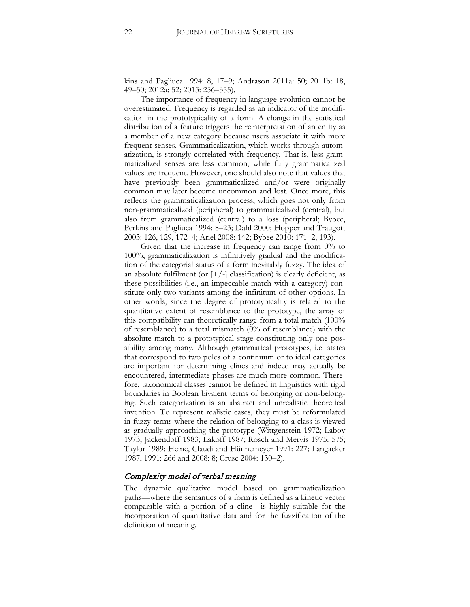kins and Pagliuca 1994: 8, 17–9; Andrason 2011a: 50; 2011b: 18, 49–50; 2012a: 52; 2013: 256–355).

The importance of frequency in language evolution cannot be overestimated. Frequency is regarded as an indicator of the modification in the prototypicality of a form. A change in the statistical distribution of a feature triggers the reinterpretation of an entity as a member of a new category because users associate it with more frequent senses. Grammaticalization, which works through automatization, is strongly correlated with frequency. That is, less grammaticalized senses are less common, while fully grammaticalized values are frequent. However, one should also note that values that have previously been grammaticalized and/or were originally common may later become uncommon and lost. Once more, this reflects the grammaticalization process, which goes not only from non-grammaticalized (peripheral) to grammaticalized (central), but also from grammaticalized (central) to a loss (peripheral; Bybee, Perkins and Pagliuca 1994: 8–23; Dahl 2000; Hopper and Traugott 2003: 126, 129, 172–4; Ariel 2008: 142; Bybee 2010: 171–2, 193).

Given that the increase in frequency can range from  $0\%$  to 100%, grammaticalization is infinitively gradual and the modification of the categorial status of a form inevitably fuzzy. The idea of an absolute fulfilment (or  $[+/$ ] classification) is clearly deficient, as these possibilities (i.e., an impeccable match with a category) constitute only two variants among the infinitum of other options. In other words, since the degree of prototypicality is related to the quantitative extent of resemblance to the prototype, the array of this compatibility can theoretically range from a total match (100% of resemblance) to a total mismatch (0% of resemblance) with the absolute match to a prototypical stage constituting only one possibility among many. Although grammatical prototypes, i.e. states that correspond to two poles of a continuum or to ideal categories are important for determining clines and indeed may actually be encountered, intermediate phases are much more common. Therefore, taxonomical classes cannot be defined in linguistics with rigid boundaries in Boolean bivalent terms of belonging or non-belonging. Such categorization is an abstract and unrealistic theoretical invention. To represent realistic cases, they must be reformulated in fuzzy terms where the relation of belonging to a class is viewed as gradually approaching the prototype (Wittgenstein 1972; Labov 1973; Jackendoff 1983; Lakoff 1987; Rosch and Mervis 1975: 575; Taylor 1989; Heine, Claudi and Hünnemeyer 1991: 227; Langacker 1987, 1991: 266 and 2008: 8; Cruse 2004: 130–2).

#### Complexity model of verbal meaning

The dynamic qualitative model based on grammaticalization paths—where the semantics of a form is defined as a kinetic vector comparable with a portion of a cline—is highly suitable for the incorporation of quantitative data and for the fuzzification of the definition of meaning.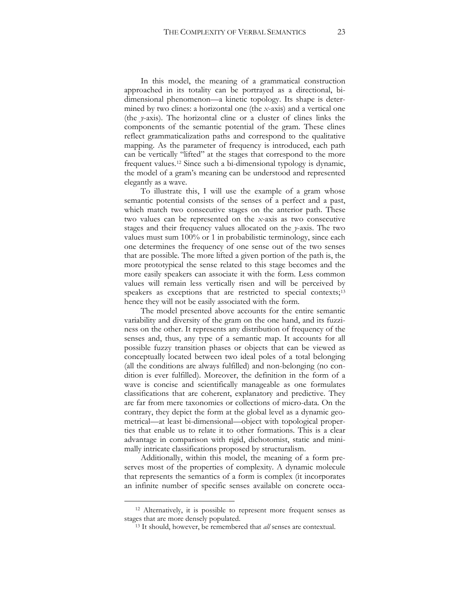In this model, the meaning of a grammatical construction approached in its totality can be portrayed as a directional, bidimensional phenomenon—a kinetic topology. Its shape is determined by two clines: a horizontal one (the *x*-axis) and a vertical one (the *y*-axis). The horizontal cline or a cluster of clines links the components of the semantic potential of the gram. These clines reflect grammaticalization paths and correspond to the qualitative mapping. As the parameter of frequency is introduced, each path can be vertically "lifted" at the stages that correspond to the more frequent values.[12](#page-23-0) Since such a bi-dimensional typology is dynamic, the model of a gram's meaning can be understood and represented elegantly as a wave.

To illustrate this, I will use the example of a gram whose semantic potential consists of the senses of a perfect and a past, which match two consecutive stages on the anterior path. These two values can be represented on the *x*-axis as two consecutive stages and their frequency values allocated on the *y*-axis. The two values must sum 100% or 1 in probabilistic terminology, since each one determines the frequency of one sense out of the two senses that are possible. The more lifted a given portion of the path is, the more prototypical the sense related to this stage becomes and the more easily speakers can associate it with the form. Less common values will remain less vertically risen and will be perceived by speakers as exceptions that are restricted to special contexts;<sup>[13](#page-23-1)</sup> hence they will not be easily associated with the form.

The model presented above accounts for the entire semantic variability and diversity of the gram on the one hand, and its fuzziness on the other. It represents any distribution of frequency of the senses and, thus, any type of a semantic map. It accounts for all possible fuzzy transition phases or objects that can be viewed as conceptually located between two ideal poles of a total belonging (all the conditions are always fulfilled) and non-belonging (no condition is ever fulfilled). Moreover, the definition in the form of a wave is concise and scientifically manageable as one formulates classifications that are coherent, explanatory and predictive. They are far from mere taxonomies or collections of micro-data. On the contrary, they depict the form at the global level as a dynamic geometrical—at least bi-dimensional—object with topological properties that enable us to relate it to other formations. This is a clear advantage in comparison with rigid, dichotomist, static and minimally intricate classifications proposed by structuralism.

Additionally, within this model, the meaning of a form preserves most of the properties of complexity. A dynamic molecule that represents the semantics of a form is complex (it incorporates an infinite number of specific senses available on concrete occa-

<span id="page-23-1"></span><span id="page-23-0"></span><sup>12</sup> Alternatively, it is possible to represent more frequent senses as stages that are more densely populated.

<sup>13</sup> It should, however, be remembered that *all* senses are contextual.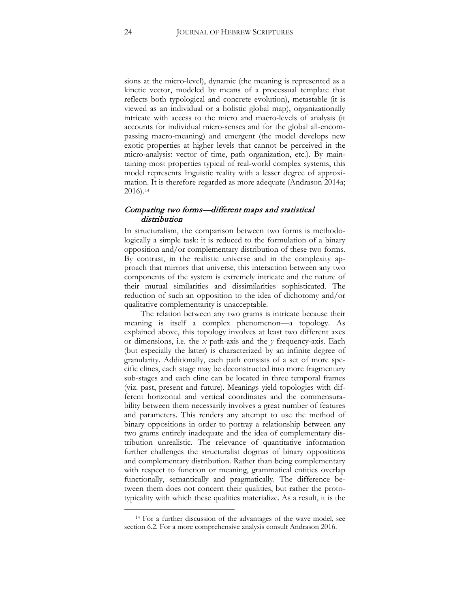sions at the micro-level), dynamic (the meaning is represented as a kinetic vector, modeled by means of a processual template that reflects both typological and concrete evolution), metastable (it is viewed as an individual or a holistic global map), organizationally intricate with access to the micro and macro-levels of analysis (it accounts for individual micro-senses and for the global all-encompassing macro-meaning) and emergent (the model develops new exotic properties at higher levels that cannot be perceived in the micro-analysis: vector of time, path organization, etc.). By maintaining most properties typical of real-world complex systems, this model represents linguistic reality with a lesser degree of approximation. It is therefore regarded as more adequate (Andrason 2014a; 2016).[14](#page-24-0)

# Comparing two forms—different maps and statistical distribution

In structuralism, the comparison between two forms is methodologically a simple task: it is reduced to the formulation of a binary opposition and/or complementary distribution of these two forms. By contrast, in the realistic universe and in the complexity approach that mirrors that universe, this interaction between any two components of the system is extremely intricate and the nature of their mutual similarities and dissimilarities sophisticated. The reduction of such an opposition to the idea of dichotomy and/or qualitative complementarity is unacceptable.

The relation between any two grams is intricate because their meaning is itself a complex phenomenon—a topology. As explained above, this topology involves at least two different axes or dimensions, i.e. the *x* path-axis and the *y* frequency-axis. Each (but especially the latter) is characterized by an infinite degree of granularity. Additionally, each path consists of a set of more specific clines, each stage may be deconstructed into more fragmentary sub-stages and each cline can be located in three temporal frames (viz. past, present and future). Meanings yield topologies with different horizontal and vertical coordinates and the commensurability between them necessarily involves a great number of features and parameters. This renders any attempt to use the method of binary oppositions in order to portray a relationship between any two grams entirely inadequate and the idea of complementary distribution unrealistic. The relevance of quantitative information further challenges the structuralist dogmas of binary oppositions and complementary distribution. Rather than being complementary with respect to function or meaning, grammatical entities overlap functionally, semantically and pragmatically. The difference between them does not concern their qualities, but rather the prototypicality with which these qualities materialize. As a result, it is the

<span id="page-24-0"></span><sup>&</sup>lt;sup>14</sup> For a further discussion of the advantages of the wave model, see section 6.2. For a more comprehensive analysis consult Andrason 2016.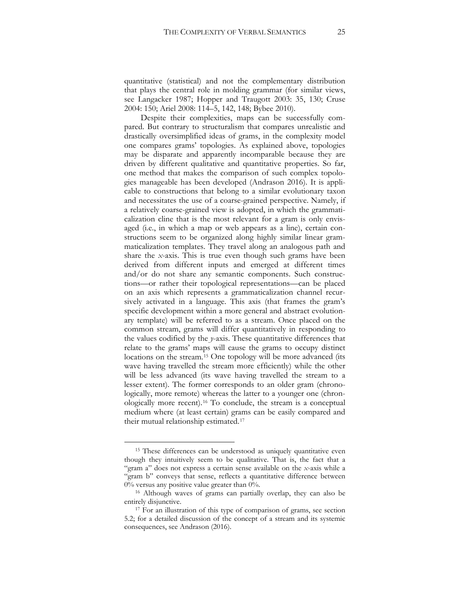quantitative (statistical) and not the complementary distribution that plays the central role in molding grammar (for similar views, see Langacker 1987; Hopper and Traugott 2003: 35, 130; Cruse 2004: 150; Ariel 2008: 114–5, 142, 148; Bybee 2010).

Despite their complexities, maps can be successfully compared. But contrary to structuralism that compares unrealistic and drastically oversimplified ideas of grams, in the complexity model one compares grams' topologies. As explained above, topologies may be disparate and apparently incomparable because they are driven by different qualitative and quantitative properties. So far, one method that makes the comparison of such complex topologies manageable has been developed (Andrason 2016). It is applicable to constructions that belong to a similar evolutionary taxon and necessitates the use of a coarse-grained perspective. Namely, if a relatively coarse-grained view is adopted, in which the grammaticalization cline that is the most relevant for a gram is only envisaged (i.e., in which a map or web appears as a line), certain constructions seem to be organized along highly similar linear grammaticalization templates. They travel along an analogous path and share the *x*-axis. This is true even though such grams have been derived from different inputs and emerged at different times and/or do not share any semantic components. Such constructions—or rather their topological representations—can be placed on an axis which represents a grammaticalization channel recursively activated in a language. This axis (that frames the gram's specific development within a more general and abstract evolutionary template) will be referred to as a stream. Once placed on the common stream, grams will differ quantitatively in responding to the values codified by the *y*-axis. These quantitative differences that relate to the grams' maps will cause the grams to occupy distinct locations on the stream.[15](#page-25-0) One topology will be more advanced (its wave having travelled the stream more efficiently) while the other will be less advanced (its wave having travelled the stream to a lesser extent). The former corresponds to an older gram (chronologically, more remote) whereas the latter to a younger one (chronologically more recent).[16](#page-25-1) To conclude, the stream is a conceptual medium where (at least certain) grams can be easily compared and their mutual relationship estimated.[17](#page-25-2)

<span id="page-25-0"></span><sup>&</sup>lt;sup>15</sup> These differences can be understood as uniquely quantitative even though they intuitively seem to be qualitative. That is, the fact that a "gram a" does not express a certain sense available on the *x*-axis while a "gram b" conveys that sense, reflects a quantitative difference between 0% versus any positive value greater than 0%.

<span id="page-25-1"></span><sup>16</sup> Although waves of grams can partially overlap, they can also be entirely disjunctive.

<span id="page-25-2"></span><sup>&</sup>lt;sup>17</sup> For an illustration of this type of comparison of grams, see section 5.2; for a detailed discussion of the concept of a stream and its systemic consequences, see Andrason (2016).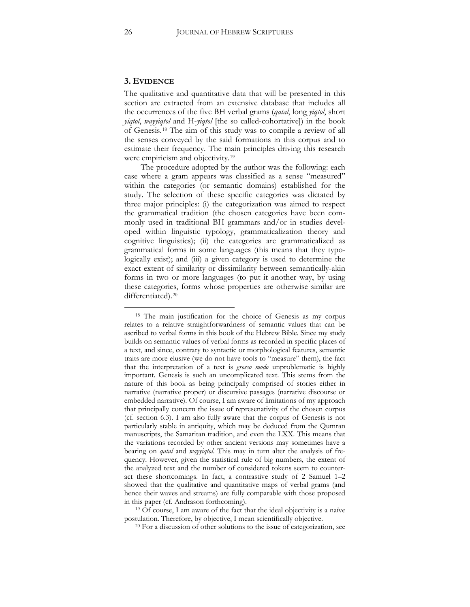#### **3. EVIDENCE**

The qualitative and quantitative data that will be presented in this section are extracted from an extensive database that includes all the occurrences of the five BH verbal grams (*qatal*, long *yiqtol*, short *yiqtol*, *wayyiqtol* and H-*yiqtol* [the so called-cohortative]) in the book of Genesis.[18](#page-26-0) The aim of this study was to compile a review of all the senses conveyed by the said formations in this corpus and to estimate their frequency. The main principles driving this research were empiricism and objectivity.<sup>[19](#page-26-1)</sup>

The procedure adopted by the author was the following: each case where a gram appears was classified as a sense "measured" within the categories (or semantic domains) established for the study. The selection of these specific categories was dictated by three major principles: (i) the categorization was aimed to respect the grammatical tradition (the chosen categories have been commonly used in traditional BH grammars and/or in studies developed within linguistic typology, grammaticalization theory and cognitive linguistics); (ii) the categories are grammaticalized as grammatical forms in some languages (this means that they typologically exist); and (iii) a given category is used to determine the exact extent of similarity or dissimilarity between semantically-akin forms in two or more languages (to put it another way, by using these categories, forms whose properties are otherwise similar are differentiated).<sup>[20](#page-26-2)</sup>

<span id="page-26-0"></span><sup>18</sup> The main justification for the choice of Genesis as my corpus relates to a relative straightforwardness of semantic values that can be ascribed to verbal forms in this book of the Hebrew Bible. Since my study builds on semantic values of verbal forms as recorded in specific places of a text, and since, contrary to syntactic or morphological features, semantic traits are more elusive (we do not have tools to "measure" them), the fact that the interpretation of a text is *grosso modo* unproblematic is highly important. Genesis is such an uncomplicated text. This stems from the nature of this book as being principally comprised of stories either in narrative (narrative proper) or discursive passages (narrative discourse or embedded narrative). Of course, I am aware of limitations of my approach that principally concern the issue of represenativity of the chosen corpus (cf. section 6.3). I am also fully aware that the corpus of Genesis is not particularly stable in antiquity, which may be deduced from the Qumran manuscripts, the Samaritan tradition, and even the LXX. This means that the variations recorded by other ancient versions may sometimes have a bearing on *qatal* and *wayyiqtol*. This may in turn alter the analysis of frequency. However, given the statistical rule of big numbers, the extent of the analyzed text and the number of considered tokens seem to counteract these shortcomings. In fact, a contrastive study of 2 Samuel 1–2 showed that the qualitative and quantitative maps of verbal grams (and hence their waves and streams) are fully comparable with those proposed in this paper (cf. Andrason forthcoming).

<span id="page-26-2"></span><span id="page-26-1"></span><sup>&</sup>lt;sup>19</sup> Of course, I am aware of the fact that the ideal objectivity is a naïve postulation. Therefore, by objective, I mean scientifically objective.

<sup>&</sup>lt;sup>20</sup> For a discussion of other solutions to the issue of categorization, see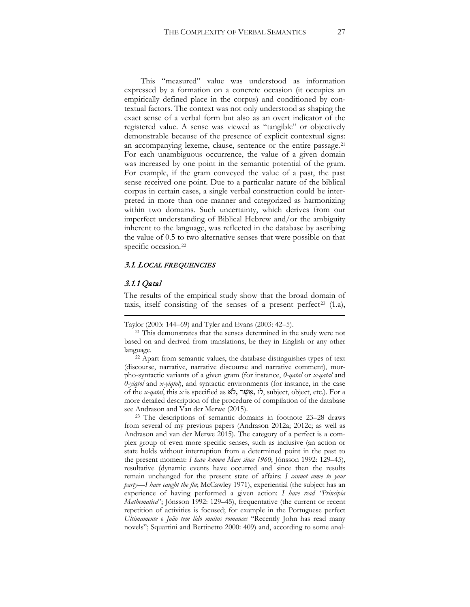This "measured" value was understood as information expressed by a formation on a concrete occasion (it occupies an empirically defined place in the corpus) and conditioned by contextual factors. The context was not only understood as shaping the exact sense of a verbal form but also as an overt indicator of the registered value. A sense was viewed as "tangible" or objectively demonstrable because of the presence of explicit contextual signs: an accompanying lexeme, clause, sentence or the entire passage.[21](#page-27-0) For each unambiguous occurrence, the value of a given domain was increased by one point in the semantic potential of the gram. For example, if the gram conveyed the value of a past, the past sense received one point. Due to a particular nature of the biblical corpus in certain cases, a single verbal construction could be interpreted in more than one manner and categorized as harmonizing within two domains. Such uncertainty, which derives from our imperfect understanding of Biblical Hebrew and/or the ambiguity inherent to the language, was reflected in the database by ascribing the value of 0.5 to two alternative senses that were possible on that specific occasion.<sup>[22](#page-27-1)</sup>

#### 3.1. LOCAL FREQUENCIES

#### 3.1.1 Qatal

 $\overline{a}$ 

The results of the empirical study show that the broad domain of taxis, itself consisting of the senses of a present perfect<sup>[23](#page-27-2)</sup>  $(1.a)$ ,

Taylor (2003: 144–69) and Tyler and Evans (2003: 42–5).

<span id="page-27-0"></span><sup>21</sup> This demonstrates that the senses determined in the study were not based on and derived from translations, be they in English or any other language. 22 Apart from semantic values, the database distinguishes types of text

<span id="page-27-1"></span>(discourse, narrative, narrative discourse and narrative comment), morpho-syntactic variants of a given gram (for instance, *0-qatal* or *x-qatal* and *0-yiqtol* and *x-yiqtol*), and syntactic environments (for instance, in the case of the *x-qatal*, this *x* is specified as אֹ ל, ר ֶשׁ ֲא, לוּ, subject, object, etc.). For a more detailed description of the procedure of compilation of the database see Andrason and Van der Merwe (2015). 23 The descriptions of semantic domains in footnote 23–28 draws

<span id="page-27-2"></span>from several of my previous papers (Andrason 2012a; 2012c; as well as Andrason and van der Merwe 2015). The category of a perfect is a complex group of even more specific senses, such as inclusive (an action or state holds without interruption from a determined point in the past to the present moment: *I have known Max since 1960*; Jónsson 1992: 129–45), resultative (dynamic events have occurred and since then the results remain unchanged for the present state of affairs: *I cannot come to your party—I have caught the flu*; McCawley 1971), experiential (the subject has an experience of having performed a given action: *I have read "Principia Mathematica*"; Jónsson 1992: 129–45), frequentative (the current or recent repetition of activities is focused; for example in the Portuguese perfect *Ultimamente o João tem lido muitos romances* "Recently John has read many novels"; Squartini and Bertinetto 2000: 409) and, according to some anal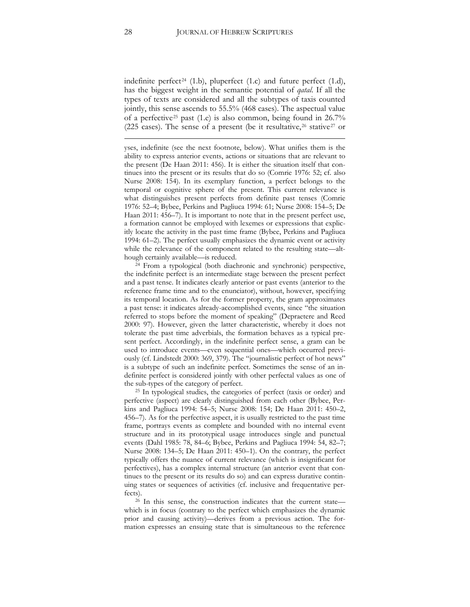indefinite perfect<sup>[24](#page-28-0)</sup> (1.b), pluperfect (1.c) and future perfect (1.d), has the biggest weight in the semantic potential of *qatal*. If all the types of texts are considered and all the subtypes of taxis counted jointly, this sense ascends to 55.5% (468 cases). The aspectual value of a perfective[25](#page-28-1) past (1.e) is also common, being found in 26.7% (225 cases). The sense of a present (be it resultative,  $26$  stative  $27$  or

yses, indefinite (see the next footnote, below). What unifies them is the ability to express anterior events, actions or situations that are relevant to the present (De Haan 2011: 456). It is either the situation itself that continues into the present or its results that do so (Comrie 1976: 52; cf. also Nurse 2008: 154). In its exemplary function, a perfect belongs to the temporal or cognitive sphere of the present. This current relevance is what distinguishes present perfects from definite past tenses (Comrie 1976: 52–4; Bybee, Perkins and Pagliuca 1994: 61; Nurse 2008: 154–5; De Haan 2011: 456–7). It is important to note that in the present perfect use, a formation cannot be employed with lexemes or expressions that explicitly locate the activity in the past time frame (Bybee, Perkins and Pagliuca 1994: 61–2). The perfect usually emphasizes the dynamic event or activity while the relevance of the component related to the resulting state—although certainly available—is reduced. 24 From a typological (both diachronic and synchronic) perspective,

<span id="page-28-0"></span>the indefinite perfect is an intermediate stage between the present perfect and a past tense. It indicates clearly anterior or past events (anterior to the reference frame time and to the enunciator), without, however, specifying its temporal location. As for the former property, the gram approximates a past tense: it indicates already-accomplished events, since "the situation referred to stops before the moment of speaking" (Depraetere and Reed 2000: 97). However, given the latter characteristic, whereby it does not tolerate the past time adverbials, the formation behaves as a typical present perfect. Accordingly, in the indefinite perfect sense, a gram can be used to introduce events—even sequential ones—which occurred previously (cf. Lindstedt 2000: 369, 379). The "journalistic perfect of hot news" is a subtype of such an indefinite perfect. Sometimes the sense of an indefinite perfect is considered jointly with other perfectal values as one of the sub-types of the category of perfect.

<span id="page-28-3"></span><span id="page-28-1"></span><sup>25</sup> In typological studies, the categories of perfect (taxis or order) and perfective (aspect) are clearly distinguished from each other (Bybee, Perkins and Pagliuca 1994: 54–5; Nurse 2008: 154; De Haan 2011: 450–2, 456–7). As for the perfective aspect, it is usually restricted to the past time frame, portrays events as complete and bounded with no internal event structure and in its prototypical usage introduces single and punctual events (Dahl 1985: 78, 84–6; Bybee, Perkins and Pagliuca 1994: 54, 82–7; Nurse 2008: 134–5; De Haan 2011: 450–1). On the contrary, the perfect typically offers the nuance of current relevance (which is insignificant for perfectives), has a complex internal structure (an anterior event that continues to the present or its results do so) and can express durative continuing states or sequences of activities (cf. inclusive and frequentative perfects).

<span id="page-28-2"></span><sup>26</sup> In this sense, the construction indicates that the current state which is in focus (contrary to the perfect which emphasizes the dynamic prior and causing activity)—derives from a previous action. The formation expresses an ensuing state that is simultaneous to the reference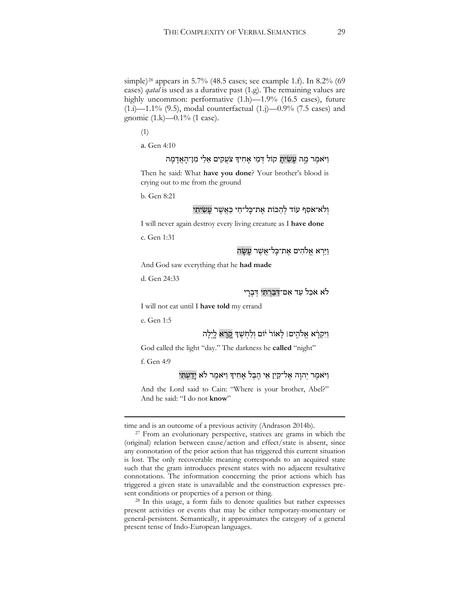simple)[28](#page-29-0) appears in 5.7% (48.5 cases; see example 1.f). In 8.2% (69 cases) *qatal* is used as a durative past (1.g). The remaining values are highly uncommon: performative  $(1.h)$ —1.9%  $(16.5 \text{ cases})$ , future  $(1.1)$ —1.1%  $(9.5)$ , modal counterfactual  $(1.1)$ —0.9%  $(7.5 \text{ cases})$  and gnomic (1.k)—0.1% (1 case).

(1)

a. Gen 4:10

# וַ יִּאמֶר מֱה עַשִׂיתַ קוֹל דְּמֵי אַחִיךְּ צֹעֲקִים אֵלַי מִן־הָאֲדָמָה

Then he said: What **have you done**? Your brother's blood is crying out to me from the ground

b. Gen 8:21

# וְלֹא־אֹסִף עוֹד לְהַכּוֹת אֱת־כָּל־חַי כַּאֲשֶׁר עַשָׂיתִי

I will never again destroy every living creature as I **have done**

c. Gen 1:31

ויּרא אַלֹהים אַת־כַּל־אַשַׁר עַשַׂה

And God saw everything that he **had made**

d. Gen 24:33

#### לֹאָ אֹכל עד אִם־דִּבַּרְתִּי דִּבְרִי

I will not eat until I **have told** my errand

e. Gen 1:5

# וַיִּקְרָ֫א אֱלֹהֶים। לַאוֹר<sup>וּ</sup> יֹוֹם וְלַחִשֶׁךָּ <u>קְרָ</u>א לֵיִלַה

God called the light "day." The darkness he **called** "night"

f. Gen 4:9

 $\overline{a}$ 

# וַ יִּאמֶר יְהוַה אֱל־קַיָן אֵי הֶבֶל אַחִידְּ וַיּאמֶר לֹא יַדַעְתִּי

And the Lord said to Cain: "Where is your brother, Abel?" And he said: "I do not **know**"

time and is an outcome of a previous activity (Andrason 2014b).<br><sup>27</sup> From an evolutionary perspective, statives are grams in which the (original) relation between cause/action and effect/state is absent, since any connotation of the prior action that has triggered this current situation is lost. The only recoverable meaning corresponds to an acquired state such that the gram introduces present states with no adjacent resultative connotations. The information concerning the prior actions which has triggered a given state is unavailable and the construction expresses present conditions or properties of a person or thing.

<span id="page-29-0"></span><sup>28</sup> In this usage, a form fails to denote qualities but rather expresses present activities or events that may be either temporary-momentary or general-persistent. Semantically, it approximates the category of a general present tense of Indo-European languages.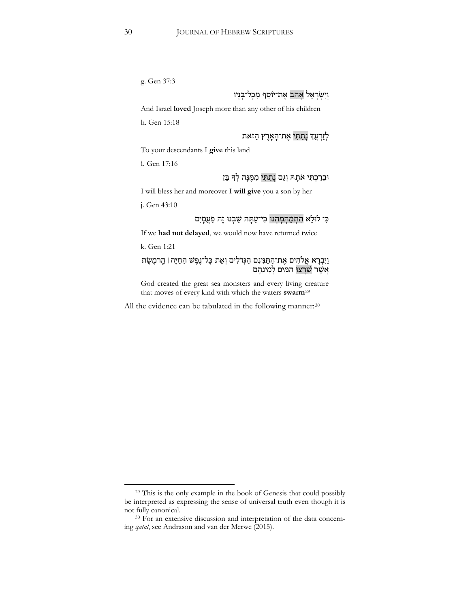g. Gen 37:3

# וְיִשְׂרָאֵל אָהַב אֵת־יוֹסֵף מִכָּל־בָּנָיו

And Israel **loved** Joseph more than any other of his children

h. Gen 15:18

# לְזַרְעֲדְ נָתַתִּי אֱת־הָאָרֵץ הַזֹּאת

To your descendants I **give** this land

i. Gen 17:16

# וּבֵרַכְתִּי אֹתָהּ וְגָם נַתֲתִּי מִמֶּנֵּה לְדָּ בֵּן

I will bless her and moreover I **will give** you a son by her

j. Gen 43:10

# כִּי לוּלֵא הִתְמַהִמָּהוּ כִּי־עַתָּה שַׁבְנוּ זֶה פַּעֲמָיִם

If we **had not delayed**, we would now have returned twice

k. Gen 1:21

 $\overline{a}$ 

# וַיִּבְרָא אֱלֹהִים אֶת־הַתַּגִּינִם הַגְּדֹלִים וְאֵת כְּל־נֶפֶשׁ הַחַיָּה| הֶרמֶשֶׂת אֲשֶׁר שָׁרְצוּ הַמַּיִם לְמִינֵהֶם

God created the great sea monsters and every living creature that moves of every kind with which the waters swarm<sup>29</sup>

All the evidence can be tabulated in the following manner:<sup>30</sup>

<sup>&</sup>lt;sup>29</sup> This is the only example in the book of Genesis that could possibly be interpreted as expressing the sense of universal truth even though it is not fully canonical.

<sup>&</sup>lt;sup>30</sup> For an extensive discussion and interpretation of the data concerning *qatal*, see Andrason and van der Merwe (2015).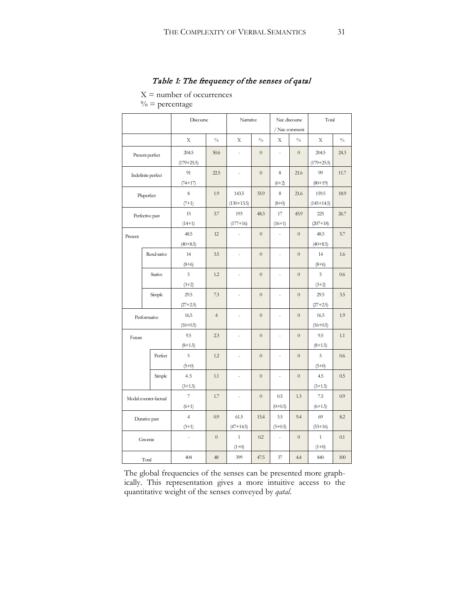# Table 1: The frequency of the senses of qatal

 $X =$  number of occurrences

 $\%$  = percentage

|                       |              | Discourse                |                | Narrative      |                | Nar. discourse |                | Total          |               |
|-----------------------|--------------|--------------------------|----------------|----------------|----------------|----------------|----------------|----------------|---------------|
|                       |              |                          |                |                |                | / Nar. comment |                |                |               |
|                       |              | X                        | $\frac{0}{0}$  | X              | $\frac{0}{0}$  | Х              | $\frac{0}{0}$  | X              | $\frac{0}{0}$ |
| Present perfect       |              | 204.5                    | 50.6           | $\overline{a}$ | $\overline{0}$ | ÷,             | $\overline{0}$ | 204.5          | 24.3          |
|                       |              | $(179+25.5)$             |                |                |                |                |                | $(179 + 25.5)$ |               |
| Indefinite perfect    |              | 91                       | 22.5           | $\frac{1}{2}$  | $\overline{0}$ | 8              | 21.6           | 99             | 11.7          |
|                       |              | $(74+17)$                |                |                |                | $(6+2)$        |                | $(80+19)$      |               |
| Pluperfect            |              | 8                        | 1.9            | 143.5          | 35.9           | 8              | 21.6           | 159.5          | 18.9          |
|                       |              | $(7+1)$                  |                | $(130+13.5)$   |                | $(8+0)$        |                | $(145+14.5)$   |               |
| Perfective past       |              | 15                       | 3.7            | 193            | 48.3           | 17             | 45.9           | 225            | 26.7          |
|                       |              | $(14+1)$                 |                | $(177+16)$     |                | $(16+1)$       |                | $(207+18)$     |               |
| Present               |              | 48.5                     | 12             | $\overline{a}$ | $\overline{0}$ | ÷,             | $\overline{0}$ | 48.5           | 5.7           |
|                       |              | $(40+8.5)$               |                |                |                |                |                | $(40+8.5)$     |               |
|                       | Resul-tative | 14                       | 3.5            | $\frac{1}{2}$  | $\overline{0}$ | L,             | $\overline{0}$ | 14             | 1.6           |
|                       |              | $(8+6)$                  |                |                |                |                |                | $(8+6)$        |               |
|                       | Stative      | 5                        | 1.2            | $\overline{a}$ | $\overline{0}$ | L,             | $\overline{0}$ | 5              | 0.6           |
|                       |              | $(3+2)$                  |                |                |                |                |                | $(3+2)$        |               |
|                       | Simple       | 29.5                     | 7.3            | $\overline{a}$ | $\overline{0}$ | ÷,             | $\overline{0}$ | 29.5           | 3.5           |
|                       |              | $(27+2.5)$               |                |                |                |                |                | $(27+2.5)$     |               |
|                       | Performative | 16.5                     | $\overline{4}$ |                | $\overline{0}$ | $\overline{a}$ | $\overline{0}$ | 16.5           | 1.9           |
|                       |              | $(16+0.5)$               |                |                |                |                |                | $(16+0.5)$     |               |
| Future                |              | 9.5                      | 2.3            | $\overline{a}$ | $\overline{0}$ | $\overline{a}$ | $\overline{0}$ | 9.5            | 1.1           |
|                       |              | $(8+1.5)$                |                |                |                |                |                | $(8+1.5)$      |               |
|                       | Perfect      | 5                        | 1.2            | $\overline{a}$ | $\overline{0}$ | L,             | $\overline{0}$ | 5              | 0.6           |
|                       |              | $(5+0)$                  |                |                |                |                |                | $(5+0)$        |               |
|                       | Simple       | 4.5                      | 1.1            | $\frac{1}{2}$  | $\overline{0}$ | ÷,             | $\overline{0}$ | 4.5            | 0.5           |
|                       |              | $(3+1.5)$                |                |                |                |                |                | $(3+1.5)$      |               |
| Modal counter-factual |              | $\overline{\phantom{a}}$ | 1.7            | $\overline{a}$ | $\overline{0}$ | 0.5            | 1.3            | 7.5            | 0.9           |
|                       |              | $(6+1)$                  |                |                |                | $(0+0.5)$      |                | $(6+1.5)$      |               |
| Durative past         |              | $\overline{4}$           | 0.9            | 61.5           | 15.4           | 3.5            | 9.4            | 69             | 8.2           |
|                       |              | $(3+1)$                  |                | $(47+14.5)$    |                | $(3+0.5)$      |                | $(53+16)$      |               |
| Gnomic                |              |                          | $\overline{0}$ | $\mathbf{1}$   | 0.2            | L,             | $\overline{0}$ | $\mathbf{1}$   | 0.1           |
|                       |              |                          |                | $(1+0)$        |                |                |                | $(1+0)$        |               |
| Total                 |              | 404                      | 48             | 399            | 47.5           | 37             | 4.4            | 840            | 100           |

The global frequencies of the senses can be presented more graphically. This representation gives a more intuitive access to the quantitative weight of the senses conveyed by *qatal*.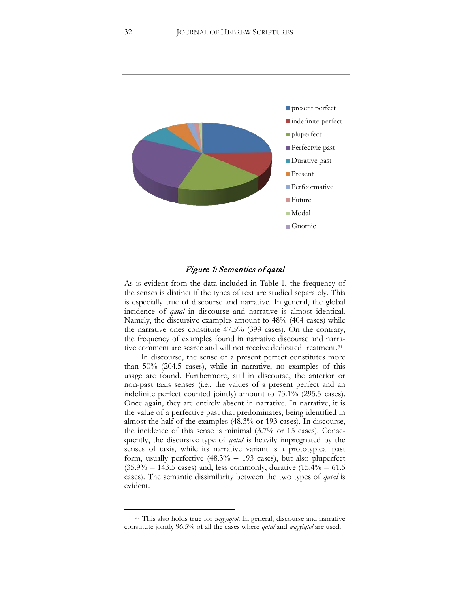

#### Figure 1: Semantics of qatal

As is evident from the data included in Table 1, the frequency of the senses is distinct if the types of text are studied separately. This is especially true of discourse and narrative. In general, the global incidence of *qatal* in discourse and narrative is almost identical. Namely, the discursive examples amount to 48% (404 cases) while the narrative ones constitute 47.5% (399 cases). On the contrary, the frequency of examples found in narrative discourse and narra-tive comment are scarce and will not receive dedicated treatment.<sup>[31](#page-32-0)</sup>

In discourse, the sense of a present perfect constitutes more than 50% (204.5 cases), while in narrative, no examples of this usage are found. Furthermore, still in discourse, the anterior or non-past taxis senses (i.e., the values of a present perfect and an indefinite perfect counted jointly) amount to 73.1% (295.5 cases). Once again, they are entirely absent in narrative. In narrative, it is the value of a perfective past that predominates, being identified in almost the half of the examples (48.3% or 193 cases). In discourse, the incidence of this sense is minimal (3.7% or 15 cases). Consequently, the discursive type of *qatal* is heavily impregnated by the senses of taxis, while its narrative variant is a prototypical past form, usually perfective (48.3% – 193 cases), but also pluperfect  $(35.9\% - 143.5 \text{ cases})$  and, less commonly, durative  $(15.4\% - 61.5$ cases). The semantic dissimilarity between the two types of *qatal* is evident.

<span id="page-32-0"></span><sup>31</sup> This also holds true for *wayyiqtol*. In general, discourse and narrative constitute jointly 96.5% of all the cases where *qatal* and *wayyiqtol* are used.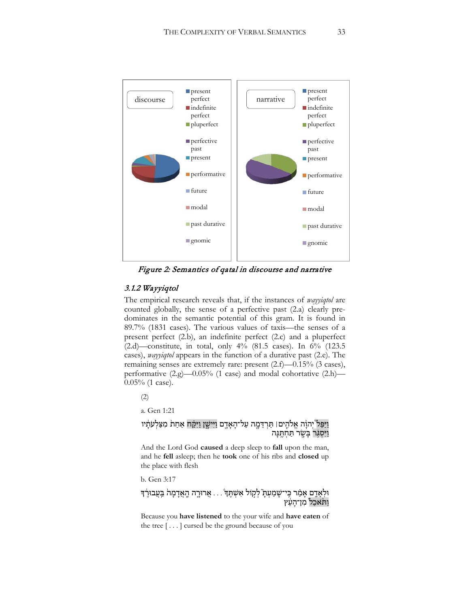

Figure 2: Semantics of qatal in discourse and narrative

# 3.1.2 Wayyiqtol

The empirical research reveals that, if the instances of *wayyiqtol* are counted globally, the sense of a perfective past (2.a) clearly predominates in the semantic potential of this gram. It is found in 89.7% (1831 cases). The various values of taxis—the senses of a present perfect (2.b), an indefinite perfect (2.c) and a pluperfect (2.d)—constitute, in total, only 4% (81.5 cases). In 6% (123.5 cases), *wayyiqtol* appears in the function of a durative past (2.e). The remaining senses are extremely rare: present (2.f)—0.15% (3 cases), performative  $(2 \text{ g})$ —0.05% (1 case) and modal cohortative  $(2 \text{ h})$ — 0.05% (1 case).

(2)

a. Gen 1:21

# וַיַּפֵּל יְהוָה אֱלֹהֶים। תַּרְדֵּמֶה עַל־הָאָדֶם וַיִּישֶׁן וַיִּקַּח אַחַת מִצַּלְעֹתָנִיו וַיִּסְגָּר בַּשֶׂר תַּחְתֱנַּה

And the Lord God **caused** a deep sleep to **fall** upon the man, and he **fell** asleep; then he **took** one of his ribs and **closed** up the place with flesh

b. Gen 3:17

# ּוּלְאָדֶם אָמַר כִּי־שָׁמַעִתָּ לִקְוֹל אִשְׁתֵּךְ . . . אֲרוּרֶה הֲאֲדָמָה בַּעֲבוּרֶךְ וַחֹּאַכַל מִן־הַעֵּץ

Because you **have listened** to the your wife and **have eaten** of the tree [ . . . ] cursed be the ground because of you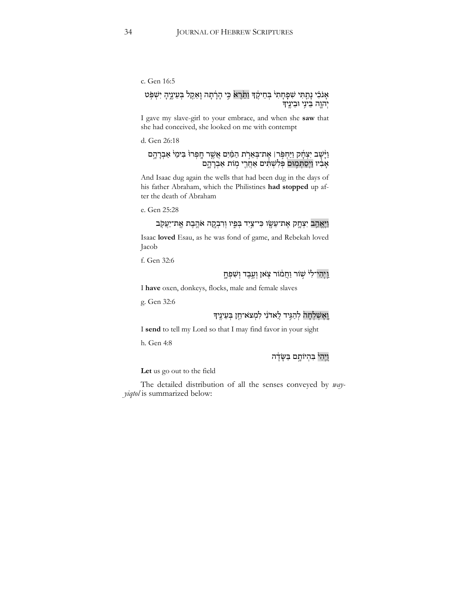#### c. Gen 16:5

# אָנֹכִ֫י נְתַָתִּי שִׁפְּחָת<sup>ֶי</sup> בְּחֵיקֶ֫ךְ וַתֵּׂרֶא כִּי הָרָ֫תְה וְאֵקָל בְּעֵינֵיְהָ יִשְׁפִּֽט יְהוֶה בֵּינֵי וּבֵינֵיִדִּ

I gave my slave-girl to your embrace, and when she **saw** that she had conceived, she looked on me with contempt

d. Gen 26:18

#### וַ יְּשָׁב יִצְחָק וַיַּחְפְּר! אֶת־בְּאֵרָת הַמַּ֫יִם אֲשֶׁר חֶפְרוּ בִּימֵי אַבְרָהֶם אָבִיו וַיְסַתְּמִוּם פְּלִשְׁתִּים אַחֲרֵי מְוֹת אַבְרָהֶם

And Isaac dug again the wells that had been dug in the days of his father Abraham, which the Philistines **had stopped** up after the death of Abraham

e. Gen 25:28

# וַ יֵּאֲהָב יִצְחֱק אֵת־עֵשֶׂו כִּי־צַיִד בִּפִיו וִרִבְקָה אֹהֱבֵת אֵת־יַעֲקֹב

Isaac **loved** Esau, as he was fond of game, and Rebekah loved Jacob

f. Gen 32:6

# וַ יְהִי־לִ<sup>וּ</sup> שְׁוֹר וַחֲמֹוֹר צִאן וְעֱבֶד וְשָׁפְחָ

I **have** oxen, donkeys, flocks, male and female slaves

g. Gen 32:6

# וַ הְעֵינֵיךְ לִמְצֹא־חֵן בְּעֵינֵיךָ

I **send** to tell my Lord so that I may find favor in your sight

h. Gen 4:8

# וֵיהִי בִּהִיוֹתָם בַּשֶּׂדֶה

**Let** us go out to the field

The detailed distribution of all the senses conveyed by *wayyiqtol* is summarized below: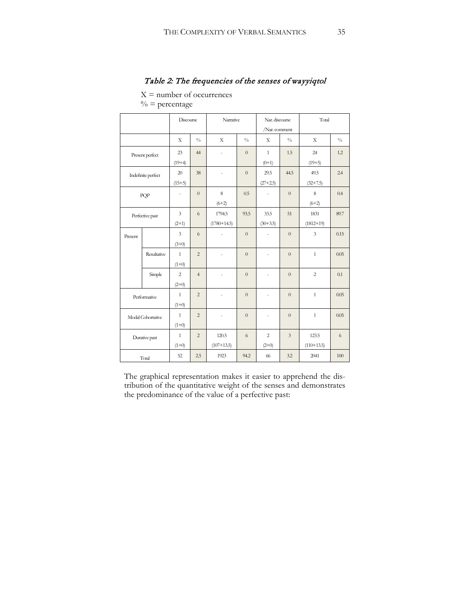# Table 2: The frequencies of the senses of wayyiqtol

 $X =$  number of occurrences

 $\%$  = percentage

|                    | Discourse    |                                    | Narrative      |                         | Nar. discourse<br>/Nar. comment |                           | Total          |                       |               |
|--------------------|--------------|------------------------------------|----------------|-------------------------|---------------------------------|---------------------------|----------------|-----------------------|---------------|
|                    |              | X                                  | $\frac{0}{0}$  | X                       | $\frac{0}{0}$                   | X                         | $\frac{0}{0}$  | X                     | $\frac{0}{0}$ |
| Present perfect    |              | 23                                 | 44             | $\overline{a}$          | $\overline{0}$                  | $\mathbf{1}$              | 1.5            | 24                    | 1.2           |
| Indefinite perfect |              | $(19+4)$<br>20                     | 38             | ÷,                      | $\overline{0}$                  | $(0+1)$<br>29.5           | 44.5           | $(19+5)$<br>49.5      | 2.4           |
|                    |              | $(15+5)$                           |                |                         |                                 | $(27+2.5)$                |                | $(32+7.5)$            |               |
| PQP                |              |                                    | $\overline{0}$ | 8<br>$(6+2)$            | 0.5                             | ÷.                        | $\overline{0}$ | 8<br>$(6+2)$          | 0.4           |
| Perfective past    |              | $\overline{\mathbf{3}}$<br>$(2+1)$ | 6              | 1794.5<br>$(1780+14.5)$ | 93.5                            | 33.5<br>$(30+3.5)$        | 51             | 1831<br>$(1812+19)$   | 89.7          |
| Present            |              | $\mathfrak{Z}$<br>$(3+0)$          | 6              |                         | $\overline{0}$                  | ÷.                        | $\overline{0}$ | $\overline{3}$        | 0.15          |
|                    | Resultative  | $\mathbf{1}$<br>$(1+0)$            | $\overline{c}$ |                         | $\overline{0}$                  | ÷,                        | $\overline{0}$ | $\mathbf{1}$          | 0.05          |
|                    | Simple       | $\overline{2}$<br>$(2+0)$          | $\overline{4}$ |                         | $\overline{0}$                  | $\overline{a}$            | $\overline{0}$ | $\overline{c}$        | 0.1           |
|                    | Performative |                                    | $\overline{c}$ | ÷                       | $\overline{0}$                  | $\overline{\phantom{a}}$  | $\overline{0}$ | $\mathbf{1}$          | 0.05          |
| Modal Cohortative  |              | $\mathbf{1}$<br>$(1+0)$            | $\overline{c}$ | ÷                       | $\overline{0}$                  | ÷                         | $\overline{0}$ | $\mathbf{1}$          | 0.05          |
| Durative past      |              | $\mathbf{1}$<br>$(1+0)$            | $\overline{c}$ | 120.5<br>$(107+13.5)$   | 6                               | $\overline{c}$<br>$(2+0)$ | $\overline{3}$ | 123.5<br>$(110+13.5)$ | 6             |
| Total              |              | 52                                 | 2.5            | 1923                    | 94.2                            | 66                        | 3.2            | 2041                  | 100           |

The graphical representation makes it easier to apprehend the distribution of the quantitative weight of the senses and demonstrates the predominance of the value of a perfective past: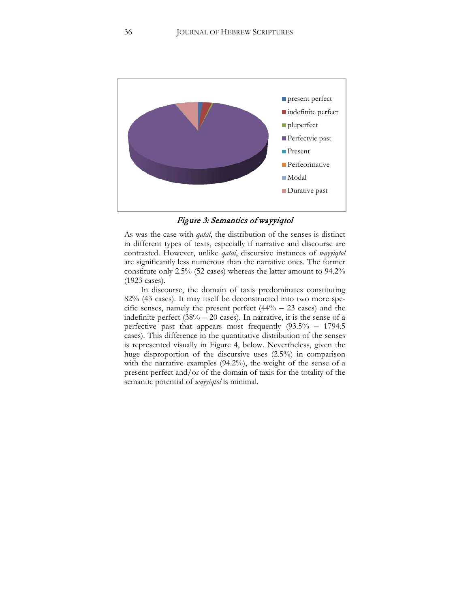

Figure 3: Semantics of wayyiqtol

As was the case with *qatal*, the distribution of the senses is distinct in different types of texts, especially if narrative and discourse are contrasted. However, unlike *qatal*, discursive instances of *wayyiqtol* are significantly less numerous than the narrative ones. The former constitute only 2.5% (52 cases) whereas the latter amount to 94.2% (1923 cases).

In discourse, the domain of taxis predominates constituting 82% (43 cases). It may itself be deconstructed into two more specific senses, namely the present perfect  $(44% – 23 \text{ cases})$  and the indefinite perfect  $(38\% - 20 \text{ cases})$ . In narrative, it is the sense of a perfective past that appears most frequently (93.5% – 1794.5 cases). This difference in the quantitative distribution of the senses is represented visually in Figure 4, below. Nevertheless, given the huge disproportion of the discursive uses (2.5%) in comparison with the narrative examples (94.2%), the weight of the sense of a present perfect and/or of the domain of taxis for the totality of the semantic potential of *wayyiqtol* is minimal.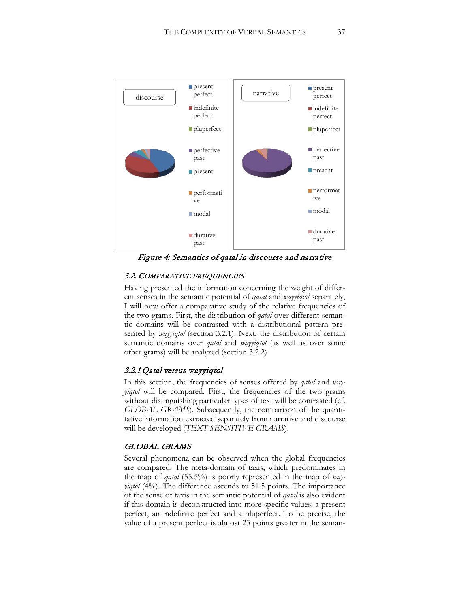

Figure 4: Semantics of qatal in discourse and narrative

### 3.2. COMPARATIVE FREQUENCIES

Having presented the information concerning the weight of different senses in the semantic potential of *qatal* and *wayyiqtol* separately, I will now offer a comparative study of the relative frequencies of the two grams. First, the distribution of *qatal* over different semantic domains will be contrasted with a distributional pattern presented by *wayyiqtol* (section 3.2.1). Next, the distribution of certain semantic domains over *qatal* and *wayyiqtol* (as well as over some other grams) will be analyzed (section 3.2.2).

#### 3.2.1 Qatal versus wayyiqtol

In this section, the frequencies of senses offered by *qatal* and *wayyiqtol* will be compared. First, the frequencies of the two grams without distinguishing particular types of text will be contrasted (cf. *GLOBAL GRAMS*). Subsequently, the comparison of the quantitative information extracted separately from narrative and discourse will be developed (*TEXT-SENSITIVE GRAMS*).

### GLOBAL GRAMS

Several phenomena can be observed when the global frequencies are compared. The meta-domain of taxis, which predominates in the map of *qatal* (55.5%) is poorly represented in the map of *wayyiqtol* (4%). The difference ascends to 51.5 points. The importance of the sense of taxis in the semantic potential of *qatal* is also evident if this domain is deconstructed into more specific values: a present perfect, an indefinite perfect and a pluperfect. To be precise, the value of a present perfect is almost 23 points greater in the seman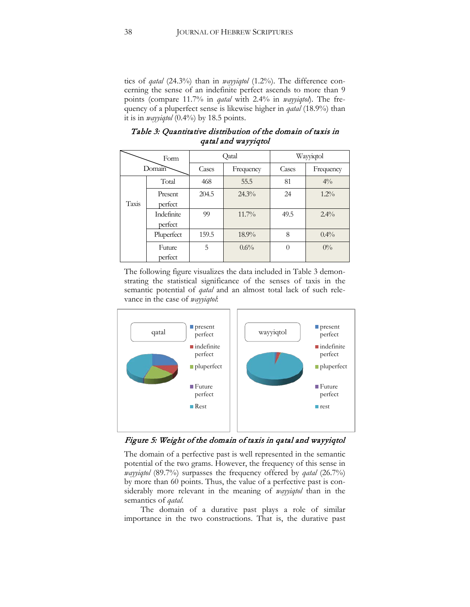tics of *qatal* (24.3%) than in *wayyiqtol* (1.2%). The difference concerning the sense of an indefinite perfect ascends to more than 9 points (compare 11.7% in *qatal* with 2.4% in *wayyiqtol*). The frequency of a pluperfect sense is likewise higher in *qatal* (18.9%) than it is in *wayyiqtol* (0.4%) by 18.5 points.

|       | Form                  |       | Qatal     |          | Wayyiqtol |
|-------|-----------------------|-------|-----------|----------|-----------|
|       | Domain                | Cases | Frequency | Cases    | Frequency |
|       | Total                 | 468   | 55.5      | 81       | $4\%$     |
| Taxis | Present<br>perfect    | 204.5 | $24.3\%$  | 24       | $1.2\%$   |
|       | Indefinite<br>perfect | 99    | $11.7\%$  | 49.5     | $2.4\%$   |
|       | Pluperfect            | 159.5 | $18.9\%$  | 8        | $0.4\%$   |
|       | Future<br>perfect     | 5     | 0.6%      | $\theta$ | $0\%$     |

Table 3: Quantitative distribution of the domain of taxis in qatal and wayyiqtol

The following figure visualizes the data included in Table 3 demonstrating the statistical significance of the senses of taxis in the semantic potential of *qatal* and an almost total lack of such relevance in the case of *wayyiqtol*:



Figure 5: Weight of the domain of taxis in qatal and wayyiqtol

The domain of a perfective past is well represented in the semantic potential of the two grams. However, the frequency of this sense in *wayyiqtol* (89.7%) surpasses the frequency offered by *qatal* (26.7%) by more than 60 points. Thus, the value of a perfective past is considerably more relevant in the meaning of *wayyiqtol* than in the semantics of *qatal*.

The domain of a durative past plays a role of similar importance in the two constructions. That is, the durative past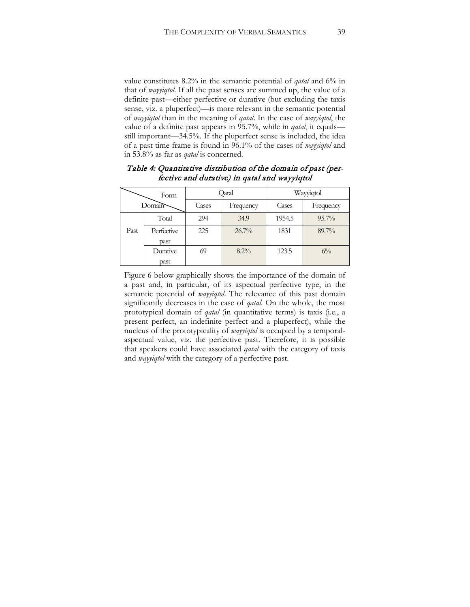value constitutes 8.2% in the semantic potential of *qatal* and 6% in that of *wayyiqtol*. If all the past senses are summed up, the value of a definite past—either perfective or durative (but excluding the taxis sense, viz. a pluperfect)—is more relevant in the semantic potential of *wayyiqtol* than in the meaning of *qatal*. In the case of *wayyiqtol*, the value of a definite past appears in 95.7%, while in *qatal*, it equals still important—34.5%. If the pluperfect sense is included, the idea of a past time frame is found in 96.1% of the cases of *wayyiqtol* and in 53.8% as far as *qatal* is concerned.

|      | Form       |       | Qatal     |        | Wayyiqtol |
|------|------------|-------|-----------|--------|-----------|
|      | Domain     | Cases | Frequency | Cases  | Frequency |
|      | Total      | 294   | 34.9      | 1954.5 | $95.7\%$  |
| Past | Perfective | 225   | $26.7\%$  | 1831   | $89.7\%$  |
|      | past       |       |           |        |           |
|      | Durative   | 69    | $8.2\%$   | 123.5  | $6\%$     |
|      | past       |       |           |        |           |

Table 4: Quantitative distribution of the domain of past (perfective and durative) in qatal and wayyiqtol

Figure 6 below graphically shows the importance of the domain of a past and, in particular, of its aspectual perfective type, in the semantic potential of *wayyiqtol*. The relevance of this past domain significantly decreases in the case of *qatal*. On the whole, the most prototypical domain of *qatal* (in quantitative terms) is taxis (i.e., a present perfect, an indefinite perfect and a pluperfect), while the nucleus of the prototypicality of *wayyiqtol* is occupied by a temporalaspectual value, viz. the perfective past. Therefore, it is possible that speakers could have associated *qatal* with the category of taxis and *wayyiqtol* with the category of a perfective past.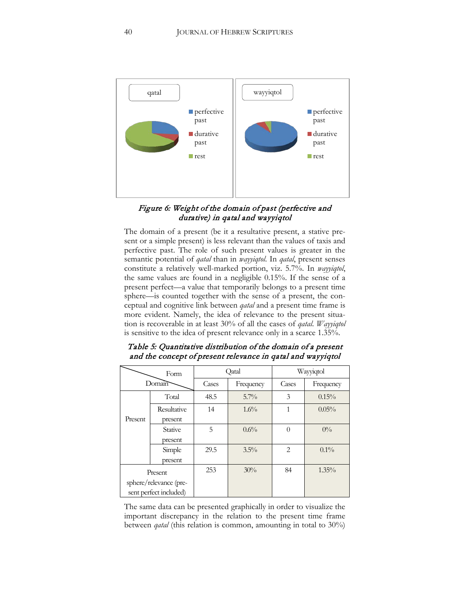

## Figure 6: Weight of the domain of past (perfective and durative) in qatal and wayyiqtol

The domain of a present (be it a resultative present, a stative present or a simple present) is less relevant than the values of taxis and perfective past. The role of such present values is greater in the semantic potential of *qatal* than in *wayyiqtol*. In *qatal*, present senses constitute a relatively well-marked portion, viz. 5.7%. In *wayyiqtol*, the same values are found in a negligible 0.15%. If the sense of a present perfect—a value that temporarily belongs to a present time sphere—is counted together with the sense of a present, the conceptual and cognitive link between *qatal* and a present time frame is more evident. Namely, the idea of relevance to the present situation is recoverable in at least 30% of all the cases of *qatal*. *Wayyiqtol* is sensitive to the idea of present relevance only in a scarce 1.35%.

|         | Form                                             |       | Qatal     |                | Wayyiqtol |
|---------|--------------------------------------------------|-------|-----------|----------------|-----------|
|         | Domain                                           | Cases | Frequency | Cases          | Frequency |
|         | Total                                            | 48.5  | $5.7\%$   | 3              | 0.15%     |
| Present | Resultative<br>present                           | 14    | $1.6\%$   |                | $0.05\%$  |
|         | Stative<br>present                               | 5     | 0.6%      | $\Omega$       | $0\%$     |
|         | Simple<br>present                                | 29.5  | $3.5\%$   | $\overline{c}$ | $0.1\%$   |
|         | Present                                          | 253   | 30%       | 84             | $1.35\%$  |
|         | sphere/relevance (pre-<br>sent perfect included) |       |           |                |           |
|         |                                                  |       |           |                |           |

# Table 5: Quantitative distribution of the domain of a present and the concept of present relevance in qatal and wayyiqtol

The same data can be presented graphically in order to visualize the important discrepancy in the relation to the present time frame between *qatal* (this relation is common, amounting in total to 30%)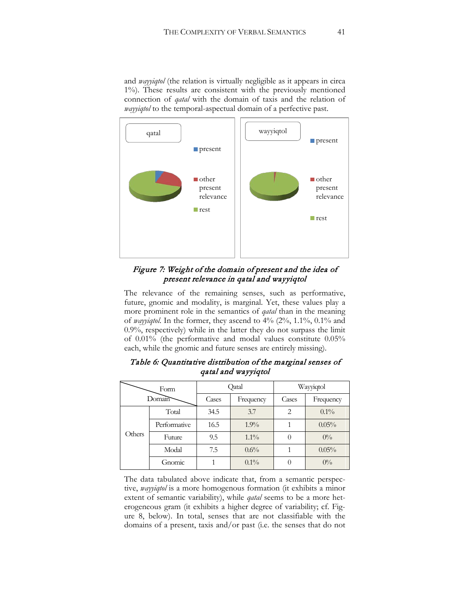and *wayyiqtol* (the relation is virtually negligible as it appears in circa 1%). These results are consistent with the previously mentioned connection of *qatal* with the domain of taxis and the relation of *wayyiqtol* to the temporal-aspectual domain of a perfective past.



Figure 7: Weight of the domain of present and the idea of present relevance in qatal and wayyiqtol

The relevance of the remaining senses, such as performative, future, gnomic and modality, is marginal. Yet, these values play a more prominent role in the semantics of *qatal* than in the meaning of *wayyiqtol*. In the former, they ascend to 4% (2%, 1.1%, 0.1% and 0.9%, respectively) while in the latter they do not surpass the limit of 0.01% (the performative and modal values constitute 0.05% each, while the gnomic and future senses are entirely missing).

|        | Form         |       | Qatal     |       | Wayyiqtol |
|--------|--------------|-------|-----------|-------|-----------|
|        | Domain       | Cases | Frequency | Cases | Frequency |
|        | Total        | 34.5  | 3.7       | 2     | $0.1\%$   |
|        | Performative | 16.5  | $1.9\%$   |       | 0.05%     |
| Others | Future       | 9.5   | $1.1\%$   |       | $0\%$     |
|        | Modal        | 7.5   | 0.6%      |       | $0.05\%$  |
|        | Gnomic       |       | $0.1\%$   |       | $0\%$     |

Table 6: Quantitative distribution of the marginal senses of qatal and wayyiqtol

The data tabulated above indicate that, from a semantic perspective, *wayyiqtol* is a more homogenous formation (it exhibits a minor extent of semantic variability), while *qatal* seems to be a more heterogeneous gram (it exhibits a higher degree of variability; cf. Figure 8, below). In total, senses that are not classifiable with the domains of a present, taxis and/or past (i.e. the senses that do not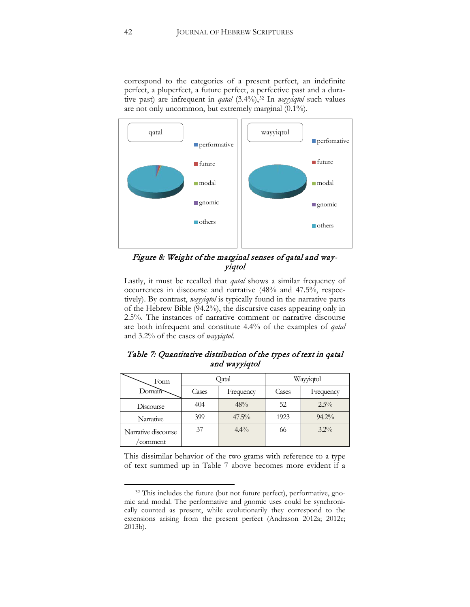correspond to the categories of a present perfect, an indefinite perfect, a pluperfect, a future perfect, a perfective past and a durative past) are infrequent in *qatal* (3.4%),<sup>[32](#page-42-0)</sup> In *wayyiqtol* such values are not only uncommon, but extremely marginal (0.1%).



Figure 8: Weight of the marginal senses of qatal and wayyiqtol

Lastly, it must be recalled that *qatal* shows a similar frequency of occurrences in discourse and narrative (48% and 47.5%, respectively). By contrast, *wayyiqtol* is typically found in the narrative parts of the Hebrew Bible (94.2%), the discursive cases appearing only in 2.5%. The instances of narrative comment or narrative discourse are both infrequent and constitute 4.4% of the examples of *qatal*  and 3.2% of the cases of *wayyiqtol*.

| Table 7: Quantitative distribution of the types of text in qatal |  |
|------------------------------------------------------------------|--|
| and wayyiqtol                                                    |  |

| Form                            |       | Qatal     |       | Wayyiqtol |
|---------------------------------|-------|-----------|-------|-----------|
| Domain                          | Cases | Frequency | Cases | Frequency |
| Discourse                       | 404   | 48%       | 52    | $2.5\%$   |
| Narrative                       | 399   | $47.5\%$  | 1923  | $94.2\%$  |
| Narrative discourse<br>'comment | 37    | $4.4\%$   | 66    | $3.2\%$   |

This dissimilar behavior of the two grams with reference to a type of text summed up in Table 7 above becomes more evident if a

<span id="page-42-0"></span><sup>&</sup>lt;sup>32</sup> This includes the future (but not future perfect), performative, gnomic and modal. The performative and gnomic uses could be synchronically counted as present, while evolutionarily they correspond to the extensions arising from the present perfect (Andrason 2012a; 2012c; 2013b).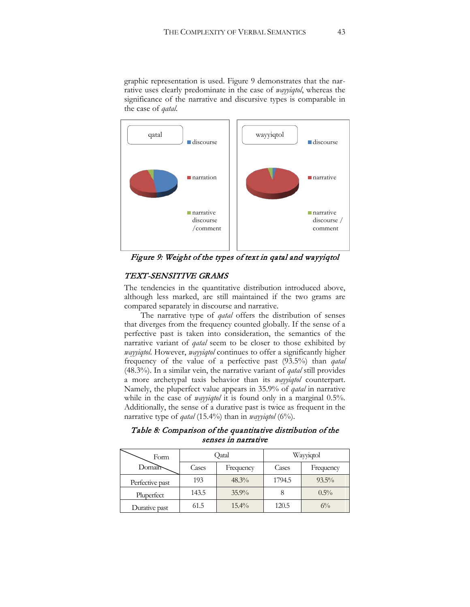graphic representation is used. Figure 9 demonstrates that the narrative uses clearly predominate in the case of *wayyiqtol*, whereas the significance of the narrative and discursive types is comparable in the case of *qatal*.



Figure 9: Weight of the types of text in qatal and wayyiqtol

## TEXT-SENSITIVE GRAMS

The tendencies in the quantitative distribution introduced above, although less marked, are still maintained if the two grams are compared separately in discourse and narrative.

The narrative type of *qatal* offers the distribution of senses that diverges from the frequency counted globally. If the sense of a perfective past is taken into consideration, the semantics of the narrative variant of *qatal* seem to be closer to those exhibited by *wayyiqtol*. However, *wayyiqtol* continues to offer a significantly higher frequency of the value of a perfective past (93.5%) than *qatal* (48.3%). In a similar vein, the narrative variant of *qatal* still provides a more archetypal taxis behavior than its *wayyiqtol* counterpart. Namely, the pluperfect value appears in 35.9% of *qatal* in narrative while in the case of *wayyiqtol* it is found only in a marginal 0.5%. Additionally, the sense of a durative past is twice as frequent in the narrative type of *qatal* (15.4%) than in *wayyiqtol* (6%).

# Table 8: Comparison of the quantitative distribution of the senses in narrative

| Form            |       | Qatal     |        | Wayyiqtol |
|-----------------|-------|-----------|--------|-----------|
| Domain          | Cases | Frequency | Cases  | Frequency |
| Perfective past | 193   | $48.3\%$  | 1794.5 | $93.5\%$  |
| Pluperfect      | 143.5 | $35.9\%$  |        | $0.5\%$   |
| Durative past   | 61.5  | $15.4\%$  | 120.5  | $6\%$     |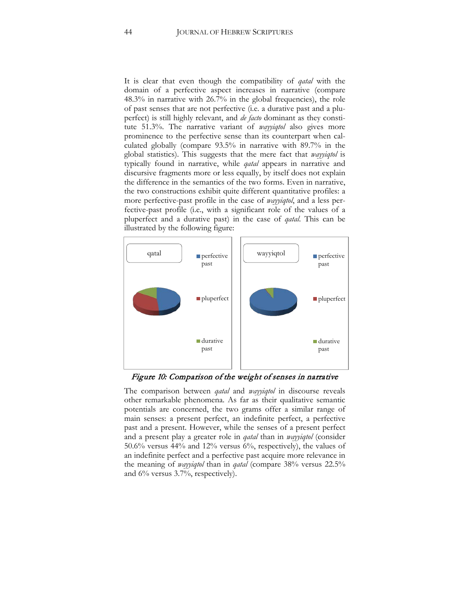It is clear that even though the compatibility of *qatal* with the domain of a perfective aspect increases in narrative (compare 48.3% in narrative with 26.7% in the global frequencies), the role of past senses that are not perfective (i.e. a durative past and a pluperfect) is still highly relevant, and *de facto* dominant as they constitute 51.3%. The narrative variant of *wayyiqtol* also gives more prominence to the perfective sense than its counterpart when calculated globally (compare 93.5% in narrative with 89.7% in the global statistics). This suggests that the mere fact that *wayyiqtol* is typically found in narrative, while *qatal* appears in narrative and discursive fragments more or less equally, by itself does not explain the difference in the semantics of the two forms. Even in narrative, the two constructions exhibit quite different quantitative profiles: a more perfective-past profile in the case of *wayyiqtol*, and a less perfective-past profile (i.e., with a significant role of the values of a pluperfect and a durative past) in the case of *qatal*. This can be illustrated by the following figure:



Figure 10: Comparison of the weight of senses in narrative

The comparison between *qatal* and *wayyiqtol* in discourse reveals other remarkable phenomena. As far as their qualitative semantic potentials are concerned, the two grams offer a similar range of main senses: a present perfect, an indefinite perfect, a perfective past and a present. However, while the senses of a present perfect and a present play a greater role in *qatal* than in *wayyiqtol* (consider 50.6% versus 44% and 12% versus 6%, respectively), the values of an indefinite perfect and a perfective past acquire more relevance in the meaning of *wayyiqtol* than in *qatal* (compare 38% versus 22.5% and 6% versus 3.7%, respectively).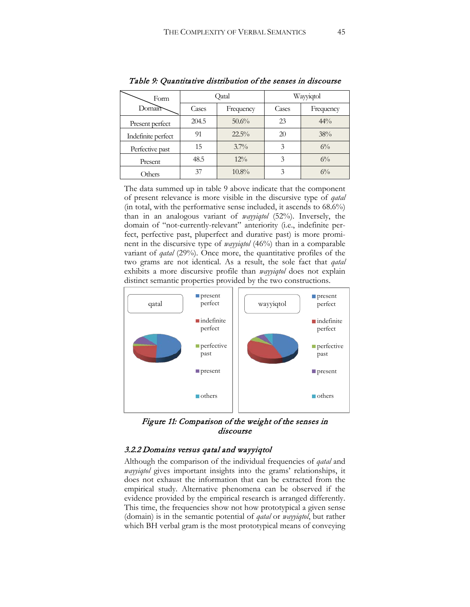| Form               |       | Qatal     |       | Wayyiqtol |
|--------------------|-------|-----------|-------|-----------|
| Domain             | Cases | Frequency | Cases | Frequency |
| Present perfect    | 204.5 | 50.6%     | 23    | $44\%$    |
| Indefinite perfect | 91    | $22.5\%$  | 20    | 38%       |
| Perfective past    | 15    | $3.7\%$   |       | $6\%$     |
| Present            | 48.5  | $12\%$    |       | $6\%$     |
| Others             | 37    | $10.8\%$  | 3     | $6\%$     |

Table 9: Quantitative distribution of the senses in discourse

The data summed up in table 9 above indicate that the component of present relevance is more visible in the discursive type of *qatal*  (in total, with the performative sense included, it ascends to 68.6%) than in an analogous variant of *wayyiqtol* (52%). Inversely, the domain of "not-currently-relevant" anteriority (i.e., indefinite perfect, perfective past, pluperfect and durative past) is more prominent in the discursive type of *wayyiqtol* (46%) than in a comparable variant of *qatal* (29%). Once more, the quantitative profiles of the two grams are not identical. As a result, the sole fact that *qatal* exhibits a more discursive profile than *wayyiqtol* does not explain distinct semantic properties provided by the two constructions.



Figure 11: Comparison of the weight of the senses in discourse

## 3.2.2 Domains versus qatal and wayyiqtol

Although the comparison of the individual frequencies of *qatal* and *wayyiqtol* gives important insights into the grams' relationships, it does not exhaust the information that can be extracted from the empirical study. Alternative phenomena can be observed if the evidence provided by the empirical research is arranged differently. This time, the frequencies show not how prototypical a given sense (domain) is in the semantic potential of *qatal* or *wayyiqtol*, but rather which BH verbal gram is the most prototypical means of conveying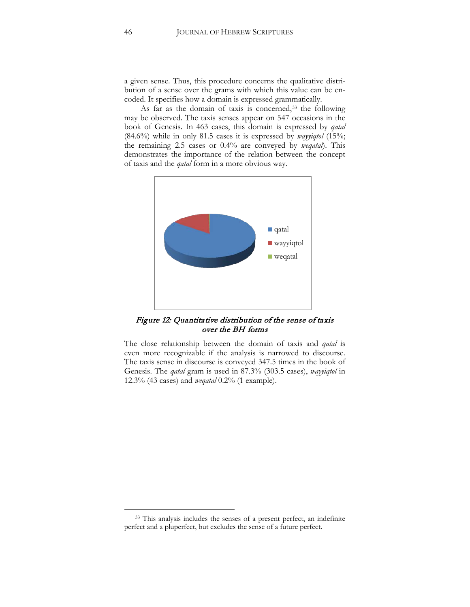a given sense. Thus, this procedure concerns the qualitative distribution of a sense over the grams with which this value can be encoded. It specifies how a domain is expressed grammatically.

As far as the domain of taxis is concerned,<sup>[33](#page-46-0)</sup> the following may be observed. The taxis senses appear on 547 occasions in the book of Genesis. In 463 cases, this domain is expressed by *qatal* (84.6%) while in only 81.5 cases it is expressed by *wayyiqtol* (15%; the remaining 2.5 cases or 0.4% are conveyed by *weqatal*). This demonstrates the importance of the relation between the concept of taxis and the *qatal* form in a more obvious way.



Figure 12: Quantitative distribution of the sense of taxis over the BH forms

The close relationship between the domain of taxis and *qatal* is even more recognizable if the analysis is narrowed to discourse. The taxis sense in discourse is conveyed 347.5 times in the book of Genesis. The *qatal* gram is used in 87.3% (303.5 cases), *wayyiqtol* in 12.3% (43 cases) and *weqatal* 0.2% (1 example).

<span id="page-46-0"></span><sup>&</sup>lt;sup>33</sup> This analysis includes the senses of a present perfect, an indefinite perfect and a pluperfect, but excludes the sense of a future perfect.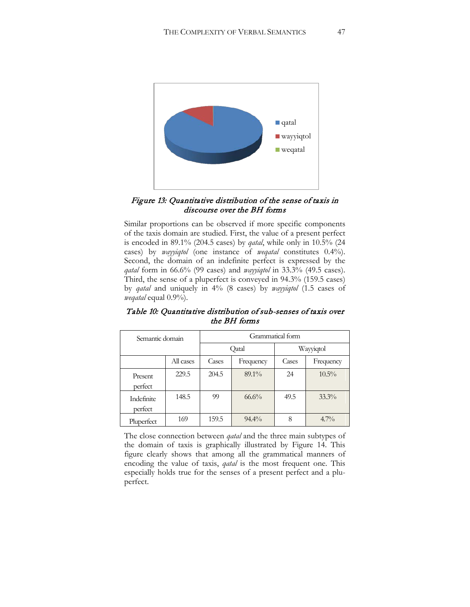

### Figure 13: Quantitative distribution of the sense of taxis in discourse over the BH forms

Similar proportions can be observed if more specific components of the taxis domain are studied. First, the value of a present perfect is encoded in 89.1% (204.5 cases) by *qatal*, while only in 10.5% (24 cases) by *wayyiqtol* (one instance of *weqatal* constitutes 0.4%). Second, the domain of an indefinite perfect is expressed by the *qatal* form in 66.6% (99 cases) and *wayyiqtol* in 33.3% (49.5 cases). Third, the sense of a pluperfect is conveyed in 94.3% (159.5 cases) by *qatal* and uniquely in 4% (8 cases) by *wayyiqtol* (1.5 cases of *weqatal* equal 0.9%).

| Semantic domain       |           |       |           | Grammatical form |           |
|-----------------------|-----------|-------|-----------|------------------|-----------|
|                       |           |       | Qatal     |                  | Wayyiqtol |
|                       | All cases | Cases | Frequency | Cases            | Frequency |
| Present<br>perfect    | 229.5     | 204.5 | $89.1\%$  | 24               | $10.5\%$  |
| Indefinite<br>perfect | 148.5     | 99    | $66.6\%$  | 49.5             | $33.3\%$  |
| Pluperfect            | 169       | 159.5 | $94.4\%$  | 8                | $4.7\%$   |

Table 10: Quantitative distribution of sub-senses of taxis over the BH forms

The close connection between *qatal* and the three main subtypes of the domain of taxis is graphically illustrated by Figure 14. This figure clearly shows that among all the grammatical manners of encoding the value of taxis, *qatal* is the most frequent one. This especially holds true for the senses of a present perfect and a pluperfect.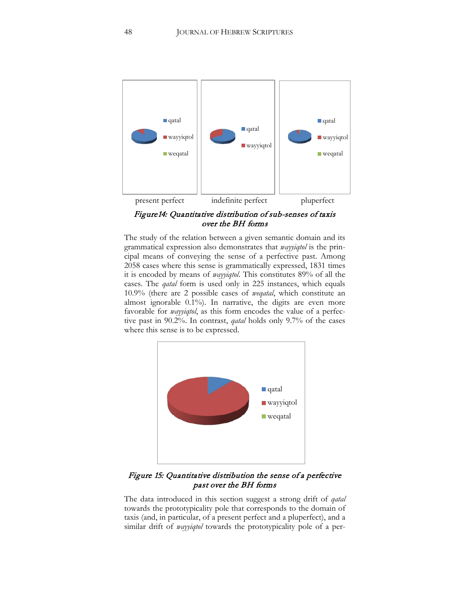

Figure14: Quantitative distribution of sub-senses of taxis over the BH forms

The study of the relation between a given semantic domain and its grammatical expression also demonstrates that *wayyiqtol* is the principal means of conveying the sense of a perfective past. Among 2058 cases where this sense is grammatically expressed, 1831 times it is encoded by means of *wayyiqtol*. This constitutes 89% of all the cases. The *qatal* form is used only in 225 instances, which equals 10.9% (there are 2 possible cases of *weqatal*, which constitute an almost ignorable 0.1%). In narrative, the digits are even more favorable for *wayyiqtol*, as this form encodes the value of a perfective past in 90.2%. In contrast, *qatal* holds only 9.7% of the cases where this sense is to be expressed.



Figure 15: Quantitative distribution the sense of a perfective past over the BH forms

The data introduced in this section suggest a strong drift of *qatal* towards the prototypicality pole that corresponds to the domain of taxis (and, in particular, of a present perfect and a pluperfect), and a similar drift of *wayyiqtol* towards the prototypicality pole of a per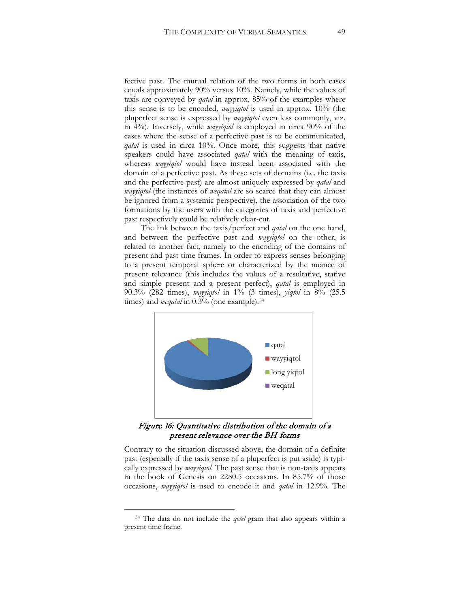fective past. The mutual relation of the two forms in both cases equals approximately 90% versus 10%. Namely, while the values of taxis are conveyed by *qatal* in approx. 85% of the examples where this sense is to be encoded, *wayyiqtol* is used in approx. 10% (the pluperfect sense is expressed by *wayyiqtol* even less commonly, viz. in 4%). Inversely, while *wayyiqtol* is employed in circa 90% of the cases where the sense of a perfective past is to be communicated, *qatal* is used in circa 10%. Once more, this suggests that native speakers could have associated *qatal* with the meaning of taxis, whereas *wayyiqtol* would have instead been associated with the domain of a perfective past. As these sets of domains (i.e. the taxis and the perfective past) are almost uniquely expressed by *qatal* and *wayyiqtol* (the instances of *weqatal* are so scarce that they can almost be ignored from a systemic perspective), the association of the two formations by the users with the categories of taxis and perfective past respectively could be relatively clear-cut.

The link between the taxis/perfect and *qatal* on the one hand, and between the perfective past and *wayyiqtol* on the other, is related to another fact, namely to the encoding of the domains of present and past time frames. In order to express senses belonging to a present temporal sphere or characterized by the nuance of present relevance (this includes the values of a resultative, stative and simple present and a present perfect), *qatal* is employed in 90.3% (282 times), *wayyiqtol* in 1% (3 times), *yiqtol* in 8% (25.5 times) and *wegatal* in 0.3% (one example).<sup>[34](#page-49-0)</sup>



Figure 16: Quantitative distribution of the domain of a present relevance over the BH forms

Contrary to the situation discussed above, the domain of a definite past (especially if the taxis sense of a pluperfect is put aside) is typically expressed by *wayyiqtol*. The past sense that is non-taxis appears in the book of Genesis on 2280.5 occasions. In 85.7% of those occasions, *wayyiqtol* is used to encode it and *qatal* in 12.9%. The

<span id="page-49-0"></span><sup>34</sup> The data do not include the *qotel* gram that also appears within a present time frame.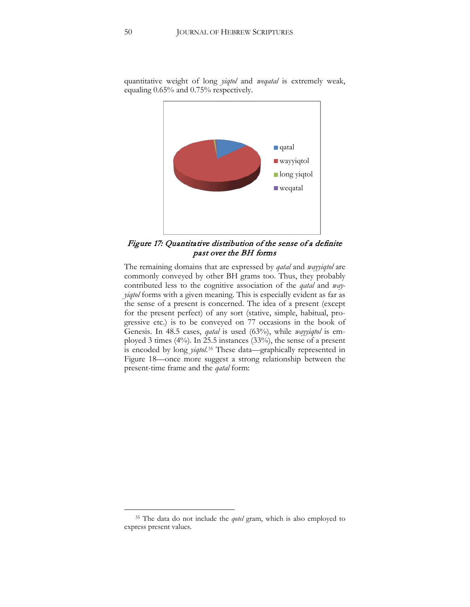

quantitative weight of long *yiqtol* and *weqatal* is extremely weak, equaling 0.65% and 0.75% respectively.

Figure 17: Quantitative distribution of the sense of a definite past over the BH forms

The remaining domains that are expressed by *qatal* and *wayyiqtol* are commonly conveyed by other BH grams too. Thus, they probably contributed less to the cognitive association of the *qatal* and *wayyiqtol* forms with a given meaning. This is especially evident as far as the sense of a present is concerned. The idea of a present (except for the present perfect) of any sort (stative, simple, habitual, progressive etc.) is to be conveyed on 77 occasions in the book of Genesis. In 48.5 cases, *qatal* is used (63%), while *wayyiqtol* is employed 3 times (4%). In 25.5 instances (33%), the sense of a present is encoded by long *yiqtol*.[35](#page-50-0) These data—graphically represented in Figure 18—once more suggest a strong relationship between the present-time frame and the *qatal* form:

<span id="page-50-0"></span><sup>35</sup> The data do not include the *qotel* gram, which is also employed to express present values.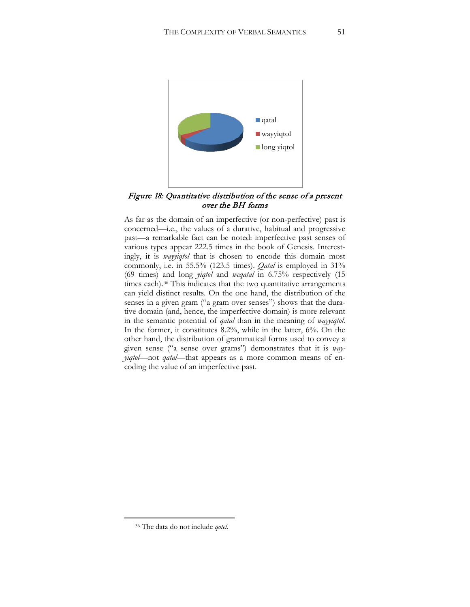

Figure 18: Quantitative distribution of the sense of a present over the BH forms

As far as the domain of an imperfective (or non-perfective) past is concerned—i.e., the values of a durative, habitual and progressive past—a remarkable fact can be noted: imperfective past senses of various types appear 222.5 times in the book of Genesis. Interestingly, it is *wayyiqtol* that is chosen to encode this domain most commonly, i.e. in 55.5% (123.5 times). *Qatal* is employed in 31% (69 times) and long *yiqtol* and *weqatal* in 6.75% respectively (15 times each).<sup>[36](#page-51-0)</sup> This indicates that the two quantitative arrangements can yield distinct results. On the one hand, the distribution of the senses in a given gram ("a gram over senses") shows that the durative domain (and, hence, the imperfective domain) is more relevant in the semantic potential of *qatal* than in the meaning of *wayyiqtol*. In the former, it constitutes 8.2%, while in the latter, 6%. On the other hand, the distribution of grammatical forms used to convey a given sense ("a sense over grams") demonstrates that it is *wayyiqtol*—not *qatal—*that appears as a more common means of encoding the value of an imperfective past.

<span id="page-51-0"></span><sup>36</sup> The data do not include *qotel*.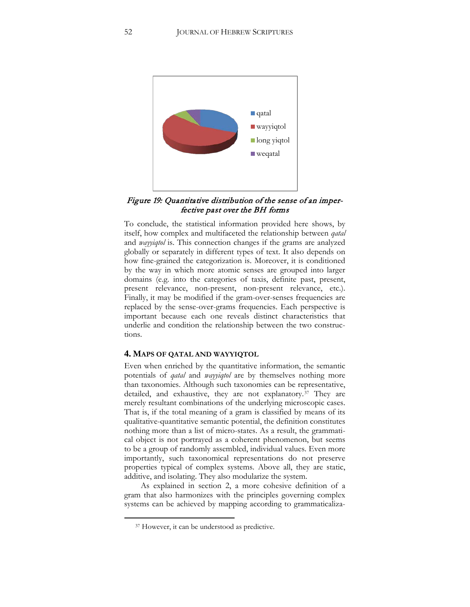

### Figure 19: Quantitative distribution of the sense of an imperfective past over the BH forms

To conclude, the statistical information provided here shows, by itself, how complex and multifaceted the relationship between *qatal* and *wayyiqtol* is. This connection changes if the grams are analyzed globally or separately in different types of text. It also depends on how fine-grained the categorization is. Moreover, it is conditioned by the way in which more atomic senses are grouped into larger domains (e.g. into the categories of taxis, definite past, present, present relevance, non-present, non-present relevance, etc.). Finally, it may be modified if the gram-over-senses frequencies are replaced by the sense-over-grams frequencies. Each perspective is important because each one reveals distinct characteristics that underlie and condition the relationship between the two constructions.

#### **4. MAPS OF QATAL AND WAYYIQTOL**

Even when enriched by the quantitative information, the semantic potentials of *qatal* and *wayyiqtol* are by themselves nothing more than taxonomies. Although such taxonomies can be representative, detailed, and exhaustive, they are not explanatory.<sup>[37](#page-52-0)</sup> They are merely resultant combinations of the underlying microscopic cases. That is, if the total meaning of a gram is classified by means of its qualitative-quantitative semantic potential, the definition constitutes nothing more than a list of micro-states. As a result, the grammatical object is not portrayed as a coherent phenomenon, but seems to be a group of randomly assembled, individual values. Even more importantly, such taxonomical representations do not preserve properties typical of complex systems. Above all, they are static, additive, and isolating. They also modularize the system.

<span id="page-52-0"></span>As explained in section 2, a more cohesive definition of a gram that also harmonizes with the principles governing complex systems can be achieved by mapping according to grammaticaliza-

<sup>37</sup> However, it can be understood as predictive.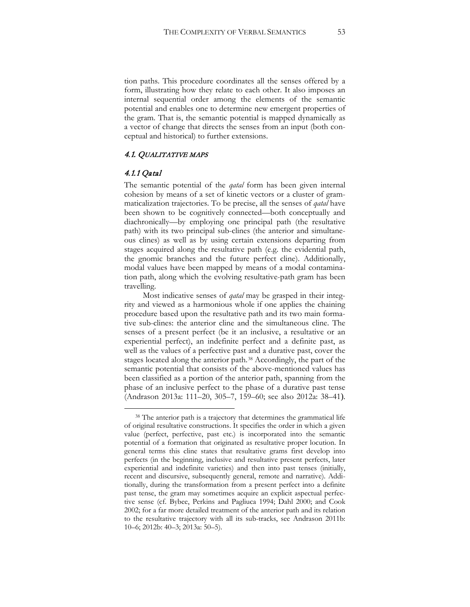tion paths. This procedure coordinates all the senses offered by a form, illustrating how they relate to each other. It also imposes an internal sequential order among the elements of the semantic potential and enables one to determine new emergent properties of the gram. That is, the semantic potential is mapped dynamically as a vector of change that directs the senses from an input (both conceptual and historical) to further extensions.

### 4.1. QUALITATIVE MAPS

#### 4.1.1 Qatal

 $\overline{a}$ 

The semantic potential of the *qatal* form has been given internal cohesion by means of a set of kinetic vectors or a cluster of grammaticalization trajectories. To be precise, all the senses of *qatal* have been shown to be cognitively connected—both conceptually and diachronically—by employing one principal path (the resultative path) with its two principal sub-clines (the anterior and simultaneous clines) as well as by using certain extensions departing from stages acquired along the resultative path (e.g. the evidential path, the gnomic branches and the future perfect cline). Additionally, modal values have been mapped by means of a modal contamination path, along which the evolving resultative-path gram has been travelling.

Most indicative senses of *qatal* may be grasped in their integrity and viewed as a harmonious whole if one applies the chaining procedure based upon the resultative path and its two main formative sub-clines: the anterior cline and the simultaneous cline. The senses of a present perfect (be it an inclusive, a resultative or an experiential perfect), an indefinite perfect and a definite past, as well as the values of a perfective past and a durative past, cover the stages located along the anterior path.[38](#page-53-0) Accordingly, the part of the semantic potential that consists of the above-mentioned values has been classified as a portion of the anterior path, spanning from the phase of an inclusive perfect to the phase of a durative past tense (Andrason 2013a: 111–20, 305–7, 159–60; see also 2012a: 38–41).

<span id="page-53-0"></span><sup>&</sup>lt;sup>38</sup> The anterior path is a trajectory that determines the grammatical life of original resultative constructions. It specifies the order in which a given value (perfect, perfective, past etc.) is incorporated into the semantic potential of a formation that originated as resultative proper locution. In general terms this cline states that resultative grams first develop into perfects (in the beginning, inclusive and resultative present perfects, later experiential and indefinite varieties) and then into past tenses (initially, recent and discursive, subsequently general, remote and narrative). Additionally, during the transformation from a present perfect into a definite past tense, the gram may sometimes acquire an explicit aspectual perfective sense (cf. Bybee, Perkins and Pagliuca 1994; Dahl 2000; and Cook 2002; for a far more detailed treatment of the anterior path and its relation to the resultative trajectory with all its sub-tracks, see Andrason 2011b: 10–6; 2012b: 40–3; 2013a: 50–5).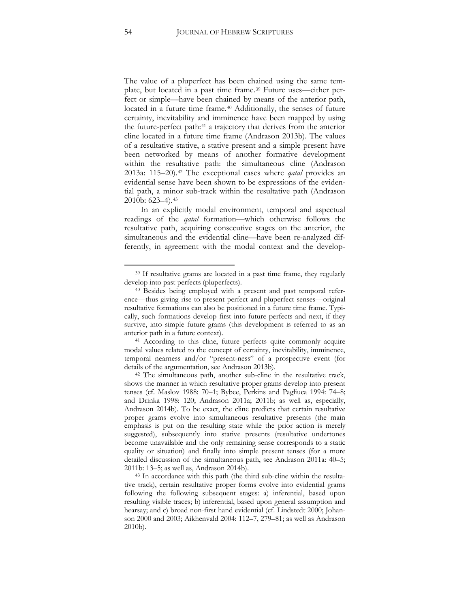The value of a pluperfect has been chained using the same template, but located in a past time frame.[39](#page-54-0) Future uses—either perfect or simple—have been chained by means of the anterior path, located in a future time frame.<sup>[40](#page-54-1)</sup> Additionally, the senses of future certainty, inevitability and imminence have been mapped by using the future-perfect path:[41](#page-54-2) a trajectory that derives from the anterior cline located in a future time frame (Andrason 2013b). The values of a resultative stative, a stative present and a simple present have been networked by means of another formative development within the resultative path: the simultaneous cline (Andrason 2013a: 115–20).[42](#page-54-3) The exceptional cases where *qatal* provides an evidential sense have been shown to be expressions of the evidential path, a minor sub-track within the resultative path (Andrason 2010b: 623–4).[43](#page-54-4)

In an explicitly modal environment, temporal and aspectual readings of the *qatal* formation—which otherwise follows the resultative path, acquiring consecutive stages on the anterior, the simultaneous and the evidential cline—have been re-analyzed differently, in agreement with the modal context and the develop-

<span id="page-54-2"></span><sup>41</sup> According to this cline, future perfects quite commonly acquire modal values related to the concept of certainty, inevitability, imminence, temporal nearness and/or "present-ness" of a prospective event (for details of the argumentation, see Andrason 2013b).

<span id="page-54-3"></span><sup>42</sup> The simultaneous path, another sub-cline in the resultative track, shows the manner in which resultative proper grams develop into present tenses (cf. Maslov 1988: 70–1; Bybee, Perkins and Pagliuca 1994: 74–8; and Drinka 1998: 120; Andrason 2011a; 2011b; as well as, especially, Andrason 2014b). To be exact, the cline predicts that certain resultative proper grams evolve into simultaneous resultative presents (the main emphasis is put on the resulting state while the prior action is merely suggested), subsequently into stative presents (resultative undertones become unavailable and the only remaining sense corresponds to a static quality or situation) and finally into simple present tenses (for a more detailed discussion of the simultaneous path, see Andrason 2011a: 40–5; 2011b: 13–5; as well as, Andrason 2014b).

<span id="page-54-4"></span><sup>43</sup> In accordance with this path (the third sub-cline within the resultative track), certain resultative proper forms evolve into evidential grams following the following subsequent stages: a) inferential, based upon resulting visible traces; b) inferential, based upon general assumption and hearsay; and c) broad non-first hand evidential (cf. Lindstedt 2000; Johanson 2000 and 2003; Aikhenvald 2004: 112–7, 279–81; as well as Andrason 2010b).

<span id="page-54-0"></span><sup>&</sup>lt;sup>39</sup> If resultative grams are located in a past time frame, they regularly develop into past perfects (pluperfects).

<span id="page-54-1"></span><sup>40</sup> Besides being employed with a present and past temporal reference—thus giving rise to present perfect and pluperfect senses—original resultative formations can also be positioned in a future time frame. Typically, such formations develop first into future perfects and next, if they survive, into simple future grams (this development is referred to as an anterior path in a future context).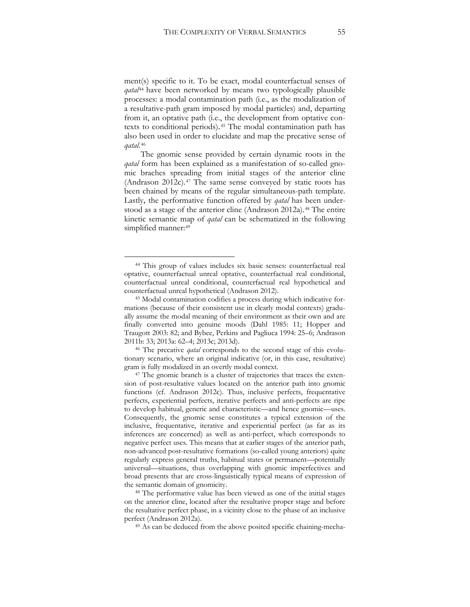ment(s) specific to it. To be exact, modal counterfactual senses of *qatal*[44](#page-55-0) have been networked by means two typologically plausible processes: a modal contamination path (i.e., as the modalization of a resultative-path gram imposed by modal particles) and, departing from it, an optative path (i.e., the development from optative contexts to conditional periods).[45](#page-55-1) The modal contamination path has also been used in order to elucidate and map the precative sense of *qatal*.[46](#page-55-2)

The gnomic sense provided by certain dynamic roots in the *qatal* form has been explained as a manifestation of so-called gnomic braches spreading from initial stages of the anterior cline (Andrason 2012c).[47](#page-55-3) The same sense conveyed by static roots has been chained by means of the regular simultaneous-path template. Lastly, the performative function offered by *qatal* has been under-stood as a stage of the anterior cline (Andrason 2012a).<sup>[48](#page-55-4)</sup> The entire kinetic semantic map of *qatal* can be schematized in the following simplified manner: [49](#page-55-5)

 $\overline{a}$ 

<span id="page-55-5"></span><span id="page-55-4"></span><sup>48</sup> The performative value has been viewed as one of the initial stages on the anterior cline, located after the resultative proper stage and before the resultative perfect phase, in a vicinity close to the phase of an inclusive perfect (Andrason 2012a).

<sup>49</sup> As can be deduced from the above posited specific chaining-mecha-

<span id="page-55-0"></span><sup>44</sup> This group of values includes six basic senses: counterfactual real optative, counterfactual unreal optative, counterfactual real conditional, counterfactual unreal conditional, counterfactual real hypothetical and

<span id="page-55-1"></span>counterfactual unreal hypothetical (Andrason 2012). 45 Modal contamination codifies a process during which indicative formations (because of their consistent use in clearly modal contexts) gradually assume the modal meaning of their environment as their own and are finally converted into genuine moods (Dahl 1985: 11; Hopper and Traugott 2003: 82; and Bybee, Perkins and Pagliuca 1994: 25–6; Andrason 2011b: 33; 2013a: 62–4; 2013c; 2013d).

<span id="page-55-2"></span><sup>46</sup> The precative *qatal* corresponds to the second stage of this evolutionary scenario, where an original indicative (or, in this case, resultative) gram is fully modalized in an overtly modal context.

<span id="page-55-3"></span><sup>&</sup>lt;sup>47</sup> The gnomic branch is a cluster of trajectories that traces the extension of post-resultative values located on the anterior path into gnomic functions (cf. Andrason 2012c). Thus, inclusive perfects, frequentative perfects, experiential perfects, iterative perfects and anti-perfects are ripe to develop habitual, generic and characteristic—and hence gnomic—uses. Consequently, the gnomic sense constitutes a typical extension of the inclusive, frequentative, iterative and experiential perfect (as far as its inferences are concerned) as well as anti-perfect, which corresponds to negative perfect uses. This means that at earlier stages of the anterior path, non-advanced post-resultative formations (so-called young anteriors) quite regularly express general truths, habitual states or permanent—potentially universal—situations, thus overlapping with gnomic imperfectives and broad presents that are cross-linguistically typical means of expression of the semantic domain of gnomicity.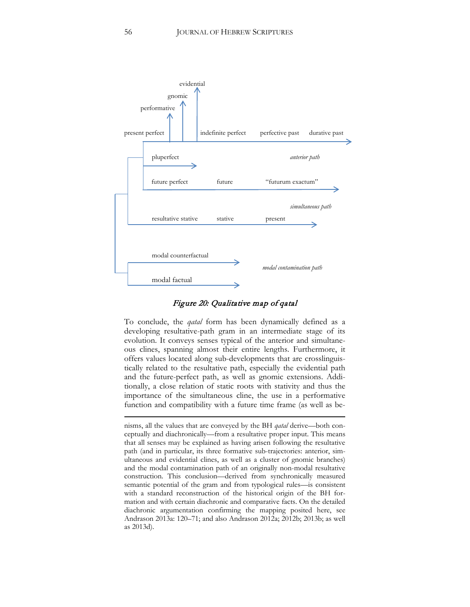

Figure 20: Qualitative map of qatal

To conclude, the *qatal* form has been dynamically defined as a developing resultative-path gram in an intermediate stage of its evolution. It conveys senses typical of the anterior and simultaneous clines, spanning almost their entire lengths. Furthermore, it offers values located along sub-developments that are crosslinguistically related to the resultative path, especially the evidential path and the future-perfect path, as well as gnomic extensions. Additionally, a close relation of static roots with stativity and thus the importance of the simultaneous cline, the use in a performative function and compatibility with a future time frame (as well as be-

nisms, all the values that are conveyed by the BH *qatal* derive—both conceptually and diachronically—from a resultative proper input. This means that all senses may be explained as having arisen following the resultative path (and in particular, its three formative sub-trajectories: anterior, simultaneous and evidential clines, as well as a cluster of gnomic branches) and the modal contamination path of an originally non-modal resultative construction. This conclusion—derived from synchronically measured semantic potential of the gram and from typological rules—is consistent with a standard reconstruction of the historical origin of the BH formation and with certain diachronic and comparative facts. On the detailed diachronic argumentation confirming the mapping posited here, see Andrason 2013a: 120–71; and also Andrason 2012a; 2012b; 2013b; as well as 2013d).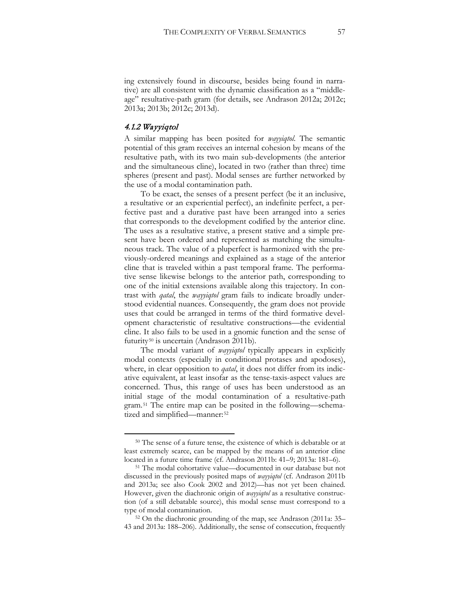ing extensively found in discourse, besides being found in narrative) are all consistent with the dynamic classification as a "middleage" resultative-path gram (for details, see Andrason 2012a; 2012c; 2013a; 2013b; 2012c; 2013d).

### 4.1.2 Wayyiqtol

 $\overline{a}$ 

A similar mapping has been posited for *wayyiqtol*. The semantic potential of this gram receives an internal cohesion by means of the resultative path, with its two main sub-developments (the anterior and the simultaneous cline), located in two (rather than three) time spheres (present and past). Modal senses are further networked by the use of a modal contamination path.

To be exact, the senses of a present perfect (be it an inclusive, a resultative or an experiential perfect), an indefinite perfect, a perfective past and a durative past have been arranged into a series that corresponds to the development codified by the anterior cline. The uses as a resultative stative, a present stative and a simple present have been ordered and represented as matching the simultaneous track. The value of a pluperfect is harmonized with the previously-ordered meanings and explained as a stage of the anterior cline that is traveled within a past temporal frame. The performative sense likewise belongs to the anterior path, corresponding to one of the initial extensions available along this trajectory. In contrast with *qatal*, the *wayyiqtol* gram fails to indicate broadly understood evidential nuances. Consequently, the gram does not provide uses that could be arranged in terms of the third formative development characteristic of resultative constructions—the evidential cline. It also fails to be used in a gnomic function and the sense of futurity<sup>[50](#page-57-0)</sup> is uncertain (Andrason 2011b).

The modal variant of *wayyiqtol* typically appears in explicitly modal contexts (especially in conditional protases and apodoses), where, in clear opposition to *qatal*, it does not differ from its indicative equivalent, at least insofar as the tense-taxis-aspect values are concerned. Thus, this range of uses has been understood as an initial stage of the modal contamination of a resultative-path gram.[51](#page-57-1) The entire map can be posited in the following—schema-tized and simplified—manner:<sup>[52](#page-57-2)</sup>

<span id="page-57-2"></span><sup>52</sup> On the diachronic grounding of the map, see Andrason (2011a: 35– 43 and 2013a: 188–206). Additionally, the sense of consecution, frequently

<span id="page-57-0"></span><sup>50</sup> The sense of a future tense, the existence of which is debatable or at least extremely scarce, can be mapped by the means of an anterior cline located in a future time frame (cf. Andrason 2011b: 41–9; 2013a: 181–6).

<span id="page-57-1"></span><sup>51</sup> The modal cohortative value—documented in our database but not discussed in the previously posited maps of *wayyiqtol* (cf. Andrason 2011b and 2013a; see also Cook 2002 and 2012)—has not yet been chained. However, given the diachronic origin of *wayyiqtol* as a resultative construction (of a still debatable source), this modal sense must correspond to a type of modal contamination.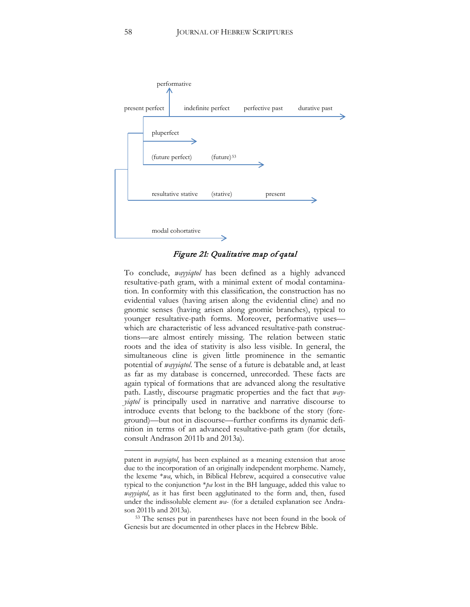

Figure 21: Qualitative map of qatal

To conclude, *wayyiqtol* has been defined as a highly advanced resultative-path gram, with a minimal extent of modal contamination. In conformity with this classification, the construction has no evidential values (having arisen along the evidential cline) and no gnomic senses (having arisen along gnomic branches), typical to younger resultative-path forms. Moreover, performative uses which are characteristic of less advanced resultative-path constructions—are almost entirely missing. The relation between static roots and the idea of stativity is also less visible. In general, the simultaneous cline is given little prominence in the semantic potential of *wayyiqtol*. The sense of a future is debatable and, at least as far as my database is concerned, unrecorded. These facts are again typical of formations that are advanced along the resultative path. Lastly, discourse pragmatic properties and the fact that *wayyiqtol* is principally used in narrative and narrative discourse to introduce events that belong to the backbone of the story (foreground)—but not in discourse—further confirms its dynamic definition in terms of an advanced resultative-path gram (for details, consult Andrason 2011b and 2013a).

<span id="page-58-0"></span><sup>53</sup> The senses put in parentheses have not been found in the book of Genesis but are documented in other places in the Hebrew Bible.

patent in *wayyiqtol*, has been explained as a meaning extension that arose due to the incorporation of an originally independent morpheme. Namely, the lexeme \**wa*, which, in Biblical Hebrew, acquired a consecutive value typical to the conjunction \**pa* lost in the BH language, added this value to *wayyiqtol*, as it has first been agglutinated to the form and, then, fused under the indissoluble element *wa*- (for a detailed explanation see Andrason 2011b and 2013a).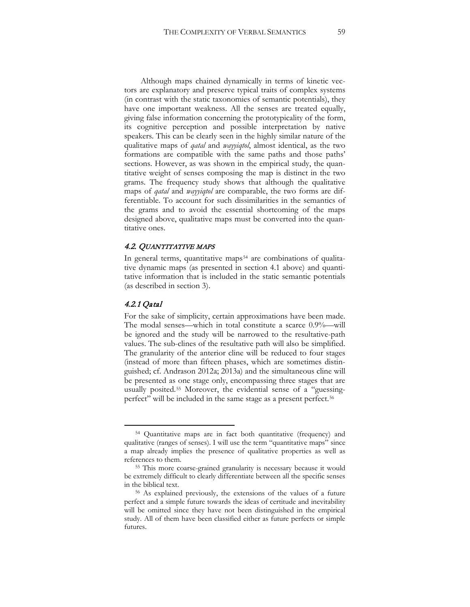Although maps chained dynamically in terms of kinetic vectors are explanatory and preserve typical traits of complex systems (in contrast with the static taxonomies of semantic potentials), they have one important weakness. All the senses are treated equally, giving false information concerning the prototypicality of the form, its cognitive perception and possible interpretation by native speakers. This can be clearly seen in the highly similar nature of the qualitative maps of *qatal* and *wayyiqtol*, almost identical, as the two formations are compatible with the same paths and those paths' sections. However, as was shown in the empirical study, the quantitative weight of senses composing the map is distinct in the two grams. The frequency study shows that although the qualitative maps of *qatal* and *wayyiqtol* are comparable, the two forms are differentiable. To account for such dissimilarities in the semantics of the grams and to avoid the essential shortcoming of the maps designed above, qualitative maps must be converted into the quantitative ones.

#### 4.2. QUANTITATIVE MAPS

In general terms, quantitative maps<sup>[54](#page-59-0)</sup> are combinations of qualitative dynamic maps (as presented in section 4.1 above) and quantitative information that is included in the static semantic potentials (as described in section 3).

### 4.2.1 Qatal

 $\overline{a}$ 

For the sake of simplicity, certain approximations have been made. The modal senses—which in total constitute a scarce 0.9%—will be ignored and the study will be narrowed to the resultative-path values. The sub-clines of the resultative path will also be simplified. The granularity of the anterior cline will be reduced to four stages (instead of more than fifteen phases, which are sometimes distinguished; cf. Andrason 2012a; 2013a) and the simultaneous cline will be presented as one stage only, encompassing three stages that are usually posited.[55](#page-59-1) Moreover, the evidential sense of a "guessing-perfect" will be included in the same stage as a present perfect.<sup>[56](#page-59-2)</sup>

<span id="page-59-0"></span><sup>54</sup> Quantitative maps are in fact both quantitative (frequency) and qualitative (ranges of senses). I will use the term "quantitative maps" since a map already implies the presence of qualitative properties as well as references to them.

<span id="page-59-1"></span><sup>55</sup> This more coarse-grained granularity is necessary because it would be extremely difficult to clearly differentiate between all the specific senses in the biblical text.

<span id="page-59-2"></span><sup>56</sup> As explained previously, the extensions of the values of a future perfect and a simple future towards the ideas of certitude and inevitability will be omitted since they have not been distinguished in the empirical study. All of them have been classified either as future perfects or simple futures.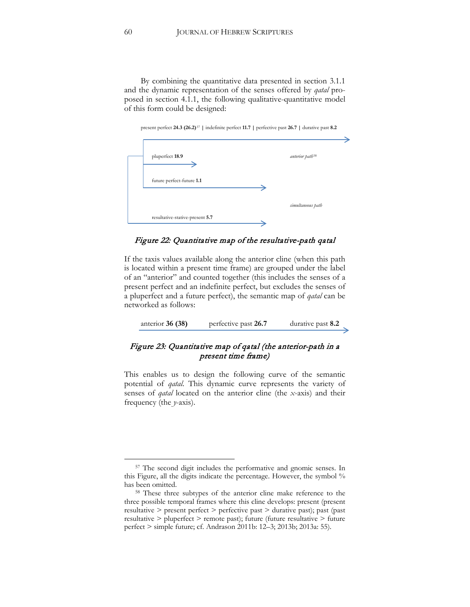By combining the quantitative data presented in section 3.1.1 and the dynamic representation of the senses offered by *qatal* proposed in section 4.1.1, the following qualitative-quantitative model of this form could be designed:



| pluperfect 18.9                 | anterior path <sup>58</sup> |
|---------------------------------|-----------------------------|
| future perfect-future 1.1       |                             |
|                                 | simultaneous path           |
| resultative-stative-present 5.7 |                             |

#### Figure 22: Quantitative map of the resultative-path qatal

If the taxis values available along the anterior cline (when this path is located within a present time frame) are grouped under the label of an "anterior" and counted together (this includes the senses of a present perfect and an indefinite perfect, but excludes the senses of a pluperfect and a future perfect), the semantic map of *qatal* can be networked as follows:

anterior **36 (38)** perfective past **26.7** durative past **8.2**

# Figure 23: Quantitative map of qatal (the anterior-path in a present time frame)

This enables us to design the following curve of the semantic potential of *qatal*. This dynamic curve represents the variety of senses of *qatal* located on the anterior cline (the *x*-axis) and their frequency (the *y*-axis).

<span id="page-60-0"></span><sup>57</sup> The second digit includes the performative and gnomic senses. In this Figure, all the digits indicate the percentage. However, the symbol % has been omitted.

<span id="page-60-1"></span><sup>&</sup>lt;sup>58</sup> These three subtypes of the anterior cline make reference to the three possible temporal frames where this cline develops: present (present resultative > present perfect > perfective past > durative past); past (past resultative > pluperfect > remote past); future (future resultative > future perfect > simple future; cf. Andrason 2011b: 12–3; 2013b; 2013a: 55).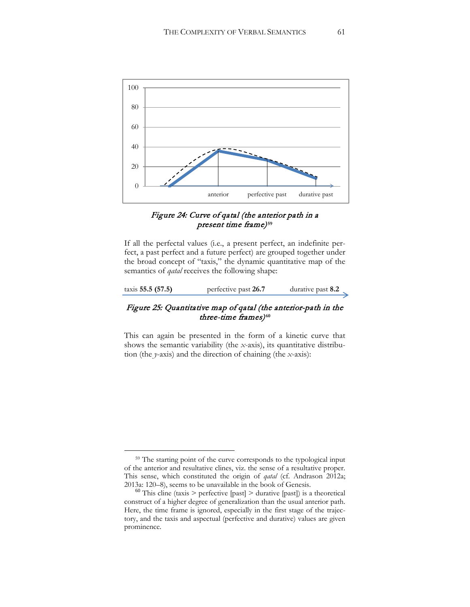

# Figure 24: Curve of qatal (the anterior path in a present time frame)**[59](#page-61-0)**

If all the perfectal values (i.e., a present perfect, an indefinite perfect, a past perfect and a future perfect) are grouped together under the broad concept of "taxis," the dynamic quantitative map of the semantics of *qatal* receives the following shape:

| taxis 55.5 (57.5) | perfective past 26.7 | durative past 8.2 |
|-------------------|----------------------|-------------------|
|-------------------|----------------------|-------------------|

# Figure 25: Quantitative map of qatal (the anterior-path in the three-time frames)**[60](#page-61-1)**

This can again be presented in the form of a kinetic curve that shows the semantic variability (the *x*-axis), its quantitative distribution (the *y*-axis) and the direction of chaining (the *x*-axis):

<span id="page-61-0"></span><sup>&</sup>lt;sup>59</sup> The starting point of the curve corresponds to the typological input of the anterior and resultative clines, viz. the sense of a resultative proper. This sense, which constituted the origin of *qatal* (cf. Andrason 2012a; 2013a: 120–8), seems to be unavailable in the book of Genesis.

<span id="page-61-1"></span> $200$  This cline (taxis > perfective [past] > durative [past]) is a theoretical construct of a higher degree of generalization than the usual anterior path. Here, the time frame is ignored, especially in the first stage of the trajectory, and the taxis and aspectual (perfective and durative) values are given prominence.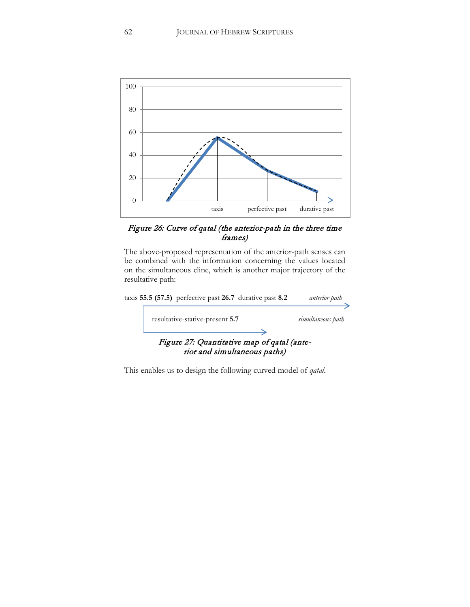

## Figure 26: Curve of qatal (the anterior-path in the three time frames)

The above-proposed representation of the anterior-path senses can be combined with the information concerning the values located on the simultaneous cline, which is another major trajectory of the resultative path:



This enables us to design the following curved model of *qatal*.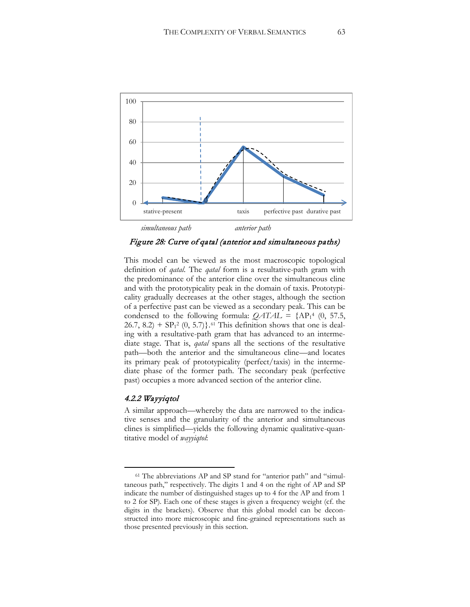

Figure 28: Curve of qatal (anterior and simultaneous paths)

This model can be viewed as the most macroscopic topological definition of *qatal*. The *qatal* form is a resultative-path gram with the predominance of the anterior cline over the simultaneous cline and with the prototypicality peak in the domain of taxis. Prototypicality gradually decreases at the other stages, although the section of a perfective past can be viewed as a secondary peak. This can be condensed to the following formula:  $QATAL = \{AP_1^4 \ (0, 57.5, \dots, A_n^4\})$  $26.7, 8.2$ ) +  $SP<sub>1</sub><sup>2</sup>$  (0, 5.7)}.<sup>[61](#page-63-0)</sup> This definition shows that one is dealing with a resultative-path gram that has advanced to an intermediate stage. That is, *qatal* spans all the sections of the resultative path—both the anterior and the simultaneous cline—and locates its primary peak of prototypicality (perfect/taxis) in the intermediate phase of the former path. The secondary peak (perfective past) occupies a more advanced section of the anterior cline.

#### 4.2.2 Wayyiqtol

 $\overline{a}$ 

A similar approach—whereby the data are narrowed to the indicative senses and the granularity of the anterior and simultaneous clines is simplified—yields the following dynamic qualitative-quantitative model of *wayyiqtol*:

<span id="page-63-0"></span><sup>61</sup> The abbreviations AP and SP stand for "anterior path" and "simultaneous path," respectively. The digits 1 and 4 on the right of AP and SP indicate the number of distinguished stages up to 4 for the AP and from 1 to 2 for SP). Each one of these stages is given a frequency weight (cf. the digits in the brackets). Observe that this global model can be deconstructed into more microscopic and fine-grained representations such as those presented previously in this section.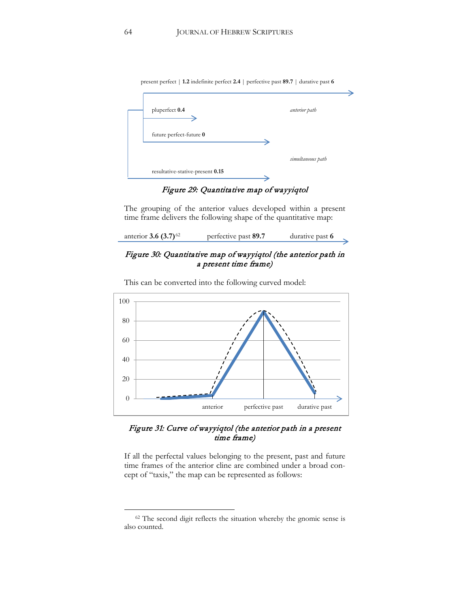| pluperfect 0.4          | anterior path     |
|-------------------------|-------------------|
|                         |                   |
|                         |                   |
| future perfect-future 0 |                   |
|                         |                   |
|                         | simultaneous path |

Figure 29: Quantitative map of wayyiqtol

The grouping of the anterior values developed within a present time frame delivers the following shape of the quantitative map:

| anterior 3.6 $(3.7)^{62}$ | perfective past 89.7 | durative past 6 |  |
|---------------------------|----------------------|-----------------|--|
|                           |                      |                 |  |

# Figure 30: Quantitative map of wayyiqtol (the anterior path in a present time frame)



This can be converted into the following curved model:

# Figure 31: Curve of wayyiqtol (the anterior path in a present time frame)

If all the perfectal values belonging to the present, past and future time frames of the anterior cline are combined under a broad concept of "taxis," the map can be represented as follows:

<span id="page-64-0"></span><sup>&</sup>lt;sup>62</sup> The second digit reflects the situation whereby the gnomic sense is also counted.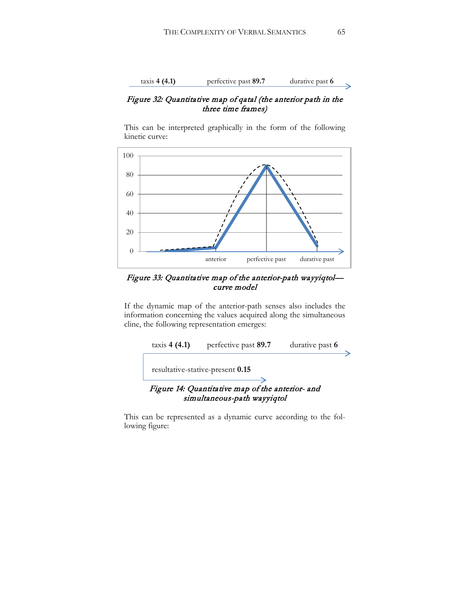

### Figure 32: Quantitative map of qatal (the anterior path in the three time frames)

This can be interpreted graphically in the form of the following kinetic curve:



## Figure 33: Quantitative map of the anterior-path wayyiqtol curve model

If the dynamic map of the anterior-path senses also includes the information concerning the values acquired along the simultaneous cline, the following representation emerges:



This can be represented as a dynamic curve according to the following figure: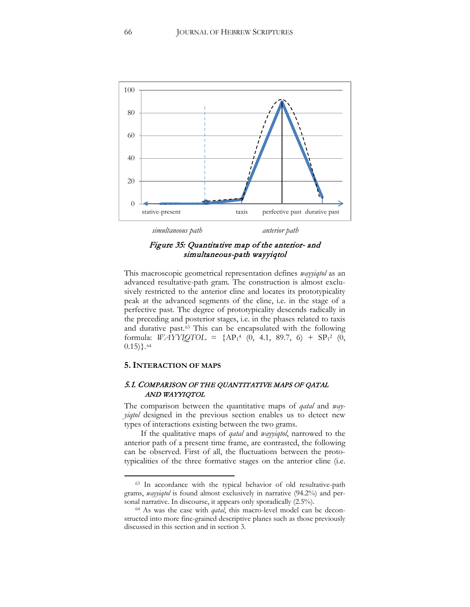

## Figure 35: Quantitative map of the anterior- and simultaneous-path wayyiqtol

This macroscopic geometrical representation defines *wayyiqtol* as an advanced resultative-path gram. The construction is almost exclusively restricted to the anterior cline and locates its prototypicality peak at the advanced segments of the cline, i.e. in the stage of a perfective past. The degree of prototypicality descends radically in the preceding and posterior stages, i.e. in the phases related to taxis and durative past.[63](#page-66-0) This can be encapsulated with the following formula: *WAYYIQTOL* =  $\{AP_1^4 \ (0, 4.1, 89.7, 6) + SP_1^2 \ (0,$  $(0.15)$ .  $64$ 

#### **5. INTERACTION OF MAPS**

 $\overline{a}$ 

### 5.1. COMPARISON OF THE QUANTITATIVE MAPS OF QATAL AND WAYYIQTOL

The comparison between the quantitative maps of *qatal* and *wayyiqtol* designed in the previous section enables us to detect new types of interactions existing between the two grams.

If the qualitative maps of *qatal* and *wayyiqtol*, narrowed to the anterior path of a present time frame, are contrasted, the following can be observed. First of all, the fluctuations between the prototypicalities of the three formative stages on the anterior cline (i.e.

<span id="page-66-0"></span><sup>63</sup> In accordance with the typical behavior of old resultative-path grams, *wayyiqtol* is found almost exclusively in narrative (94.2%) and personal narrative. In discourse, it appears only sporadically (2.5%).

<span id="page-66-1"></span><sup>64</sup> As was the case with *qatal*, this macro-level model can be deconstructed into more fine-grained descriptive planes such as those previously discussed in this section and in section 3.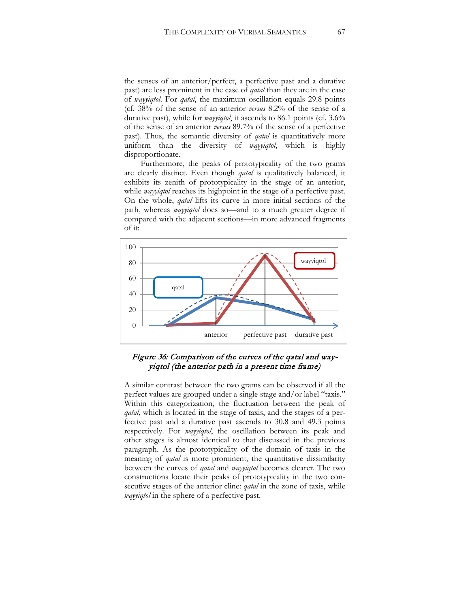the senses of an anterior/perfect, a perfective past and a durative past) are less prominent in the case of *qatal* than they are in the case of *wayyiqtol*. For *qatal*, the maximum oscillation equals 29.8 points (cf. 38% of the sense of an anterior *versus* 8.2% of the sense of a durative past), while for *wayyiqtol*, it ascends to 86.1 points (cf. 3.6% of the sense of an anterior *versus* 89.7% of the sense of a perfective past). Thus, the semantic diversity of *qatal* is quantitatively more uniform than the diversity of *wayyiqtol*, which is highly disproportionate.

Furthermore, the peaks of prototypicality of the two grams are clearly distinct. Even though *qatal* is qualitatively balanced, it exhibits its zenith of prototypicality in the stage of an anterior, while *wayyiqtol* reaches its highpoint in the stage of a perfective past. On the whole, *qatal* lifts its curve in more initial sections of the path, whereas *wayyiqtol* does so—and to a much greater degree if compared with the adjacent sections—in more advanced fragments of it:



Figure 36: Comparison of the curves of the qatal and wayyiqtol (the anterior path in a present time frame)

A similar contrast between the two grams can be observed if all the perfect values are grouped under a single stage and/or label "taxis." Within this categorization, the fluctuation between the peak of *qatal*, which is located in the stage of taxis, and the stages of a perfective past and a durative past ascends to 30.8 and 49.3 points respectively. For *wayyiqtol*, the oscillation between its peak and other stages is almost identical to that discussed in the previous paragraph. As the prototypicality of the domain of taxis in the meaning of *qatal* is more prominent, the quantitative dissimilarity between the curves of *qatal* and *wayyiqtol* becomes clearer. The two constructions locate their peaks of prototypicality in the two consecutive stages of the anterior cline: *qatal* in the zone of taxis, while *wayyiqtol* in the sphere of a perfective past.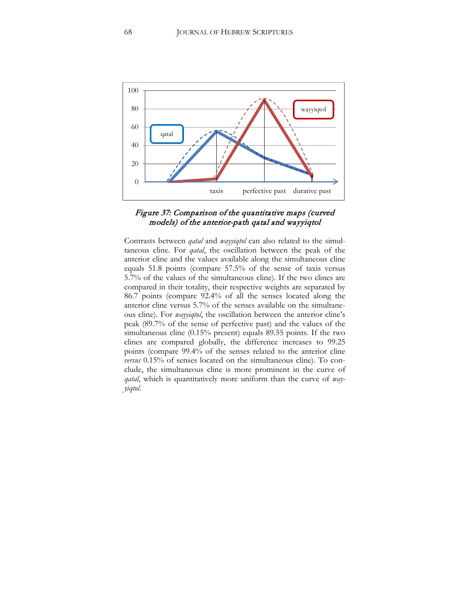

### Figure 37: Comparison of the quantitative maps (curved models) of the anterior-path qatal and wayyiqtol

Contrasts between *qatal* and *wayyiqtol* can also related to the simultaneous cline. For *qatal*, the oscillation between the peak of the anterior cline and the values available along the simultaneous cline equals 51.8 points (compare 57.5% of the sense of taxis versus 5.7% of the values of the simultaneous cline). If the two clines are compared in their totality, their respective weights are separated by 86.7 points (compare 92.4% of all the senses located along the anterior cline versus 5.7% of the senses available on the simultaneous cline). For *wayyiqtol*, the oscillation between the anterior cline's peak (89.7% of the sense of perfective past) and the values of the simultaneous cline (0.15% present) equals 89.55 points. If the two clines are compared globally, the difference increases to 99.25 points (compare 99.4% of the senses related to the anterior cline *versus* 0.15% of senses located on the simultaneous cline). To conclude, the simultaneous cline is more prominent in the curve of *qatal*, which is quantitatively more uniform than the curve of *wayyiqtol*.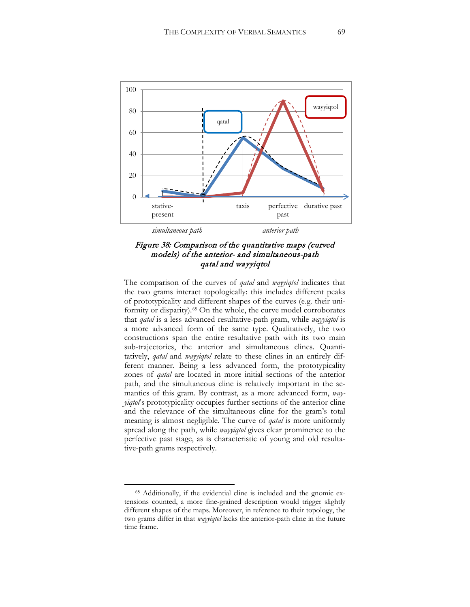



The comparison of the curves of *qatal* and *wayyiqtol* indicates that the two grams interact topologically: this includes different peaks of prototypicality and different shapes of the curves (e.g. their uni-formity or disparity).<sup>[65](#page-69-0)</sup> On the whole, the curve model corroborates that *qatal* is a less advanced resultative-path gram, while *wayyiqtol* is a more advanced form of the same type. Qualitatively, the two constructions span the entire resultative path with its two main sub-trajectories, the anterior and simultaneous clines. Quantitatively, *qatal* and *wayyiqtol* relate to these clines in an entirely different manner. Being a less advanced form, the prototypicality zones of *qatal* are located in more initial sections of the anterior path, and the simultaneous cline is relatively important in the semantics of this gram. By contrast, as a more advanced form, *wayyiqtol*'s prototypicality occupies further sections of the anterior cline and the relevance of the simultaneous cline for the gram's total meaning is almost negligible. The curve of *qatal* is more uniformly spread along the path, while *wayyiqtol* gives clear prominence to the perfective past stage, as is characteristic of young and old resultative-path grams respectively.

<span id="page-69-0"></span><sup>65</sup> Additionally, if the evidential cline is included and the gnomic extensions counted, a more fine-grained description would trigger slightly different shapes of the maps. Moreover, in reference to their topology, the two grams differ in that *wayyiqtol* lacks the anterior-path cline in the future time frame.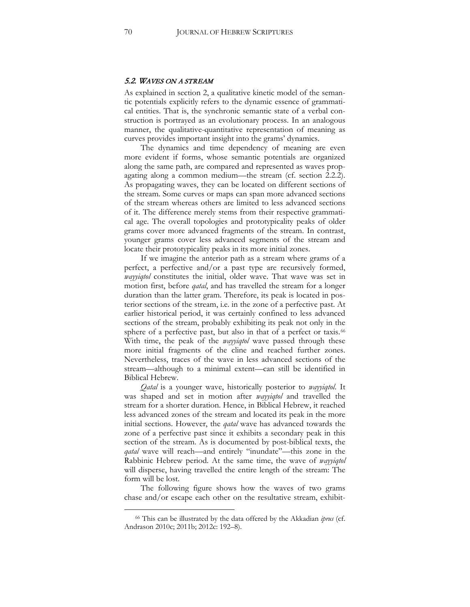#### 5.2. WAVES ON A STREAM

As explained in section 2, a qualitative kinetic model of the semantic potentials explicitly refers to the dynamic essence of grammatical entities. That is, the synchronic semantic state of a verbal construction is portrayed as an evolutionary process. In an analogous manner, the qualitative-quantitative representation of meaning as curves provides important insight into the grams' dynamics.

The dynamics and time dependency of meaning are even more evident if forms, whose semantic potentials are organized along the same path, are compared and represented as waves propagating along a common medium—the stream (cf. section 2.2.2). As propagating waves, they can be located on different sections of the stream. Some curves or maps can span more advanced sections of the stream whereas others are limited to less advanced sections of it. The difference merely stems from their respective grammatical age. The overall topologies and prototypicality peaks of older grams cover more advanced fragments of the stream. In contrast, younger grams cover less advanced segments of the stream and locate their prototypicality peaks in its more initial zones.

If we imagine the anterior path as a stream where grams of a perfect, a perfective and/or a past type are recursively formed, *wayyiqtol* constitutes the initial, older wave. That wave was set in motion first, before *qatal*, and has travelled the stream for a longer duration than the latter gram. Therefore, its peak is located in posterior sections of the stream, i.e. in the zone of a perfective past. At earlier historical period, it was certainly confined to less advanced sections of the stream, probably exhibiting its peak not only in the sphere of a perfective past, but also in that of a perfect or taxis.<sup>[66](#page-70-0)</sup> With time, the peak of the *wayyiqtol* wave passed through these more initial fragments of the cline and reached further zones. Nevertheless, traces of the wave in less advanced sections of the stream—although to a minimal extent—can still be identified in Biblical Hebrew.

*Qatal* is a younger wave, historically posterior to *wayyiqtol*. It was shaped and set in motion after *wayyiqtol* and travelled the stream for a shorter duration. Hence, in Biblical Hebrew, it reached less advanced zones of the stream and located its peak in the more initial sections. However, the *qatal* wave has advanced towards the zone of a perfective past since it exhibits a secondary peak in this section of the stream. As is documented by post-biblical texts, the *qatal* wave will reach—and entirely "inundate"—this zone in the Rabbinic Hebrew period. At the same time, the wave of *wayyiqtol* will disperse, having travelled the entire length of the stream: The form will be lost.

The following figure shows how the waves of two grams chase and/or escape each other on the resultative stream, exhibit-

<span id="page-70-0"></span><sup>66</sup> This can be illustrated by the data offered by the Akkadian *iprus* (cf. Andrason 2010c; 2011b; 2012c: 192–8).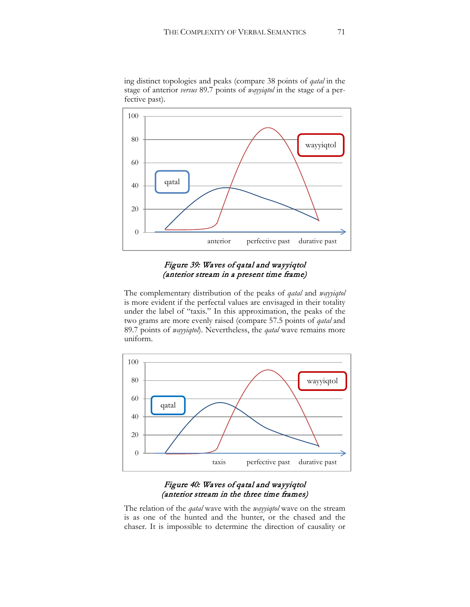

ing distinct topologies and peaks (compare 38 points of *qatal* in the stage of anterior *versus* 89.7 points of *wayyiqtol* in the stage of a perfective past).

## Figure 39: Waves of qatal and wayyiqtol (anterior stream in a present time frame)

The complementary distribution of the peaks of *qatal* and *wayyiqtol* is more evident if the perfectal values are envisaged in their totality under the label of "taxis." In this approximation, the peaks of the two grams are more evenly raised (compare 57.5 points of *qatal* and 89.7 points of *wayyiqtol*). Nevertheless, the *qatal* wave remains more uniform.



## Figure 40: Waves of qatal and wayyiqtol (anterior stream in the three time frames)

The relation of the *qatal* wave with the *wayyiqtol* wave on the stream is as one of the hunted and the hunter, or the chased and the chaser. It is impossible to determine the direction of causality or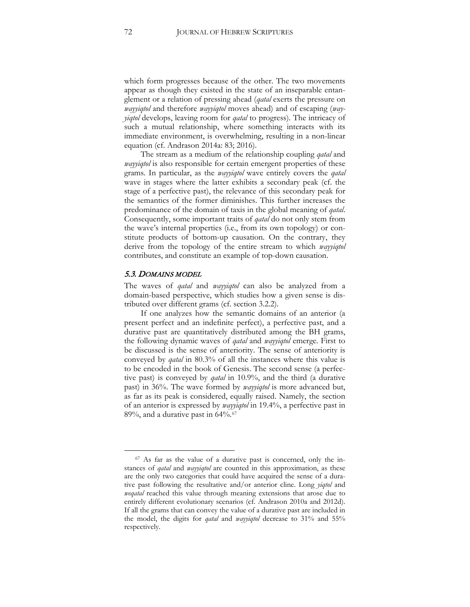which form progresses because of the other. The two movements appear as though they existed in the state of an inseparable entanglement or a relation of pressing ahead (*qatal* exerts the pressure on *wayyiqtol* and therefore *wayyiqtol* moves ahead) and of escaping (*wayyiqtol* develops, leaving room for *qatal* to progress). The intricacy of such a mutual relationship, where something interacts with its immediate environment, is overwhelming, resulting in a non-linear equation (cf. Andrason 2014a: 83; 2016).

The stream as a medium of the relationship coupling *qatal* and *wayyiqtol* is also responsible for certain emergent properties of these grams. In particular, as the *wayyiqtol* wave entirely covers the *qatal* wave in stages where the latter exhibits a secondary peak (cf. the stage of a perfective past), the relevance of this secondary peak for the semantics of the former diminishes. This further increases the predominance of the domain of taxis in the global meaning of *qatal*. Consequently, some important traits of *qatal* do not only stem from the wave's internal properties (i.e., from its own topology) or constitute products of bottom-up causation. On the contrary, they derive from the topology of the entire stream to which *wayyiqtol*  contributes, and constitute an example of top-down causation.

### 5.3. DOMAINS MODEL

 $\overline{a}$ 

The waves of *qatal* and *wayyiqtol* can also be analyzed from a domain-based perspective, which studies how a given sense is distributed over different grams (cf. section 3.2.2).

If one analyzes how the semantic domains of an anterior (a present perfect and an indefinite perfect), a perfective past, and a durative past are quantitatively distributed among the BH grams, the following dynamic waves of *qatal* and *wayyiqtol* emerge. First to be discussed is the sense of anteriority. The sense of anteriority is conveyed by *qatal* in 80.3% of all the instances where this value is to be encoded in the book of Genesis. The second sense (a perfective past) is conveyed by *qatal* in 10.9%, and the third (a durative past) in 36%. The wave formed by *wayyiqtol* is more advanced but, as far as its peak is considered, equally raised. Namely, the section of an anterior is expressed by *wayyiqtol* in 19.4%, a perfective past in  $89\%$ , and a durative past in 64\%.<sup>[67](#page-72-0)</sup>

<span id="page-72-0"></span> $67$  As far as the value of a durative past is concerned, only the instances of *qatal* and *wayyiqtol* are counted in this approximation, as these are the only two categories that could have acquired the sense of a durative past following the resultative and/or anterior cline. Long *yiqtol* and *weqatal* reached this value through meaning extensions that arose due to entirely different evolutionary scenarios (cf. Andrason 2010a and 2012d). If all the grams that can convey the value of a durative past are included in the model, the digits for *qatal* and *wayyiqtol* decrease to 31% and 55% respectively.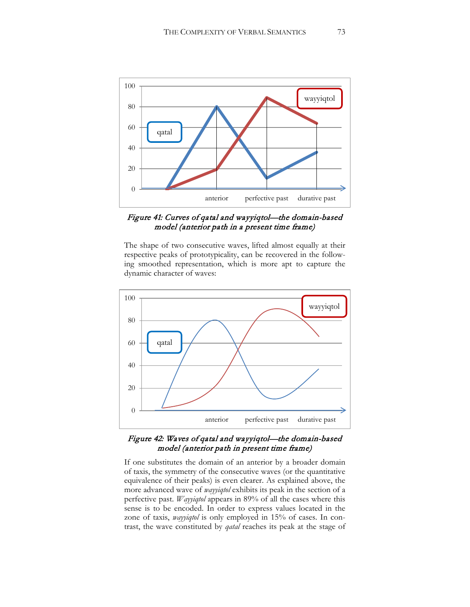

Figure 41: Curves of qatal and wayyiqtol—the domain-based model (anterior path in a present time frame)

The shape of two consecutive waves, lifted almost equally at their respective peaks of prototypicality, can be recovered in the following smoothed representation, which is more apt to capture the dynamic character of waves:



## Figure 42: Waves of qatal and wayyiqtol—the domain-based model (anterior path in present time frame)

If one substitutes the domain of an anterior by a broader domain of taxis, the symmetry of the consecutive waves (or the quantitative equivalence of their peaks) is even clearer. As explained above, the more advanced wave of *wayyiqtol* exhibits its peak in the section of a perfective past. *Wayyiqtol* appears in 89% of all the cases where this sense is to be encoded. In order to express values located in the zone of taxis, *wayyiqtol* is only employed in 15% of cases. In contrast, the wave constituted by *qatal* reaches its peak at the stage of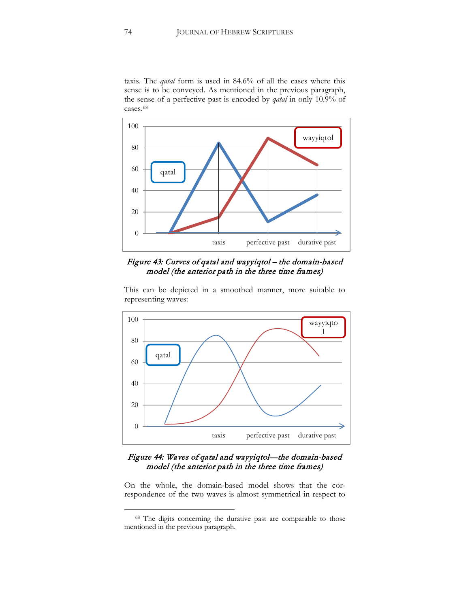taxis. The *qatal* form is used in 84.6% of all the cases where this sense is to be conveyed. As mentioned in the previous paragraph, the sense of a perfective past is encoded by *qatal* in only 10.9% of cases.<sup>[68](#page-74-0)</sup>



Figure 43: Curves of qatal and wayyiqtol – the domain-based model (the anterior path in the three time frames)

This can be depicted in a smoothed manner, more suitable to representing waves:



# Figure 44: Waves of qatal and wayyiqtol—the domain-based model (the anterior path in the three time frames)

On the whole, the domain-based model shows that the correspondence of the two waves is almost symmetrical in respect to

<span id="page-74-0"></span><sup>68</sup> The digits concerning the durative past are comparable to those mentioned in the previous paragraph.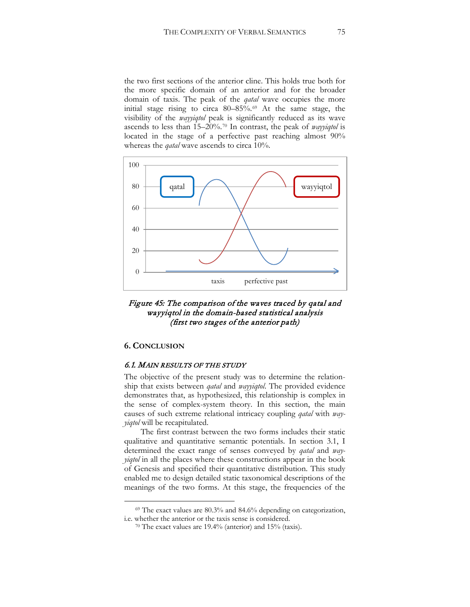the two first sections of the anterior cline. This holds true both for the more specific domain of an anterior and for the broader domain of taxis. The peak of the *qatal* wave occupies the more initial stage rising to circa 80–85%.[69](#page-75-0) At the same stage, the visibility of the *wayyiqtol* peak is significantly reduced as its wave ascends to less than 15–20%.[70](#page-75-1) In contrast, the peak of *wayyiqtol* is located in the stage of a perfective past reaching almost 90% whereas the *qatal* wave ascends to circa 10%.



Figure 45: The comparison of the waves traced by qatal and wayyiqtol in the domain-based statistical analysis (first two stages of the anterior path)

## **6. CONCLUSION**

 $\overline{a}$ 

## 6.1. MAIN RESULTS OF THE STUDY

The objective of the present study was to determine the relationship that exists between *qatal* and *wayyiqtol*. The provided evidence demonstrates that, as hypothesized, this relationship is complex in the sense of complex-system theory. In this section, the main causes of such extreme relational intricacy coupling *qatal* with *wayyiqtol* will be recapitulated.

The first contrast between the two forms includes their static qualitative and quantitative semantic potentials. In section 3.1, I determined the exact range of senses conveyed by *qatal* and *wayyiqtol* in all the places where these constructions appear in the book of Genesis and specified their quantitative distribution. This study enabled me to design detailed static taxonomical descriptions of the meanings of the two forms. At this stage, the frequencies of the

<span id="page-75-1"></span><span id="page-75-0"></span><sup>69</sup> The exact values are 80.3% and 84.6% depending on categorization, i.e. whether the anterior or the taxis sense is considered.

<sup>70</sup> The exact values are 19.4% (anterior) and 15% (taxis).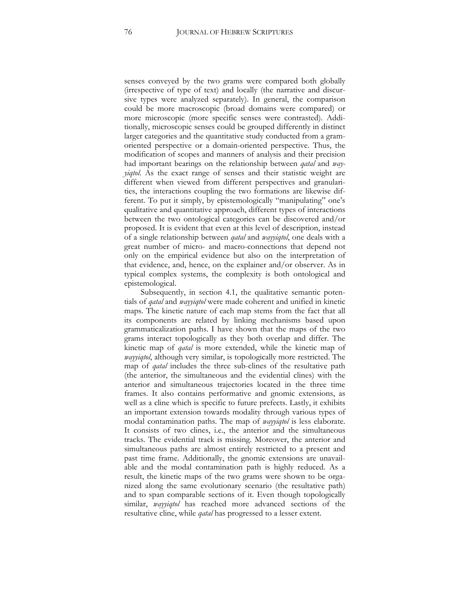senses conveyed by the two grams were compared both globally (irrespective of type of text) and locally (the narrative and discursive types were analyzed separately). In general, the comparison could be more macroscopic (broad domains were compared) or more microscopic (more specific senses were contrasted). Additionally, microscopic senses could be grouped differently in distinct larger categories and the quantitative study conducted from a gramoriented perspective or a domain-oriented perspective. Thus, the modification of scopes and manners of analysis and their precision had important bearings on the relationship between *qatal* and *wayyiqtol*. As the exact range of senses and their statistic weight are different when viewed from different perspectives and granularities, the interactions coupling the two formations are likewise different. To put it simply, by epistemologically "manipulating" one's qualitative and quantitative approach, different types of interactions between the two ontological categories can be discovered and/or proposed. It is evident that even at this level of description, instead of a single relationship between *qatal* and *wayyiqtol*, one deals with a great number of micro- and macro-connections that depend not only on the empirical evidence but also on the interpretation of that evidence, and, hence, on the explainer and/or observer. As in typical complex systems, the complexity is both ontological and epistemological.

Subsequently, in section 4.1, the qualitative semantic potentials of *qatal* and *wayyiqtol* were made coherent and unified in kinetic maps. The kinetic nature of each map stems from the fact that all its components are related by linking mechanisms based upon grammaticalization paths. I have shown that the maps of the two grams interact topologically as they both overlap and differ. The kinetic map of *qatal* is more extended, while the kinetic map of *wayyiqtol*, although very similar, is topologically more restricted. The map of *qatal* includes the three sub-clines of the resultative path (the anterior, the simultaneous and the evidential clines) with the anterior and simultaneous trajectories located in the three time frames. It also contains performative and gnomic extensions, as well as a cline which is specific to future prefects. Lastly, it exhibits an important extension towards modality through various types of modal contamination paths. The map of *wayyiqtol* is less elaborate. It consists of two clines, i.e., the anterior and the simultaneous tracks. The evidential track is missing. Moreover, the anterior and simultaneous paths are almost entirely restricted to a present and past time frame. Additionally, the gnomic extensions are unavailable and the modal contamination path is highly reduced. As a result, the kinetic maps of the two grams were shown to be organized along the same evolutionary scenario (the resultative path) and to span comparable sections of it. Even though topologically similar, *wayyiqtol* has reached more advanced sections of the resultative cline, while *qatal* has progressed to a lesser extent.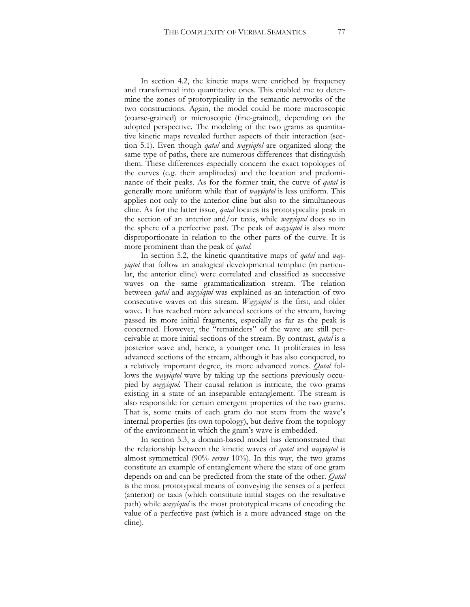In section 4.2, the kinetic maps were enriched by frequency and transformed into quantitative ones. This enabled me to determine the zones of prototypicality in the semantic networks of the two constructions. Again, the model could be more macroscopic (coarse-grained) or microscopic (fine-grained), depending on the adopted perspective. The modeling of the two grams as quantitative kinetic maps revealed further aspects of their interaction (section 5.1). Even though *qatal* and *wayyiqtol* are organized along the same type of paths, there are numerous differences that distinguish them. These differences especially concern the exact topologies of the curves (e.g. their amplitudes) and the location and predominance of their peaks. As for the former trait, the curve of *qatal* is generally more uniform while that of *wayyiqtol* is less uniform. This applies not only to the anterior cline but also to the simultaneous cline. As for the latter issue, *qatal* locates its prototypicality peak in the section of an anterior and/or taxis, while *wayyiqtol* does so in the sphere of a perfective past. The peak of *wayyiqtol* is also more disproportionate in relation to the other parts of the curve. It is more prominent than the peak of *qatal*.

In section 5.2, the kinetic quantitative maps of *qatal* and *wayyiqtol* that follow an analogical developmental template (in particular, the anterior cline) were correlated and classified as successive waves on the same grammaticalization stream. The relation between *qatal* and *wayyiqtol* was explained as an interaction of two consecutive waves on this stream. *Wayyiqtol* is the first, and older wave. It has reached more advanced sections of the stream, having passed its more initial fragments, especially as far as the peak is concerned. However, the "remainders" of the wave are still perceivable at more initial sections of the stream. By contrast, *qatal* is a posterior wave and, hence, a younger one. It proliferates in less advanced sections of the stream, although it has also conquered, to a relatively important degree, its more advanced zones. *Qatal* follows the *wayyiqtol* wave by taking up the sections previously occupied by *wayyiqtol.* Their causal relation is intricate, the two grams existing in a state of an inseparable entanglement. The stream is also responsible for certain emergent properties of the two grams. That is, some traits of each gram do not stem from the wave's internal properties (its own topology), but derive from the topology of the environment in which the gram's wave is embedded.

In section 5.3, a domain-based model has demonstrated that the relationship between the kinetic waves of *qatal* and *wayyiqtol* is almost symmetrical (90% *versus* 10%). In this way, the two grams constitute an example of entanglement where the state of one gram depends on and can be predicted from the state of the other. *Qatal* is the most prototypical means of conveying the senses of a perfect (anterior) or taxis (which constitute initial stages on the resultative path) while *wayyiqtol* is the most prototypical means of encoding the value of a perfective past (which is a more advanced stage on the cline).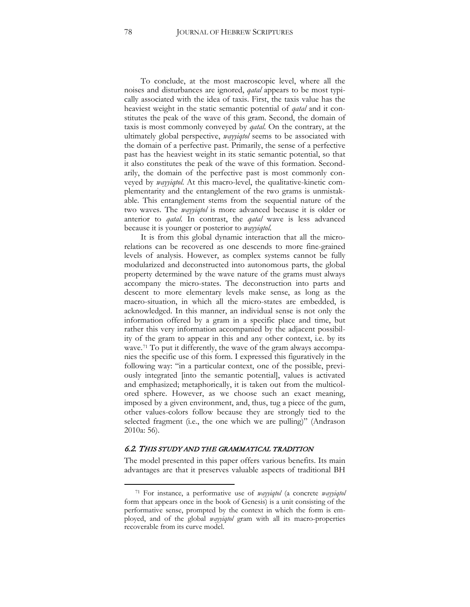To conclude, at the most macroscopic level, where all the noises and disturbances are ignored, *qatal* appears to be most typically associated with the idea of taxis. First, the taxis value has the heaviest weight in the static semantic potential of *qatal* and it constitutes the peak of the wave of this gram. Second, the domain of taxis is most commonly conveyed by *qatal*. On the contrary, at the ultimately global perspective, *wayyiqtol* seems to be associated with the domain of a perfective past. Primarily, the sense of a perfective past has the heaviest weight in its static semantic potential, so that it also constitutes the peak of the wave of this formation. Secondarily, the domain of the perfective past is most commonly conveyed by *wayyiqtol*. At this macro-level, the qualitative-kinetic complementarity and the entanglement of the two grams is unmistakable. This entanglement stems from the sequential nature of the two waves. The *wayyiqtol* is more advanced because it is older or anterior to *qatal*. In contrast, the *qatal* wave is less advanced because it is younger or posterior to *wayyiqtol*.

It is from this global dynamic interaction that all the microrelations can be recovered as one descends to more fine-grained levels of analysis. However, as complex systems cannot be fully modularized and deconstructed into autonomous parts, the global property determined by the wave nature of the grams must always accompany the micro-states. The deconstruction into parts and descent to more elementary levels make sense, as long as the macro-situation, in which all the micro-states are embedded, is acknowledged. In this manner, an individual sense is not only the information offered by a gram in a specific place and time, but rather this very information accompanied by the adjacent possibility of the gram to appear in this and any other context, i.e. by its wave.<sup>[71](#page-78-0)</sup> To put it differently, the wave of the gram always accompanies the specific use of this form. I expressed this figuratively in the following way: "in a particular context, one of the possible, previously integrated [into the semantic potential], values is activated and emphasized; metaphorically, it is taken out from the multicolored sphere. However, as we choose such an exact meaning, imposed by a given environment, and, thus, tug a piece of the gum, other values-colors follow because they are strongly tied to the selected fragment (i.e., the one which we are pulling)" (Andrason 2010a: 56).

#### 6.2. THIS STUDY AND THE GRAMMATICAL TRADITION

The model presented in this paper offers various benefits. Its main advantages are that it preserves valuable aspects of traditional BH

<span id="page-78-0"></span><sup>71</sup> For instance, a performative use of *wayyiqtol* (a concrete *wayyiqtol* form that appears once in the book of Genesis) is a unit consisting of the performative sense, prompted by the context in which the form is employed, and of the global *wayyiqtol* gram with all its macro-properties recoverable from its curve model.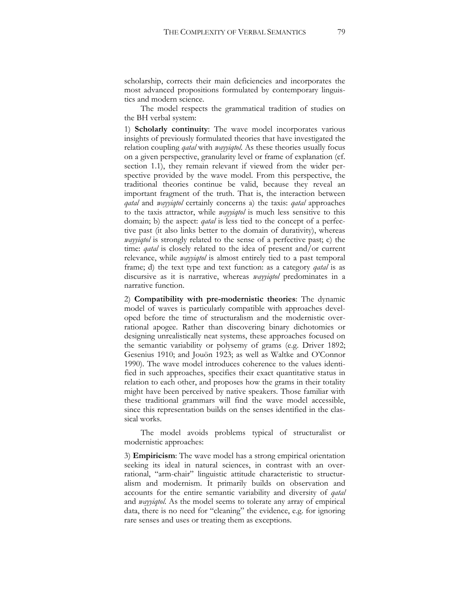scholarship, corrects their main deficiencies and incorporates the most advanced propositions formulated by contemporary linguistics and modern science.

The model respects the grammatical tradition of studies on the BH verbal system:

1) **Scholarly continuity**: The wave model incorporates various insights of previously formulated theories that have investigated the relation coupling *qatal* with *wayyiqtol*. As these theories usually focus on a given perspective, granularity level or frame of explanation (cf. section 1.1), they remain relevant if viewed from the wider perspective provided by the wave model. From this perspective, the traditional theories continue be valid, because they reveal an important fragment of the truth. That is, the interaction between *qatal* and *wayyiqtol* certainly concerns a) the taxis: *qatal* approaches to the taxis attractor, while *wayyiqtol* is much less sensitive to this domain; b) the aspect: *qatal* is less tied to the concept of a perfective past (it also links better to the domain of durativity), whereas *wayyiqtol* is strongly related to the sense of a perfective past; c) the time: *qatal* is closely related to the idea of present and/or current relevance, while *wayyiqtol* is almost entirely tied to a past temporal frame; d) the text type and text function: as a category *qatal* is as discursive as it is narrative, whereas *wayyiqtol* predominates in a narrative function.

2) **Compatibility with pre-modernistic theories**: The dynamic model of waves is particularly compatible with approaches developed before the time of structuralism and the modernistic overrational apogee. Rather than discovering binary dichotomies or designing unrealistically neat systems, these approaches focused on the semantic variability or polysemy of grams (e.g. Driver 1892; Gesenius 1910; and Jouön 1923; as well as Waltke and O'Connor 1990). The wave model introduces coherence to the values identified in such approaches, specifies their exact quantitative status in relation to each other, and proposes how the grams in their totality might have been perceived by native speakers. Those familiar with these traditional grammars will find the wave model accessible, since this representation builds on the senses identified in the classical works.

The model avoids problems typical of structuralist or modernistic approaches:

3) **Empiricism**: The wave model has a strong empirical orientation seeking its ideal in natural sciences, in contrast with an overrational, "arm-chair" linguistic attitude characteristic to structuralism and modernism. It primarily builds on observation and accounts for the entire semantic variability and diversity of *qatal*  and *wayyiqtol*. As the model seems to tolerate any array of empirical data, there is no need for "cleaning" the evidence, e.g. for ignoring rare senses and uses or treating them as exceptions.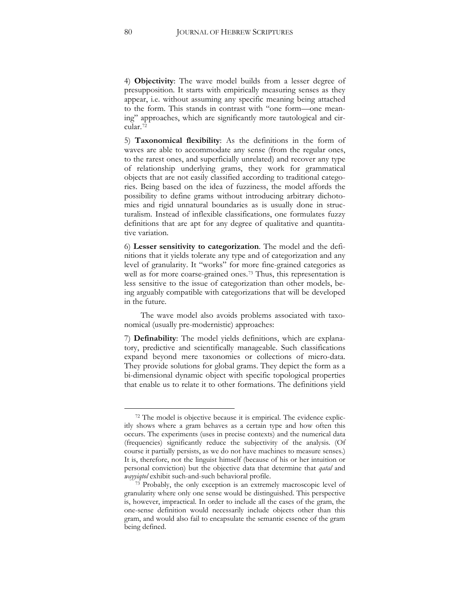4) **Objectivity**: The wave model builds from a lesser degree of presupposition. It starts with empirically measuring senses as they appear, i.e. without assuming any specific meaning being attached to the form. This stands in contrast with "one form—one meaning" approaches, which are significantly more tautological and circular.[72](#page-80-0)

5) **Taxonomical flexibility**: As the definitions in the form of waves are able to accommodate any sense (from the regular ones, to the rarest ones, and superficially unrelated) and recover any type of relationship underlying grams, they work for grammatical objects that are not easily classified according to traditional categories. Being based on the idea of fuzziness, the model affords the possibility to define grams without introducing arbitrary dichotomies and rigid unnatural boundaries as is usually done in structuralism. Instead of inflexible classifications, one formulates fuzzy definitions that are apt for any degree of qualitative and quantitative variation.

6) **Lesser sensitivity to categorization**. The model and the definitions that it yields tolerate any type and of categorization and any level of granularity. It "works" for more fine-grained categories as well as for more coarse-grained ones.<sup>[73](#page-80-1)</sup> Thus, this representation is less sensitive to the issue of categorization than other models, being arguably compatible with categorizations that will be developed in the future.

The wave model also avoids problems associated with taxonomical (usually pre-modernistic) approaches:

7) **Definability**: The model yields definitions, which are explanatory, predictive and scientifically manageable. Such classifications expand beyond mere taxonomies or collections of micro-data. They provide solutions for global grams. They depict the form as a bi-dimensional dynamic object with specific topological properties that enable us to relate it to other formations. The definitions yield

<span id="page-80-0"></span><sup>72</sup> The model is objective because it is empirical. The evidence explicitly shows where a gram behaves as a certain type and how often this occurs. The experiments (uses in precise contexts) and the numerical data (frequencies) significantly reduce the subjectivity of the analysis. (Of course it partially persists, as we do not have machines to measure senses.) It is, therefore, not the linguist himself (because of his or her intuition or personal conviction) but the objective data that determine that *qatal* and *wayyiqtol* exhibit such-and-such behavioral profile.

<span id="page-80-1"></span><sup>73</sup> Probably, the only exception is an extremely macroscopic level of granularity where only one sense would be distinguished. This perspective is, however, impractical. In order to include all the cases of the gram, the one-sense definition would necessarily include objects other than this gram, and would also fail to encapsulate the semantic essence of the gram being defined.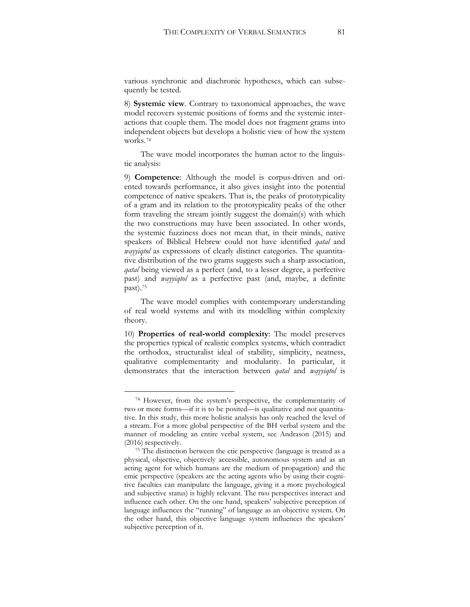various synchronic and diachronic hypotheses, which can subsequently be tested.

8) **Systemic view**. Contrary to taxonomical approaches, the wave model recovers systemic positions of forms and the systemic interactions that couple them. The model does not fragment grams into independent objects but develops a holistic view of how the system works.[74](#page-81-0)

The wave model incorporates the human actor to the linguistic analysis:

9) **Competence**: Although the model is corpus-driven and oriented towards performance, it also gives insight into the potential competence of native speakers. That is, the peaks of prototypicality of a gram and its relation to the prototypicality peaks of the other form traveling the stream jointly suggest the domain(s) with which the two constructions may have been associated. In other words, the systemic fuzziness does not mean that, in their minds, native speakers of Biblical Hebrew could not have identified *qatal* and *wayyiqtol* as expressions of clearly distinct categories. The quantitative distribution of the two grams suggests such a sharp association, *qatal* being viewed as a perfect (and, to a lesser degree, a perfective past) and *wayyiqtol* as a perfective past (and, maybe, a definite past).[75](#page-81-1)

The wave model complies with contemporary understanding of real world systems and with its modelling within complexity theory.

10) **Properties of real-world complexity**: The model preserves the properties typical of realistic complex systems, which contradict the orthodox, structuralist ideal of stability, simplicity, neatness, qualitative complementarity and modularity. In particular, it demonstrates that the interaction between *qatal* and *wayyiqtol* is

<span id="page-81-0"></span><sup>74</sup> However, from the system's perspective, the complementarity of two or more forms—if it is to be posited—is qualitative and not quantitative. In this study, this more holistic analysis has only reached the level of a stream. For a more global perspective of the BH verbal system and the manner of modeling an entire verbal system, see Andrason (2015) and (2016) respectively.

<span id="page-81-1"></span><sup>&</sup>lt;sup>75</sup> The distinction between the etic perspective (language is treated as a physical, objective, objectively accessible, autonomous system and as an acting agent for which humans are the medium of propagation) and the emic perspective (speakers are the acting agents who by using their cognitive faculties can manipulate the language, giving it a more psychological and subjective status) is highly relevant. The two perspectives interact and influence each other. On the one hand, speakers' subjective perception of language influences the "running" of language as an objective system. On the other hand, this objective language system influences the speakers' subjective perception of it.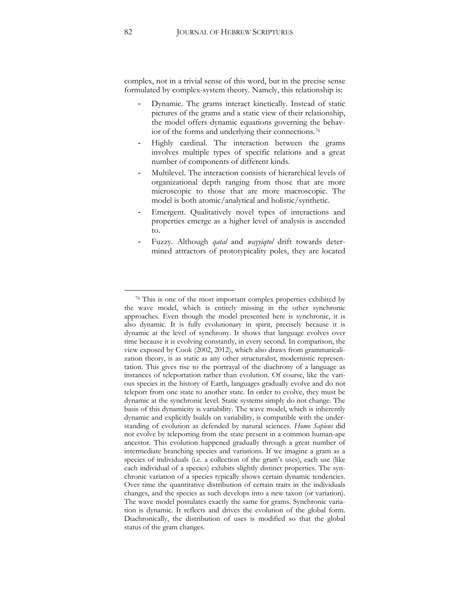complex, not in a trivial sense of this word, but in the precise sense formulated by complex-system theory. Namely, this relationship is:

- Dynamic. The grams interact kinetically. Instead of static pictures of the grams and a static view of their relationship, the model offers dynamic equations governing the behavior of the forms and underlying their connections.[76](#page-82-0)
- Highly cardinal. The interaction between the grams involves multiple types of specific relations and a great number of components of different kinds.
- Multilevel. The interaction consists of hierarchical levels of organizational depth ranging from those that are more microscopic to those that are more macroscopic. The model is both atomic/analytical and holistic/synthetic.
- Emergent. Qualitatively novel types of interactions and properties emerge as a higher level of analysis is ascended to.
- Fuzzy. Although *qatal* and *wayyiqtol* drift towards determined attractors of prototypicality poles, they are located

<span id="page-82-0"></span><sup>76</sup> This is one of the most important complex properties exhibited by the wave model, which is entirely missing in the other synchronic approaches. Even though the model presented here is synchronic, it is also dynamic. It is fully evolutionary in spirit, precisely because it is dynamic at the level of synchrony. It shows that language evolves over time because it is evolving constantly, in every second. In comparison, the view exposed by Cook (2002, 2012), which also draws from grammaticalization theory, is as static as any other structuralist, modernistic representation. This gives rise to the portrayal of the diachrony of a language as instances of teleportation rather than evolution. Of course, like the various species in the history of Earth, languages gradually evolve and do not teleport from one state to another state. In order to evolve, they must be dynamic at the synchronic level. Static systems simply do not change. The basis of this dynamicity is variability. The wave model, which is inherently dynamic and explicitly builds on variability, is compatible with the understanding of evolution as defended by natural sciences. *Homo Sapiens* did not evolve by teleporting from the state present in a common human-ape ancestor. This evolution happened gradually through a great number of intermediate branching species and variations. If we imagine a gram as a species of individuals (i.e. a collection of the gram's uses), each use (like each individual of a species) exhibits slightly distinct properties. The synchronic variation of a species typically shows certain dynamic tendencies. Over time the quantitative distribution of certain traits in the individuals changes, and the species as such develops into a new taxon (or variation). The wave model postulates exactly the same for grams. Synchronic variation is dynamic. It reflects and drives the evolution of the global form. Diachronically, the distribution of uses is modified so that the global status of the gram changes.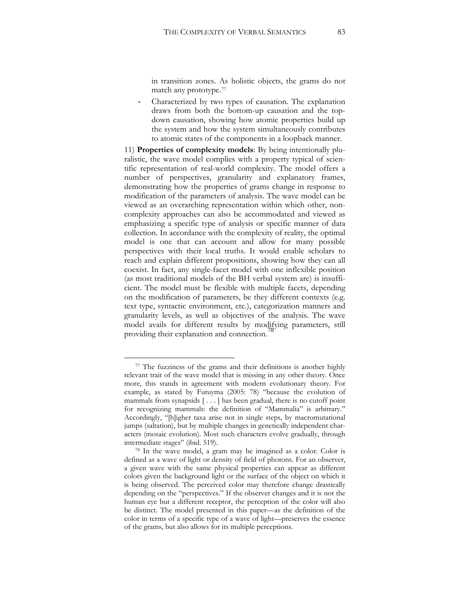in transition zones. As holistic objects, the grams do not match any prototype.[77](#page-83-0)

- Characterized by two types of causation. The explanation draws from both the bottom-up causation and the topdown causation, showing how atomic properties build up the system and how the system simultaneously contributes to atomic states of the components in a loopback manner.

11) **Properties of complexity models**: By being intentionally pluralistic, the wave model complies with a property typical of scientific representation of real-world complexity. The model offers a number of perspectives, granularity and explanatory frames, demonstrating how the properties of grams change in response to modification of the parameters of analysis. The wave model can be viewed as an overarching representation within which other, noncomplexity approaches can also be accommodated and viewed as emphasizing a specific type of analysis or specific manner of data collection. In accordance with the complexity of reality, the optimal model is one that can account and allow for many possible perspectives with their local truths. It would enable scholars to reach and explain different propositions, showing how they can all coexist. In fact, any single-facet model with one inflexible position (as most traditional models of the BH verbal system are) is insufficient. The model must be flexible with multiple facets, depending on the modification of parameters, be they different contexts (e.g. text type, syntactic environment, etc.), categorization manners and granularity levels, as well as objectives of the analysis. The wave model avails for different results by modifying parameters, still providing their explanation and connection.<sup>16</sup>

<span id="page-83-0"></span><sup>77</sup> The fuzziness of the grams and their definitions is another highly relevant trait of the wave model that is missing in any other theory. Once more, this stands in agreement with modern evolutionary theory. For example, as stated by Futuyma (2005: 78) "because the evolution of mammals from synapsids [ . . . ] has been gradual, there is no cutoff point for recognizing mammals: the definition of "Mammalia" is arbitrary." Accordingly, "[h]igher taxa arise not in single steps, by macromutational jumps (saltation), but by multiple changes in genetically independent characters (mosaic evolution). Most such characters evolve gradually, through intermediate stages" (ibid. 519).

<span id="page-83-1"></span><sup>78</sup> In the wave model, a gram may be imagined as a color. Color is defined as a wave of light or density of field of photons. For an observer, a given wave with the same physical properties can appear as different colors given the background light or the surface of the object on which it is being observed. The perceived color may therefore change drastically depending on the "perspectives." If the observer changes and it is not the human eye but a different receptor, the perception of the color will also be distinct. The model presented in this paper—as the definition of the color in terms of a specific type of a wave of light—preserves the essence of the grams, but also allows for its multiple perceptions.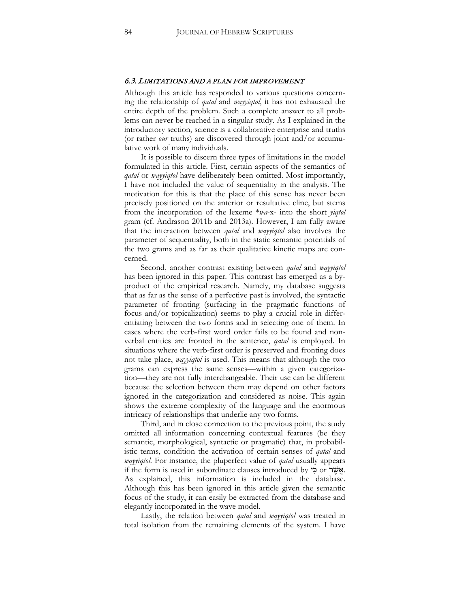### 6.3. LIMITATIONS AND A PLAN FOR IMPROVEMENT

Although this article has responded to various questions concerning the relationship of *qatal* and *wayyiqtol*, it has not exhausted the entire depth of the problem. Such a complete answer to all problems can never be reached in a singular study. As I explained in the introductory section, science is a collaborative enterprise and truths (or rather *our* truths) are discovered through joint and/or accumulative work of many individuals.

It is possible to discern three types of limitations in the model formulated in this article. First, certain aspects of the semantics of *qatal* or *wayyiqtol* have deliberately been omitted. Most importantly, I have not included the value of sequentiality in the analysis. The motivation for this is that the place of this sense has never been precisely positioned on the anterior or resultative cline, but stems from the incorporation of the lexeme \**wa*-x- into the short *yiqtol*  gram (cf. Andrason 2011b and 2013a). However, I am fully aware that the interaction between *qatal* and *wayyiqtol* also involves the parameter of sequentiality, both in the static semantic potentials of the two grams and as far as their qualitative kinetic maps are concerned.

Second, another contrast existing between *qatal* and *wayyiqtol*  has been ignored in this paper. This contrast has emerged as a byproduct of the empirical research. Namely, my database suggests that as far as the sense of a perfective past is involved, the syntactic parameter of fronting (surfacing in the pragmatic functions of focus and/or topicalization) seems to play a crucial role in differentiating between the two forms and in selecting one of them. In cases where the verb-first word order fails to be found and nonverbal entities are fronted in the sentence, *qatal* is employed. In situations where the verb-first order is preserved and fronting does not take place, *wayyiqtol* is used. This means that although the two grams can express the same senses—within a given categorization—they are not fully interchangeable. Their use can be different because the selection between them may depend on other factors ignored in the categorization and considered as noise. This again shows the extreme complexity of the language and the enormous intricacy of relationships that underlie any two forms.

Third, and in close connection to the previous point, the study omitted all information concerning contextual features (be they semantic, morphological, syntactic or pragmatic) that, in probabilistic terms, condition the activation of certain senses of *qatal* and *wayyiqtol*. For instance, the pluperfect value of *qatal* usually appears if the form is used in subordinate clauses introduced by י**אֲשֶׁר** or. As explained, this information is included in the database. Although this has been ignored in this article given the semantic focus of the study, it can easily be extracted from the database and elegantly incorporated in the wave model.

Lastly, the relation between *qatal* and *wayyiqtol* was treated in total isolation from the remaining elements of the system. I have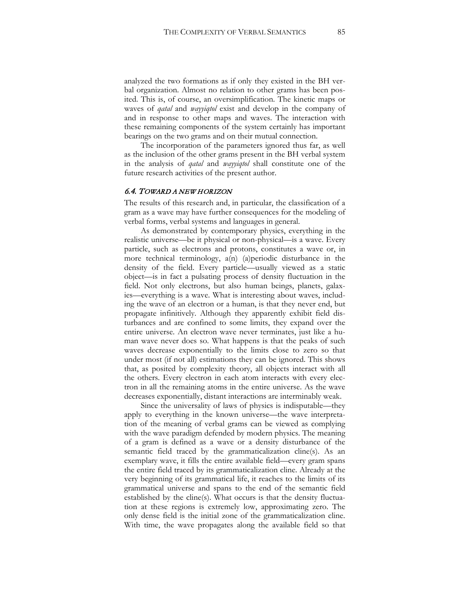analyzed the two formations as if only they existed in the BH verbal organization. Almost no relation to other grams has been posited. This is, of course, an oversimplification. The kinetic maps or waves of *qatal* and *wayyiqtol* exist and develop in the company of and in response to other maps and waves. The interaction with these remaining components of the system certainly has important bearings on the two grams and on their mutual connection.

The incorporation of the parameters ignored thus far, as well as the inclusion of the other grams present in the BH verbal system in the analysis of *qatal* and *wayyiqtol* shall constitute one of the future research activities of the present author.

## 6.4. TOWARD A NEW HORIZON

The results of this research and, in particular, the classification of a gram as a wave may have further consequences for the modeling of verbal forms, verbal systems and languages in general.

As demonstrated by contemporary physics, everything in the realistic universe—be it physical or non-physical—is a wave. Every particle, such as electrons and protons, constitutes a wave or, in more technical terminology, a(n) (a)periodic disturbance in the density of the field. Every particle—usually viewed as a static object—is in fact a pulsating process of density fluctuation in the field. Not only electrons, but also human beings, planets, galaxies—everything is a wave. What is interesting about waves, including the wave of an electron or a human, is that they never end, but propagate infinitively. Although they apparently exhibit field disturbances and are confined to some limits, they expand over the entire universe. An electron wave never terminates, just like a human wave never does so. What happens is that the peaks of such waves decrease exponentially to the limits close to zero so that under most (if not all) estimations they can be ignored. This shows that, as posited by complexity theory, all objects interact with all the others. Every electron in each atom interacts with every electron in all the remaining atoms in the entire universe. As the wave decreases exponentially, distant interactions are interminably weak.

Since the universality of laws of physics is indisputable—they apply to everything in the known universe—the wave interpretation of the meaning of verbal grams can be viewed as complying with the wave paradigm defended by modern physics. The meaning of a gram is defined as a wave or a density disturbance of the semantic field traced by the grammaticalization cline(s). As an exemplary wave, it fills the entire available field—every gram spans the entire field traced by its grammaticalization cline. Already at the very beginning of its grammatical life, it reaches to the limits of its grammatical universe and spans to the end of the semantic field established by the cline(s). What occurs is that the density fluctuation at these regions is extremely low, approximating zero. The only dense field is the initial zone of the grammaticalization cline. With time, the wave propagates along the available field so that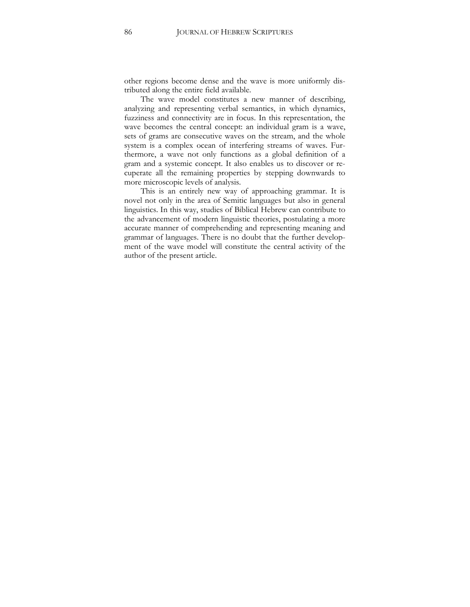other regions become dense and the wave is more uniformly distributed along the entire field available.

The wave model constitutes a new manner of describing, analyzing and representing verbal semantics, in which dynamics, fuzziness and connectivity are in focus. In this representation, the wave becomes the central concept: an individual gram is a wave, sets of grams are consecutive waves on the stream, and the whole system is a complex ocean of interfering streams of waves. Furthermore, a wave not only functions as a global definition of a gram and a systemic concept. It also enables us to discover or recuperate all the remaining properties by stepping downwards to more microscopic levels of analysis.

This is an entirely new way of approaching grammar. It is novel not only in the area of Semitic languages but also in general linguistics. In this way, studies of Biblical Hebrew can contribute to the advancement of modern linguistic theories, postulating a more accurate manner of comprehending and representing meaning and grammar of languages. There is no doubt that the further development of the wave model will constitute the central activity of the author of the present article.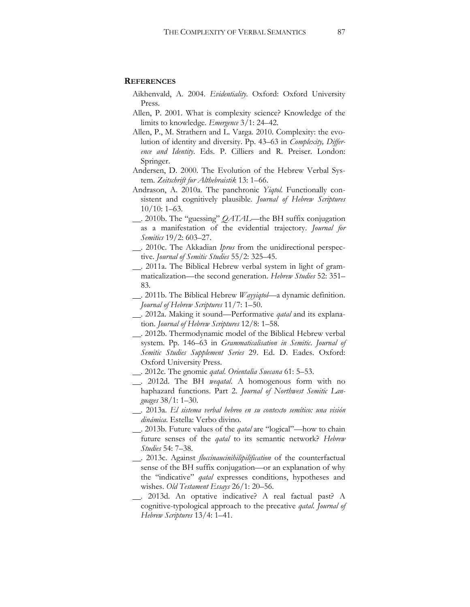### **REFERENCES**

- Aikhenvald, A. 2004. *Evidentiality*. Oxford: Oxford University Press.
- Allen, P. 2001. What is complexity science? Knowledge of the limits to knowledge. *Emergence* 3/1: 24–42.
- Allen, P., M. Strathern and L. Varga. 2010. Complexity: the evolution of identity and diversity. Pp. 43–63 in *Complexity, Difference and Identity*. Eds. P. Cilliers and R. Preiser. London: Springer.
- Andersen, D. 2000. The Evolution of the Hebrew Verbal System. *Zeitschrift fur Althebraistik* 13: 1–66.
- Andrason, A. 2010a. The panchronic *Yiqtol*. Functionally consistent and cognitively plausible. *Journal of Hebrew Scriptures* 10/10: 1–63.
- . 2010b. The "guessing" *QATAL*—the BH suffix conjugation as a manifestation of the evidential trajectory. *Journal for Semitics* 19/2: 603–27.
- . 2010c. The Akkadian *Iprus* from the unidirectional perspective. *Journal of Semitic Studies* 55/2: 325–45.
- . 2011a. The Biblical Hebrew verbal system in light of grammaticalization—the second generation. *Hebrew Studies* 52: 351– 83.
- . 2011b. The Biblical Hebrew *Wayyiqtol*—a dynamic definition. *Journal of Hebrew Scriptures* 11/7: 1–50.
- . 2012a. Making it sound—Performative *qatal* and its explanation. *Journal of Hebrew Scriptures* 12/8: 1–58.
- . 2012b. Thermodynamic model of the Biblical Hebrew verbal system. Pp. 146–63 in *Grammaticalisation in Semitic*. *Journal of Semitic Studies Supplement Series* 29. Ed. D. Eades. Oxford: Oxford University Press.
- . 2012c. The gnomic *qatal*. *Orientalia Suecana* 61: 5–53.
- . 2012d. The BH *weqatal*. A homogenous form with no haphazard functions. Part 2. *Journal of Northwest Semitic Languages* 38/1: 1–30.
- . 2013a. *El sistema verbal hebreo en su contexto semítico: una visión dinámica*. Estella: Verbo divino.
- . 2013b. Future values of the *qatal* are "logical"—how to chain future senses of the *qatal* to its semantic network? *Hebrew Studies* 54: 7–38.
- . 2013c. Against *floccinaucinihilipilification* of the counterfactual sense of the BH suffix conjugation—or an explanation of why the "indicative" *qatal* expresses conditions, hypotheses and wishes. *Old Testament Essays* 26/1: 20–56.
- . 2013d. An optative indicative? A real factual past? A cognitive-typological approach to the precative *qatal*. *Journal of Hebrew Scriptures* 13/4: 1–41.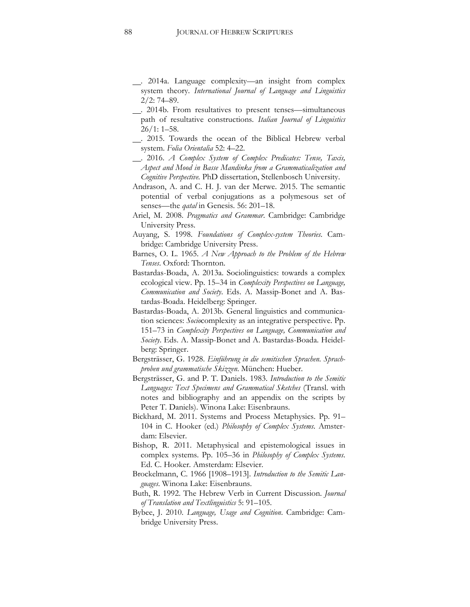- . 2014a. Language complexity—an insight from complex system theory. *International Journal of Language and Linguistics* 2/2: 74–89.
- . 2014b. From resultatives to present tenses—simultaneous path of resultative constructions. *Italian Journal of Linguistics*  $26/1: 1-58.$
- . 2015. Towards the ocean of the Biblical Hebrew verbal system. *Folia Orientalia* 52: 4–22.
- . 2016. *A Complex System of Complex Predicates: Tense, Taxis, Aspect and Mood in Basse Mandinka from a Grammaticalization and Cognitive Perspective.* PhD dissertation, Stellenbosch University.
- Andrason, A. and C. H. J. van der Merwe. 2015. The semantic potential of verbal conjugations as a polymesous set of senses—the *qatal* in Genesis. 56: 201–18.
- Ariel, M. 2008. *Pragmatics and Grammar*. Cambridge: Cambridge University Press.
- Auyang, S. 1998. *Foundations of Complex-system Theories*. Cambridge: Cambridge University Press.
- Barnes, O. L. 1965. *A New Approach to the Problem of the Hebrew Tenses*. Oxford: Thornton.
- Bastardas-Boada, A. 2013a. Sociolinguistics: towards a complex ecological view. Pp. 15–34 in *Complexity Perspectives on Language, Communication and Society*. Eds. A. Massip-Bonet and A. Bastardas-Boada. Heidelberg: Springer.
- Bastardas-Boada, A. 2013b. General linguistics and communication sciences: *Socio*complexity as an integrative perspective. Pp. 151–73 in *Complexity Perspectives on Language, Communication and Society*. Eds. A. Massip-Bonet and A. Bastardas-Boada. Heidelberg: Springer.
- Bergsträsser, G. 1928. *Einführung in die semitischen Sprachen. Sprachproben und grammatische Skizzen*. München: Hueber.
- Bergsträsser, G. and P. T. Daniels. 1983. *Introduction to the Semitic Languages: Text Specimens and Grammatical Sketches* (Transl. with notes and bibliography and an appendix on the scripts by Peter T. Daniels). Winona Lake: Eisenbrauns.
- Bickhard, M. 2011. Systems and Process Metaphysics. Pp. 91– 104 in C. Hooker (ed.) *Philosophy of Complex Systems*. Amsterdam: Elsevier.
- Bishop, R. 2011. Metaphysical and epistemological issues in complex systems. Pp. 105–36 in *Philosophy of Complex Systems*. Ed. C. Hooker*.* Amsterdam: Elsevier.
- Brockelmann, C. 1966 [1908–1913]. *Introduction to the Semitic Languages*. Winona Lake: Eisenbrauns.
- Buth, R. 1992. The Hebrew Verb in Current Discussion. *Journal of Translation and Textlinguistics* 5: 91–105.
- Bybee, J. 2010. *Language, Usage and Cognition*. Cambridge: Cambridge University Press.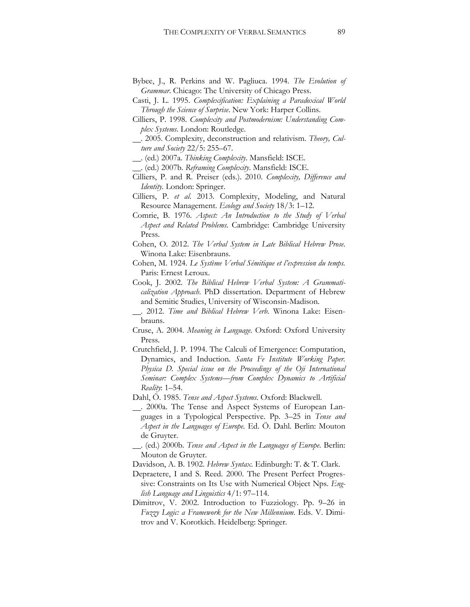- Bybee, J., R. Perkins and W. Pagliuca. 1994. *The Evolution of Grammar*. Chicago: The University of Chicago Press.
- Casti, J. L. 1995. *Complexification: Explaining a Paradoxical World Through the Science of Surprise*. New York: Harper Collins.
- Cilliers, P. 1998. *Complexity and Postmodernism: Understanding Complex Systems*. London: Routledge.
- . 2005. Complexity, deconstruction and relativism. *Theory, Culture and Society* 22/5: 255–67.
- . (ed.) 2007a. *Thinking Complexity*. Mansfield: ISCE.
- . (ed.) 2007b. *Reframing Complexity*. Mansfield: ISCE.
- Cilliers, P. and R. Preiser (eds.). 2010. *Complexity, Difference and Identity.* London: Springer.
- Cilliers, P. *et al*. 2013. Complexity, Modeling, and Natural Resource Management. *Ecology and Society* 18/3: 1–12.
- Comrie, B. 1976. *Aspect: An Introduction to the Study of Verbal Aspect and Related Problems*. Cambridge: Cambridge University Press.
- Cohen, O. 2012. *The Verbal System in Late Biblical Hebrew Prose*. Winona Lake: Eisenbrauns.
- Cohen, M. 1924. *Le Système Verbal Sémitique et l'expression du temps.*  Paris: Ernest Leroux.
- Cook, J. 2002. *The Biblical Hebrew Verbal System: A Grammaticalization Approach*. PhD dissertation. Department of Hebrew and Semitic Studies, University of Wisconsin-Madison.
- . 2012. *Time and Biblical Hebrew Verb*. Winona Lake: Eisenbrauns.
- Cruse, A. 2004. *Meaning in Language*. Oxford: Oxford University Press.
- Crutchfield, J. P. 1994. The Calculi of Emergence: Computation, Dynamics, and Induction. *Santa Fe Institute Working Paper. Physica D. Special issue on the Proceedings of the Oji International Seminar: Complex Systems—from Complex Dynamics to Artificial Reality*: 1–54.
- Dahl, Ö. 1985. *Tense and Aspect Systems*. Oxford: Blackwell.
- . 2000a. The Tense and Aspect Systems of European Languages in a Typological Perspective. Pp. 3–25 in *Tense and Aspect in the Languages of Europe*. Ed. Ö. Dahl. Berlin: Mouton de Gruyter.
- . (ed.) 2000b. *Tense and Aspect in the Languages of Europe*. Berlin: Mouton de Gruyter.
- Davidson, A. B. 1902. *Hebrew Syntax*. Edinburgh: T. & T. Clark.
- Depraetere, I and S. Reed. 2000. The Present Perfect Progressive: Constraints on Its Use with Numerical Object Nps. *English Language and Linguistics* 4/1: 97–114.
- Dimitrov, V. 2002. Introduction to Fuzziology. Pp. 9–26 in *Fuzzy Logic: a Framework for the New Millennium*. Eds. V. Dimitrov and V. Korotkich. Heidelberg: Springer.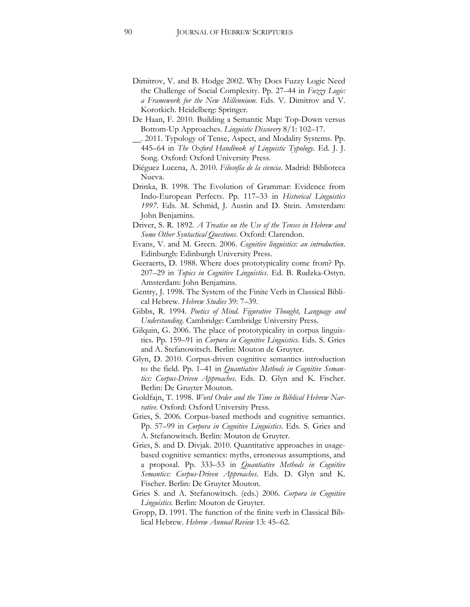- Dimitrov, V. and B. Hodge 2002. Why Does Fuzzy Logic Need the Challenge of Social Complexity. Pp. 27–44 in *Fuzzy Logic: a Framework for the New Millennium*. Eds. V. Dimitrov and V. Korotkich. Heidelberg: Springer.
- De Haan, F. 2010. Building a Semantic Map: Top-Down versus Bottom-Up Approaches. *Linguistic Discovery* 8/1: 102–17.
- . 2011. Typology of Tense, Aspect, and Modality Systems. Pp. 445–64 in *The Oxford Handbook of Linguistic Typology*. Ed. J. J. Song. Oxford: Oxford University Press.
- Diéguez Lucena, A. 2010. *Filosofía de la ciencia*. Madrid: Biblioteca Nueva.
- Drinka, B. 1998. The Evolution of Grammar: Evidence from Indo-European Perfects. Pp. 117–33 in *Historical Linguistics 1997*. Eds. M. Schmid, J. Austin and D. Stein. Amsterdam: John Benjamins.
- Driver, S. R. 1892. *A Treatise on the Use of the Tenses in Hebrew and Some Other Syntactical Questions*. Oxford: Clarendon.
- Evans, V. and M. Green. 2006. *Cognitive linguistics: an introduction*. Edinburgh: Edinburgh University Press.
- Geeraerts, D. 1988. Where does prototypicality come from? Pp. 207–29 in *Topics in Cognitive Linguistics*. Ed. B. Rudzka-Ostyn. Amsterdam: John Benjamins.
- Gentry, J. 1998. The System of the Finite Verb in Classical Biblical Hebrew. *Hebrew Studies* 39: 7–39.
- Gibbs, R. 1994. *Poetics of Mind. Figurative Thought, Language and Understanding*. Cambridge: Cambridge University Press.
- Gilquin, G. 2006. The place of prototypicality in corpus linguistics. Pp. 159–91 in *Corpora in Cognitive Linguistics*. Eds. S. Gries and A. Stefanowitsch. Berlin: Mouton de Gruyter.
- Glyn, D. 2010. Corpus-driven cognitive semantics introduction to the field. Pp. 1–41 in *Quantiative Methods in Cognitive Semantics: Corpus-Driven Approaches*. Eds. D. Glyn and K. Fischer. Berlin: De Gruyter Mouton.
- Goldfajn, T. 1998. *Word Order and the Time in Biblical Hebrew Narrative*. Oxford: Oxford University Press.
- Gries, S. 2006. Corpus-based methods and cognitive semantics. Pp. 57–99 in *Corpora in Cognitive Linguistics*. Eds. S. Gries and A. Stefanowitsch. Berlin: Mouton de Gruyter.
- Gries, S. and D. Divjak. 2010. Quantitative approaches in usagebased cognitive semantics: myths, erroneous assumptions, and a proposal. Pp. 333–53 in *Quantiative Methods in Cognitive Semantics: Corpus-Driven Approaches*. Eds. D. Glyn and K. Fischer. Berlin: De Gruyter Mouton.
- Gries S. and A. Stefanowitsch. (eds.) 2006. *Corpora in Cognitive Linguistics.* Berlin: Mouton de Gruyter.
- Gropp, D. 1991. The function of the finite verb in Classical Biblical Hebrew. *Hebrew Annual Review* 13: 45–62.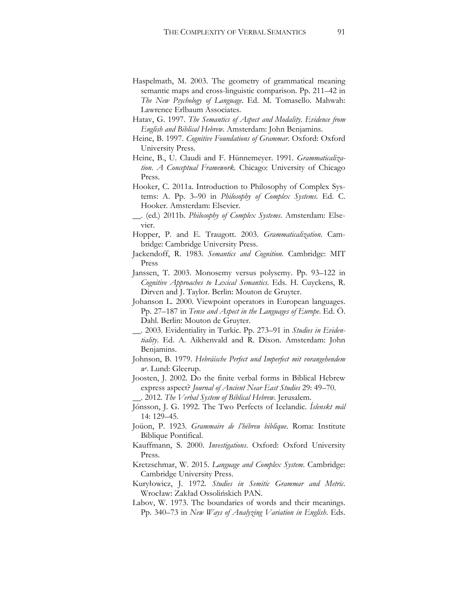- Haspelmath, M. 2003. The geometry of grammatical meaning semantic maps and cross-linguistic comparison. Pp. 211–42 in *The New Psychology of Language*. Ed. M. Tomasello. Mahwah: Lawrence Erlbaum Associates.
- Hatav, G. 1997. *The Semantics of Aspect and Modality*. *Evidence from English and Biblical Hebrew*. Amsterdam: John Benjamins.
- Heine, B. 1997. *Cognitive Foundations of Grammar*. Oxford: Oxford University Press.
- Heine, B., U. Claudi and F. Hünnemeyer. 1991. *Grammaticalization*. *A Conceptual Framework.* Chicago: University of Chicago Press.
- Hooker, C. 2011a. Introduction to Philosophy of Complex Systems: A. Pp. 3–90 in *Philosophy of Complex Systems*. Ed. C. Hooker*.* Amsterdam: Elsevier.
- . (ed.) 2011b. *Philosophy of Complex Systems*. Amsterdam: Elsevier.
- Hopper, P. and E. Traugott. 2003. *Grammaticalization*. Cambridge: Cambridge University Press.
- Jackendoff, R. 1983. *Semantics and Cognition*. Cambridge: MIT Press
- Janssen, T. 2003. Monosemy versus polysemy. Pp. 93–122 in *Cognitive Approaches to Lexical Semantics*. Eds. H. Cuyckens, R. Dirven and J. Taylor. Berlin: Mouton de Gruyter.
- Johanson L. 2000. Viewpoint operators in European languages. Pp. 27–187 in *Tense and Aspect in the Languages of Europe*. Ed. Ö. Dahl. Berlin: Mouton de Gruyter.
- . 2003. Evidentiality in Turkic. Pp. 273–91 in *Studies in Evidentiality*. Ed. A. Aikhenvald and R. Dixon. Amsterdam: John Benjamins.
- Johnson, B. 1979. *Hebräische Perfect und Imperfect mit vorangehendem we* . Lund: Gleerup.
- Joosten, J. 2002. Do the finite verbal forms in Biblical Hebrew express aspect? *Journal of Ancient Near East Studies* 29: 49–70. . 2012. *The Verbal System of Biblical Hebrew*. Jerusalem.
- Jónsson, J. G. 1992. The Two Perfects of Icelandic. *Íslenskt mál*  14: 129–45.
- Joüon, P. 1923. *Grammaire de l'hébreu biblique*. Roma: Institute Biblique Pontifical.
- Kauffmann, S. 2000. *Investigations*. Oxford: Oxford University Press.
- Kretzschmar, W. 2015. *Language and Complex System*. Cambridge: Cambridge University Press.
- Kuryłowicz, J. 1972. *Studies in Semitic Grammar and Metric*. Wrocław: Zakład Ossolińskich PAN.
- Labov, W. 1973. The boundaries of words and their meanings. Pp. 340–73 in *New Ways of Analyzing Variation in English*. Eds.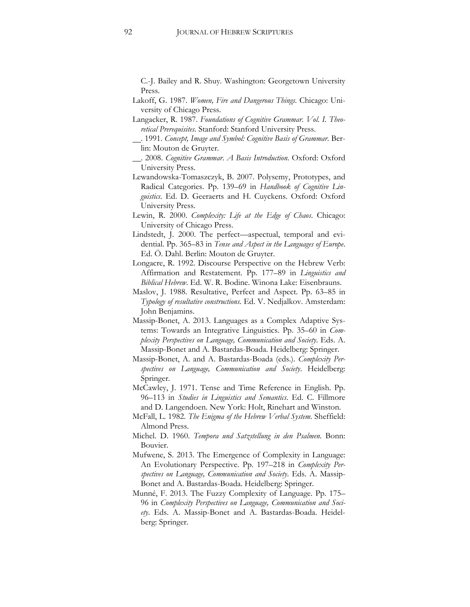C.-J. Bailey and R. Shuy. Washington: Georgetown University Press.

- Lakoff, G. 1987. *Women, Fire and Dangerous Things*. Chicago: University of Chicago Press.
- Langacker, R. 1987. *Foundations of Cognitive Grammar. Vol. I. Theoretical Prerequisites*. Stanford: Stanford University Press.
- . 1991. *Concept, Image and Symbol: Cognitive Basis of Grammar*. Berlin: Mouton de Gruyter.
- . 2008. *Cognitive Grammar*. *A Basis Introduction*. Oxford: Oxford University Press.
- Lewandowska-Tomaszczyk, B. 2007. Polysemy, Prototypes, and Radical Categories. Pp. 139–69 in *Handbook of Cognitive Linguistics*. Ed. D. Geeraerts and H. Cuyckens. Oxford: Oxford University Press.
- Lewin, R. 2000. *Complexity: Life at the Edge of Chaos*. Chicago: University of Chicago Press.
- Lindstedt, J. 2000. The perfect—aspectual, temporal and evidential. Pp. 365–83 in *Tense and Aspect in the Languages of Europe*. Ed. Ö. Dahl. Berlin: Mouton de Gruyter.
- Longacre, R. 1992. Discourse Perspective on the Hebrew Verb: Affirmation and Restatement. Pp. 177–89 in *Linguistics and Biblical Hebrew*. Ed. W. R. Bodine. Winona Lake: Eisenbrauns.
- Maslov, J. 1988. Resultative, Perfect and Aspect. Pp. 63–85 in *Typology of resultative constructions*. Ed. V. Nedjalkov. Amsterdam: John Benjamins.
- Massip-Bonet, A. 2013. Languages as a Complex Adaptive Systems: Towards an Integrative Linguistics. Pp. 35–60 in *Complexity Perspectives on Language, Communication and Society*. Eds. A. Massip-Bonet and A. Bastardas-Boada. Heidelberg: Springer.
- Massip-Bonet, A. and A. Bastardas-Boada (eds.). *Complexity Perspectives on Language, Communication and Society*. Heidelberg: Springer.
- McCawley, J. 1971. Tense and Time Reference in English. Pp. 96–113 in *Studies in Linguistics and Semantics*. Ed. C. Fillmore and D. Langendoen. New York: Holt, Rinehart and Winston.
- McFall, L. 1982. *The Enigma of the Hebrew Verbal System*. Sheffield: Almond Press.
- Michel. D. 1960. *Tempora und Satzstellung in den Psalmen*. Bonn: Bouvier.
- Mufwene, S. 2013. The Emergence of Complexity in Language: An Evolutionary Perspective. Pp. 197–218 in *Complexity Perspectives on Language, Communication and Society*. Eds. A. Massip-Bonet and A. Bastardas-Boada. Heidelberg: Springer.
- Munné, F. 2013. The Fuzzy Complexity of Language. Pp. 175– 96 in *Complexity Perspectives on Language, Communication and Society*. Eds. A. Massip-Bonet and A. Bastardas-Boada. Heidelberg: Springer.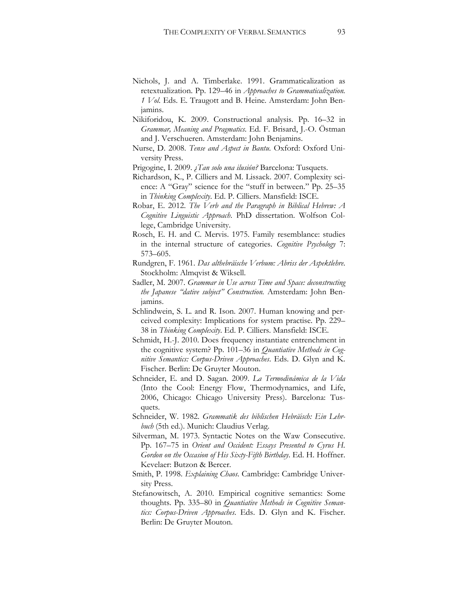- Nichols, J. and A. Timberlake. 1991. Grammaticalization as retextualization. Pp. 129–46 in *Approaches to Grammaticalization. 1 Vol*. Eds. E. Traugott and B. Heine. Amsterdam: John Benjamins.
- Nikiforidou, K. 2009. Constructional analysis. Pp. 16–32 in *Grammar, Meaning and Pragmatics*. Ed. F. Brisard, J.-O. Östman and J. Verschueren. Amsterdam: John Benjamins.
- Nurse, D. 2008. *Tense and Aspect in Bantu*. Oxford: Oxford University Press.
- Prigogine, I. 2009. *¿Tan solo una ilusión?* Barcelona: Tusquets.
- Richardson, K., P. Cilliers and M. Lissack. 2007. Complexity science: A "Gray" science for the "stuff in between." Pp. 25–35 in *Thinking Complexity*. Ed. P. Cilliers. Mansfield: ISCE.
- Robar, E. 2012. *The Verb and the Paragraph in Biblical Hebrew: A Cognitive Linguistic Approach*. PhD dissertation. Wolfson College, Cambridge University.
- Rosch, E. H. and C. Mervis. 1975. Family resemblance: studies in the internal structure of categories. *Cognitive Psychology* 7: 573–605.
- Rundgren, F. 1961. *Das althebräische Verbum: Abriss der Aspektlehre*. Stockholm: Almqvist & Wiksell.
- Sadler, M. 2007. *Grammar in Use across Time and Space: deconstructing the Japanese "dative subject" Construction.* Amsterdam: John Benjamins.
- Schlindwein, S. L. and R. Ison. 2007. Human knowing and perceived complexity: Implications for system practise. Pp. 229– 38 in *Thinking Complexity*. Ed. P. Cilliers. Mansfield: ISCE.
- Schmidt, H.-J. 2010. Does frequency instantiate entrenchment in the cognitive system? Pp. 101–36 in *Quantiative Methods in Cognitive Semantics: Corpus-Driven Approaches*. Eds. D. Glyn and K. Fischer. Berlin: De Gruyter Mouton.
- Schneider, E. and D. Sagan. 2009. *La Termodinámica de la Vida* (Into the Cool: Energy Flow, Thermodynamics, and Life, 2006, Chicago: Chicago University Press). Barcelona: Tusquets.
- Schneider, W. 1982. *Grammatik des biblischen Hebräisch: Ein Lehrbuch* (5th ed.). Munich: Claudius Verlag.
- Silverman, M. 1973. Syntactic Notes on the Waw Consecutive. Pp. 167–75 in *Orient and Occident: Essays Presented to Cyrus H. Gordon on the Occasion of His Sixty-Fifth Birthday*. Ed. H. Hoffner. Kevelaer: Butzon & Bercer.
- Smith, P. 1998. *Explaining Chaos*. Cambridge: Cambridge University Press.
- Stefanowitsch, A. 2010. Empirical cognitive semantics: Some thoughts. Pp. 335–80 in *Quantiative Methods in Cognitive Semantics: Corpus-Driven Approaches*. Eds. D. Glyn and K. Fischer. Berlin: De Gruyter Mouton.